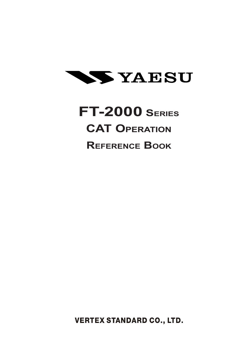

# **FT-2000 SERIES CAT OPERATION REFERENCE BOOK**

**VERTEX STANDARD CO., LTD.**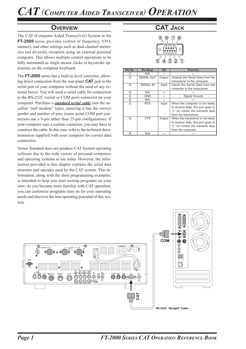### **OVERVIEW**

The CAT (Computer Aided Transceiver) System in the **FT-2000** series provides control of frequency, VFO, memory, and other settings such as dual-channel memories and diversity reception using an external personal computer. This allows multiple control operations to be fully automated as single mouse clicks or keystroke operations on the computer keyboard.

The **FT-2000** series has a built-in level converter, allowing direct connection from the rear-panel **CAT** jack to the serial port of your computer without the need of any external boxes. You will need a serial cable for connection to the RS-232C (serial or COM port) connector on your computer. Purchase a *standard serial cable* (not the socalled "null modem" type), ensuring it has the correct gender and number of pins (some serial COM port connectors use a 9-pin rather than 25-pin configuration). If your computer uses a custom connector, you may have to construct the cable. In this case, refer to the technical documentation supplied with your computer for correct data connection.

Vertex Standard does not produce CAT System operating software due to the wide variety of personal computers and operating systems in use today. However, the information provided in this chapter explains the serial data structure and opcodes used by the CAT system. This information, along with the short programming examples, is intended to help you start writing programs on your own. As you become more familiar with CAT operation, you can customize programs later on for your operating needs and discover the true operating potential of this system.

## **CAT JACK**



| PIN No.        | <b>PIN NAME</b>   | I/O    | <b>FUNCTION</b>                    |
|----------------|-------------------|--------|------------------------------------|
| ①              | N/A               |        |                                    |
| ②              | <b>SERIAL OUT</b> | Output | Outputs the Serial Data from the   |
|                |                   |        | transceiver to the computer.       |
| $\circled{3}$  | <b>SERIAL IN</b>  | Input  | Inputs the Serial Data from the    |
|                |                   |        | computer to the transceiver.       |
| ④              | N/A               |        |                                    |
| (5)            | GND               |        | Signal Ground                      |
| 6              | N/A               |        |                                    |
| $\circledD$    | <b>RTS</b>        | Input  | When the computer is not ready     |
|                |                   |        | to receive data, this port goes to |
|                |                   |        | "L" for inhibit the transmit data  |
|                |                   |        | from the transceiver.              |
| $^{\circledR}$ | CTS               | Output | When the transceiver is not ready  |
|                |                   |        | to receive data, this port goes to |
|                |                   |        | "L" for inhibit the transmit data  |
|                |                   |        | from the computer.                 |
| (9)            | N/A               |        |                                    |

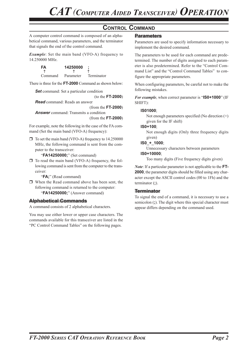### **CONTROL COMMAND**

A computer control command is composed of an alphabetical command, various parameters, and the terminator that signals the end of the control command.

*Example*: Set the main band (VFO-A) frequency to 14.250000 MHz.

| FA      | 14250000  |            |
|---------|-----------|------------|
|         |           |            |
| Command | Parameter | Terminator |

There is three for the **FT-2000** Command as shown below:

*Set* command: Set a particular condition

(to the **FT-2000**)

*Read* command: Reads an answer

(from the **FT-2000**) *Answer* command: Transmits a condition

(from the **FT-2000**)

For example, note the following in the case of the FA command (Set the main band (VFO-A) frequency):

 $\Box$  To set the main band (VFO-A) frequency to 14.250000 MHz, the following command is sent from the computer to the transceiver:

"**FA14250000;**" (Set command)

 $\Box$  To read the main band (VFO-A) frequency, the following command is sent from the computer to the transceiver:

"**FA;**" (Read command)

 When the Read command above has been sent, the following command is returned to the computer: "**FA14250000;**" (Answer command)

#### **Alphabetical Commands**

A command consists of 2 alphabetical characters.

You may use either lower or upper case characters. The commands available for this transceiver are listed in the "PC Control Command Tables" on the following pages.

#### **Parameters**

Parameters are used to specify information necessary to implement the desired command.

The parameters to be used for each command are predetermined. The number of digits assigned to each parameter is also predetermined. Refer to the "Control Command List" and the "Control Command Tables" to configure the appropriate parameters.

When configuring parameters, be careful not to make the following mistakes.

*For example*, when correct parameter is "**IS0+1000**" (IF SHIFT):

#### **IS01000**;

Not enough parameters specified (No direction  $(+)$ ) given for the IF shift)

#### **IS0+100**;

Not enough digits (Only three frequency digits given)

#### **IS0**\_**+**\_**1000**;

Unnecessary characters between parameters **IS0+10000**;

Too many digits (Five frequency digits given)

*Note*: If a particular parameter is not applicable to the **FT-2000**, the parameter digits should be filled using any character except the ASCII control codes (00 to 1Fh) and the terminator (**;**).

#### **Terminator**

To signal the end of a command, it is necessary to use a semicolon (**;**). The digit where this special character must appear differs depending on the command used.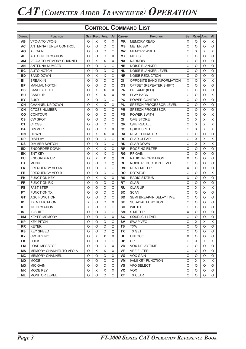## **CONTROL COMMAND LIST**

| <b>COMMAND</b> | <b>FUNCTION</b>                | SET      | <b>READ ANS.</b>          |                | $\mathsf{A}$              | <b>COMMAND</b> | <b>FUNCTION</b>           |            | <b>SET READ ANS.</b> |          | AI      |
|----------------|--------------------------------|----------|---------------------------|----------------|---------------------------|----------------|---------------------------|------------|----------------------|----------|---------|
| <b>AB</b>      | <b>VFO-ATO VFO-B</b>           | $\circ$  | X                         | X              | $\boldsymbol{\mathsf{X}}$ | <b>MR</b>      | <b>MEMORY READ</b>        | X          | O                    | O        | X       |
| <b>AC</b>      | ANTENNA TUNER CONTROL          | $\circ$  | $\circ$                   | $\circ$        | $\circ$                   | <b>MS</b>      | <b>METER SW</b>           | O          | $\circ$              | $\circ$  | $\circ$ |
| AG             | AF GAIN                        | $\circ$  | $\circ$                   | $\circ$        | $\circ$                   | <b>MW</b>      | <b>MEMORY WRITE</b>       | O          | $\times$             | X        | X       |
| AI             | <b>AUTO INFORMATION</b>        | $\circ$  | $\circ$                   | $\circ$        | $\times$                  | <b>MX</b>      | <b>MOX SET</b>            | O          | O                    | $\circ$  | $\circ$ |
| <b>AM</b>      | <b>VFO-A TO MEMORY CHANNEL</b> | $\circ$  | $\mathsf X$               | $\times$       | $\boldsymbol{\mathsf{X}}$ | <b>NA</b>      | <b>NARROW</b>             | O          | O                    | $\circ$  | $\circ$ |
| AN             | <b>ANTENNA NUMBER</b>          | $\circ$  | $\circ$                   | $\circ$        | $\circ$                   | <b>NB</b>      | <b>NOISE BLANKER</b>      | O          | O                    | $\circ$  | $\circ$ |
| <b>BC</b>      | AUTO NOTCH                     | $\circ$  | $\circ$                   | $\circ$        | $\circ$                   | <b>NL</b>      | NOISE BLANKER LEVEL       | $\circ$    | O                    | $\circ$  | $\circ$ |
| <b>BD</b>      | <b>BAND DOWN</b>               | $\circ$  | $\times$                  | $\times$       | $\times$                  | <b>NR</b>      | <b>NOISE REDUCTION</b>    | $\circ$    | O                    | $\circ$  | $\circ$ |
| BI             | <b>BREAK-IN</b>                | $\circ$  | $\circ$                   | $\circ$        | O                         | <b>OI</b>      | OPPOSITE BAND INFORMATION | X          | O                    | $\circ$  | X       |
| <b>BP</b>      | <b>MANUAL NOTCH</b>            | $\circ$  | $\circ$                   | $\circ$        | O                         | <b>OS</b>      | OFFSET (REPEATER SHIFT)   | O          | O                    | $\circ$  | $\circ$ |
| <b>BS</b>      | <b>BAND SELECT</b>             | $\circ$  | X                         | $\times$       | $\times$                  | <b>PA</b>      | PRE-AMP (IPO)             | O          | O                    | O        | O       |
| <b>BU</b>      | <b>BAND UP</b>                 | $\circ$  | X                         | $\times$       | $\times$                  | PB             | <b>PLAY BACK</b>          | O          | O                    | O        | X       |
| <b>BY</b>      | <b>BUSY</b>                    | X        | O                         | $\circ$        | $\circ$                   | <b>PC</b>      | POWER CONTROL             | O          | O                    | O        | O       |
| <b>CH</b>      | <b>CHANNEL UP/DOWN</b>         | $\circ$  | X                         | X              | $\times$                  | <b>PL</b>      | SPEECH PROCESSOR LEVEL    | O          | O                    | $\circ$  | $\circ$ |
| <b>CN</b>      | <b>CTCSS NUMBER</b>            | O        | $\circ$                   | $\circ$        | $\circ$                   | <b>PR</b>      | <b>SPEECH PROCESSOR</b>   | O          | O                    | O        | O       |
| CO             | <b>CONTOUR</b>                 | $\circ$  | O                         | $\circ$        | $\circ$                   | <b>PS</b>      | <b>POWER SWITH</b>        | O          | O                    | O        | X       |
| <b>CS</b>      | <b>CW SPOT</b>                 | $\circ$  | O                         | $\circ$        | $\circ$                   | QI             | <b>QMB STORE</b>          | O          | X                    | X        | X       |
| <b>CT</b>      | <b>CTCSS</b>                   | $\circ$  | O                         | $\circ$        | $\circ$                   | QR             | <b>QMB RECALL</b>         | O          | X                    | X        | X       |
| <b>DA</b>      | <b>DIMMER</b>                  | $\circ$  | $\circ$                   | $\circ$        | $\times$                  | QS             | QUICK SPLIT               | O          | $\times$             | X        | X       |
| <b>DN</b>      | <b>DOWN</b>                    | $\circ$  | $\times$                  | $\times$       | $\boldsymbol{\mathsf{X}}$ | <b>RA</b>      | <b>RF ATTENUATOR</b>      | O          | O                    | $\circ$  | $\circ$ |
| <b>DP</b>      | <b>DISPLAY</b>                 | $\circ$  | $\circ$                   | $\Omega$       | $\circ$                   | <b>RC</b>      | <b>CLAR CLEAR</b>         | O          | $\times$             | X        | X       |
| <b>DS</b>      | <b>DIMMER SWITCH</b>           | $\circ$  | $\circ$                   | $\circ$        | $\circ$                   | <b>RD</b>      | <b>CLAR DOWN</b>          | O          | $\times$             | $\times$ | X       |
| <b>ED</b>      | <b>ENCORDER DOWN</b>           | $\circ$  | X                         | X              | X                         | <b>RF</b>      | <b>ROOFING FILTER</b>     | O          | O                    | O        | $\circ$ |
| EK             | <b>ENT KEY</b>                 | $\circ$  | X                         | $\pmb{\times}$ | $\overline{X}$            | <b>RG</b>      | <b>RF GAIN</b>            | O          | O                    | $\circ$  | $\circ$ |
| EU             | <b>ENCORDER UP</b>             | $\circ$  | $\boldsymbol{\mathsf{X}}$ | $\pmb{\times}$ | $\boldsymbol{\mathsf{X}}$ | R <sub>l</sub> | <b>RADIO INFORMATION</b>  | X          | O                    | $\circ$  | $\circ$ |
| <b>EX</b>      | <b>MENU</b>                    | $\circ$  | $\circ$                   | $\circ$        | $\circ$                   | <b>RL</b>      | NOISE REDUCTION LEVEL     | O          | O                    | $\circ$  | $\circ$ |
| FA             | <b>FREQUENCY VFO-A</b>         | $\circ$  | O                         | $\circ$        | $\circ$                   | <b>RM</b>      | <b>READ METER</b>         | X          | O                    | O        | O       |
| FB             | <b>FREQUENCY VFO-B</b>         | $\circ$  | $\circ$                   | $\circ$        | $\circ$                   | <b>RO</b>      | <b>ROTATOR</b>            | O          | O                    | $\circ$  | X       |
| <b>FK</b>      | <b>FUNCTION KEY</b>            | $\circ$  | $\mathsf X$               | $\times$       | $\times$                  | <b>RS</b>      | <b>RADIO STATUS</b>       | Χ          | O                    | $\circ$  | $\circ$ |
| <b>FR</b>      | <b>FUNCTION RX</b>             | $\circ$  | $\circ$                   | $\circ$        | $\circ$                   | <b>RT</b>      | <b>CLAR</b>               | O          | O                    | $\circ$  | $\circ$ |
| <b>FS</b>      | <b>FAST STEP</b>               | $\circ$  | $\circ$                   | $\circ$        | $\circ$                   | <b>RU</b>      | <b>CLAR UP</b>            | O          | X                    | X        | X       |
| <b>FT</b>      | <b>FUNCTION TX</b>             | $\circ$  | $\circ$                   | $\Omega$       | $\circ$                   | <b>SC</b>      | <b>SCAN</b>               | $\circ$    | $\circ$              | $\circ$  | $\circ$ |
| GT             | <b>AGC FUNCTION</b>            | $\circ$  | $\circ$                   | $\circ$        | O                         | <b>SD</b>      | SEMI BREAK-IN DELAY TIME  | $\circ$    | O                    | $\circ$  | $\circ$ |
| ID             | <b>IDENTIFICATION</b>          | X        | $\circ$                   | $\circ$        | $\times$                  | <b>SF</b>      | <b>SUB-DIAL FUNCTION</b>  | O          | O                    | O        | $\circ$ |
| IF             | <b>INFORMATION</b>             | $\times$ | $\circ$                   | $\circ$        | $\circ$                   | <b>SH</b>      | <b>WIDTH</b>              | O          | O                    | $\circ$  | $\circ$ |
| <b>IS</b>      | <b>IF-SHIFT</b>                | $\circ$  | O                         | $\circ$        | O                         | <b>SM</b>      | S METER                   | Χ          | O                    | $\circ$  | O       |
| KM             | <b>KEYER MEMORY</b>            | $\circ$  | $\circ$                   | $\Omega$       | X                         | SQ             | <b>SQUELCH LEVEL</b>      | $\bigcirc$ | $\circ$              | $\circ$  | $\circ$ |
| KP             | <b>KEY PITCH</b>               | O        | O                         | O              | O                         | SV             | <b>SWAP VFO</b>           | O          | X                    | X        | X       |
| <b>KR</b>      | <b>KEYER</b>                   | O        | O                         | O              | O                         | TS             | <b>TXW</b>                | O          | O                    | O        | O       |
| KS             | <b>KEY SPEED</b>               | O        | O                         | O              | O                         | TX             | <b>TX SET</b>             | O          | O                    | O        | O       |
| KY             | <b>CW KEYING</b>               | O        | Χ                         | Χ              | Χ                         | UL             | <b>UNLOCK</b>             | X          | O                    | O        | O       |
| LK             | <b>LOCK</b>                    | O        | O                         | O              | O                         | <b>UP</b>      | UP                        | O          | Χ                    | X        | X       |
| LM             | <b>LOAD MESSEGE</b>            | $\circ$  | O                         | O              | X                         | VD             | VOX DELAY TIME            | O          | O                    | $\circ$  | O       |
| MА             | MEMORY CHANNEL TO VFO-A        | O        | X                         | X              | X                         | <b>VF</b>      | <b>VRF FILTER</b>         | O          | O                    | $\circ$  | O       |
| МC             | <b>MEMORY CHANNEL</b>          | O        | $\circ$                   | O              | X                         | VG             | <b>VOX GAIN</b>           | O          | O                    | O        | O       |
| <b>MD</b>      | <b>MODE</b>                    | O        | O                         | O              | O                         | <b>VM</b>      | [V/M] KEY FUNCTION        | O          | Χ                    | X        | X       |
| MG             | <b>MIC GAIN</b>                | O        | O                         | O              | O                         | <b>VS</b>      | <b>VFO SELECT</b>         | O          | O                    | O        | O       |
| ΜK             | MODE KEY                       | O        | X                         | X              | X                         | <b>VX</b>      | <b>VOX</b>                | O          | O                    | O        | $\circ$ |
| ML             | <b>MONITOR LEVEL</b>           | O        | O                         | O              | $\circ$                   | XT             | <b>TX CLAR</b>            | O          | O                    | 0        | $\circ$ |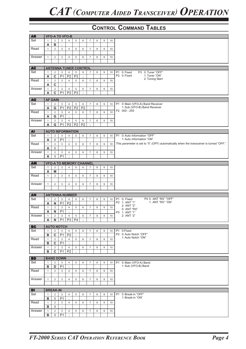| <b>AB</b> |              |                   |                | <b>VFO-A TO VFO-B</b>   |                                |                |                |   |                |    |                                                                                        |
|-----------|--------------|-------------------|----------------|-------------------------|--------------------------------|----------------|----------------|---|----------------|----|----------------------------------------------------------------------------------------|
| Set       | $\mathbf{1}$ | 2                 | 3              | $\overline{4}$          | 5                              | 6              | $\overline{7}$ | 8 | 9              | 10 |                                                                                        |
|           | Α            | в                 | $\cdot$        |                         |                                |                |                |   |                |    |                                                                                        |
| Read      | $\mathbf{1}$ | $\overline{2}$    | 3              | 4                       | 5                              | 6              | $\overline{7}$ | 8 | 9              | 10 |                                                                                        |
|           |              |                   |                |                         |                                |                |                |   |                |    |                                                                                        |
| Answer    | $\mathbf{1}$ | 2                 | $\mathbf{3}$   | $\overline{4}$          | 5                              | 6              | $\overline{7}$ | 8 | $9\,$          | 10 |                                                                                        |
|           |              |                   |                |                         |                                |                |                |   |                |    |                                                                                        |
|           |              |                   |                |                         |                                |                |                |   |                |    |                                                                                        |
| <b>AC</b> |              |                   |                |                         | <b>ANTENNA TUNER CONTROL</b>   |                |                |   |                |    |                                                                                        |
| Set       | $\mathbf{1}$ | $\overline{c}$    | 3              | 4                       | $\sqrt{5}$                     | 6              | $\overline{7}$ | 8 | 9              | 10 | P1 0: Fixed<br>P3 0: Tuner "OFF"                                                       |
|           | A            | $\mathbf C$       | P <sub>1</sub> | P <sub>2</sub>          | P <sub>3</sub>                 | $\cdot$        |                |   |                |    | P2 0: Fixed<br>1: Tuner "ON"                                                           |
| Read      | $\mathbf{1}$ | 2                 | 3              | 4                       | 5                              | 6              | $\overline{7}$ | 8 | 9              | 10 | 2: Tuning Start                                                                        |
|           | A            | C                 | $\cdot$        |                         |                                |                |                |   |                |    |                                                                                        |
| Answer    | $\mathbf{1}$ | $\overline{2}$    | 3              | $\overline{4}$          | $\sqrt{5}$                     | 6              | $\overline{7}$ | 8 | $9\,$          | 10 |                                                                                        |
|           | A            | $\mathbf C$       | <b>P1</b>      | P2                      | P <sub>3</sub>                 | $\cdot$        |                |   |                |    |                                                                                        |
|           |              |                   |                |                         |                                |                |                |   |                |    |                                                                                        |
| AG        |              | <b>AF GAIN</b>    |                |                         |                                |                |                |   |                |    |                                                                                        |
| Set       | $\mathbf{1}$ | 2                 | 3              | $\overline{4}$          | $\sqrt{5}$                     | 6              | $\overline{7}$ | 8 | $9\,$          | 10 | 0: Main (VFO-A) Band Receiver<br><b>P1</b><br>1: Sub (VFO-B) Band Receiver             |
|           | Α            | G                 | P1             | P <sub>2</sub>          | P <sub>2</sub>                 | P <sub>2</sub> | $\cdot$        |   |                |    | P2 000 - 255                                                                           |
| Read      | $\mathbf{1}$ | $\overline{c}$    | 3              | $\overline{4}$          | 5                              | 6              | $\overline{7}$ | 8 | 9              | 10 |                                                                                        |
|           | A            | G                 | P <sub>1</sub> | $\ddot{\cdot}$          |                                |                |                |   |                |    |                                                                                        |
| Answer    | $\mathbf{1}$ | $\overline{c}$    | 3              | 4                       | 5                              | 6              | $\overline{7}$ | 8 | 9              | 10 |                                                                                        |
|           | A            | G                 | P <sub>1</sub> | P <sub>2</sub>          | P <sub>2</sub>                 | P <sub>2</sub> | $\bullet$      |   |                |    |                                                                                        |
| <b>AI</b> |              |                   |                | <b>AUTO INFORMATION</b> |                                |                |                |   |                |    |                                                                                        |
| Set       | $\mathbf{1}$ | $\overline{2}$    | 3              | 4                       | 5                              | 6              | $\overline{7}$ | 8 | 9              | 10 | P1 0: Auto Information "OFF"                                                           |
|           | A            | L                 | P <sub>1</sub> | $\cdot$                 |                                |                |                |   |                |    | 1: Auto Information "ON"                                                               |
| Read      | $\mathbf{1}$ | 2                 | 3              | $\overline{4}$          | 5                              | 6              | $\overline{7}$ | 8 | 9              | 10 | This parameter is set to "0" (OFF) automatically when the transceiver is turned "OFF." |
|           | A            | L                 | $\cdot$        |                         |                                |                |                |   |                |    |                                                                                        |
| Answer    | $\mathbf{1}$ | 2                 | 3              | $\overline{4}$          | 5                              | 6              | $\overline{7}$ | 8 | $9\,$          | 10 |                                                                                        |
|           | Α            | L                 | P <sub>1</sub> | ÷                       |                                |                |                |   |                |    |                                                                                        |
|           |              |                   |                |                         |                                |                |                |   |                |    |                                                                                        |
| <b>AM</b> |              |                   |                |                         | <b>VFO-A TO MEMORY CHANNEL</b> |                |                |   |                |    |                                                                                        |
| Set       | $\mathbf{1}$ | $\overline{2}$    | 3              | $\overline{4}$          | 5                              | 6              | $\overline{7}$ | 8 | 9              | 10 |                                                                                        |
|           | Α            | M                 | $\cdot$        |                         |                                |                |                |   |                |    |                                                                                        |
| Read      | $\mathbf{1}$ | 2                 | 3              | 4                       | 5                              | 6              | $\overline{7}$ | 8 | 9              | 10 |                                                                                        |
|           |              |                   |                |                         |                                |                |                |   |                |    |                                                                                        |
| Answer    | $\mathbf{1}$ | 2                 | 3              | 4                       | 5                              | 6              | $\overline{7}$ | 8 | $9\,$          | 10 |                                                                                        |
|           |              |                   |                |                         |                                |                |                |   |                |    |                                                                                        |
| <b>AN</b> |              |                   |                | <b>ANTENNA NUMBER</b>   |                                |                |                |   |                |    |                                                                                        |
| Set       | $\mathbf{1}$ | 2                 | 3              | $\overline{4}$          | 5                              | 6              | $\overline{7}$ | 8 | 9              | 10 | P4 0: ANT "RX" "OFF"<br>P1 0: Fixed                                                    |
|           | A            | N                 | P <sub>1</sub> | P <sub>2</sub>          | $\cdot$                        |                |                |   |                |    | 1: ANT "RX" "ON"<br>P2 1: ANT "1"                                                      |
| Read      | $\mathbf{1}$ | 2                 | 3              | 4                       | 5                              | 6              | $\overline{7}$ | 8 | 9              | 10 | 2: ANT "2"                                                                             |
|           | A            | N                 | P <sub>1</sub> | ÷                       |                                |                |                |   |                |    | 5: ANT "RX"                                                                            |
| Answer    | $\mathbf{1}$ | $\overline{2}$    | 3              | $\overline{4}$          | 5                              | 6              | $\overline{7}$ | 8 | $\overline{9}$ | 10 | P3 1: ANT "1"<br>2: ANT "2"                                                            |
|           |              |                   |                |                         | $A$   N   P1   P3   P4         | ÷              |                |   |                |    |                                                                                        |
|           |              |                   |                |                         |                                |                |                |   |                |    |                                                                                        |
| <b>BC</b> |              | <b>AUTO NOTCH</b> |                |                         |                                |                |                |   |                |    |                                                                                        |
| Set       | $\mathbf{1}$ | $\overline{2}$    | $\mathbf{3}$   | $\overline{4}$          | 5                              | 6              | $\overline{7}$ | 8 | 9              | 10 | P1 0:Fixed                                                                             |
|           | в            | C                 | <b>P1</b>      | P <sub>2</sub>          | $\cdot$                        |                |                |   |                |    | P2 0: Auto Notch "OFF"<br>1: Auto Notch "ON"                                           |
| Read      | $\mathbf{1}$ | $\overline{2}$    | 3              | $\overline{4}$          | 5                              | 6              | $\overline{7}$ | 8 | 9              | 10 |                                                                                        |
|           | в            | C                 | P <sub>1</sub> | $\sim$                  |                                |                |                |   |                |    |                                                                                        |
| Answer    | $\mathbf{1}$ | 2                 | 3              | $\overline{4}$          | 5                              | 6              | $\overline{7}$ | 8 | 9              | 10 |                                                                                        |
|           | в            | $\mathbf c$       | P <sub>1</sub> | P <sub>2</sub>          | $\cdot$                        |                |                |   |                |    |                                                                                        |
| <b>BD</b> |              | <b>BAND DOWN</b>  |                |                         |                                |                |                |   |                |    |                                                                                        |
| Set       | $\mathbf{1}$ | $\overline{2}$    | 3              | 4                       | 5                              | 6              | $\overline{7}$ | 8 | 9              | 10 | 0: Main (VFO-A) Band<br><b>P1</b>                                                      |
|           | в            | D                 | P <sub>1</sub> | $\cdot$                 |                                |                |                |   |                |    | 1: Sub (VFO-B) Band                                                                    |
| Read      | $\mathbf{1}$ | $\overline{2}$    | 3              | $\overline{4}$          | 5                              | 6              | $\overline{7}$ | 8 | 9              | 10 |                                                                                        |
|           |              |                   |                |                         |                                |                |                |   |                |    |                                                                                        |
| Answer    | $\mathbf{1}$ | $\overline{2}$    | 3              | $\overline{4}$          | 5                              | 6              | $\overline{7}$ | 8 | 9              | 10 |                                                                                        |
|           |              |                   |                |                         |                                |                |                |   |                |    |                                                                                        |
|           |              |                   |                |                         |                                |                |                |   |                |    |                                                                                        |
| <b>BI</b> |              | <b>BREAK-IN</b>   |                |                         |                                |                |                |   |                |    |                                                                                        |
| Set       | $\mathbf{1}$ | $\overline{2}$    | 3              | 4                       | 5                              | 6              | $\overline{7}$ | 8 | 9              | 10 | P1 0: Break-in "OFF"<br>1: Break-in "ON"                                               |
|           | в            | L                 | P <sub>1</sub> | $\sim$                  |                                |                |                |   |                |    |                                                                                        |
| Read      | $\mathbf{1}$ | $\overline{2}$    | 3              | $\overline{4}$          | 5                              | 6              | $\overline{7}$ | 8 | 9              | 10 |                                                                                        |
|           | в            | I.                | $\cdot$        |                         |                                |                |                |   |                |    |                                                                                        |
| Answer    | $\mathbf{1}$ | $\overline{2}$    | 3              | $\overline{4}$          | 5                              | 6              | $\overline{7}$ | 8 | 9              | 10 |                                                                                        |
|           | в            | L                 | P <sub>1</sub> | ÷                       |                                |                |                |   |                |    |                                                                                        |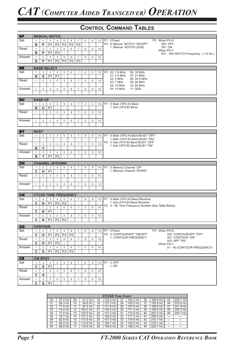| <b>BP</b> |              |                         | <b>MANUAL NOTCH</b> |                        |                |                             |                |         |                  |    |                |                                                      |
|-----------|--------------|-------------------------|---------------------|------------------------|----------------|-----------------------------|----------------|---------|------------------|----|----------------|------------------------------------------------------|
| Set       | $\mathbf{1}$ | $\overline{2}$          | 3                   | 4                      | 5              | 6                           | $\overline{7}$ | 8       | 9                | 10 |                | P1 0:Fixed<br>P3 When P2=0                           |
|           | в            | P                       | P <sub>1</sub>      | P <sub>2</sub>         | P <sub>3</sub> | P <sub>3</sub>              | P <sub>3</sub> | $\cdot$ |                  |    |                | P2 0: Manual NOTCH "ON/OFF"<br>000: OFF              |
|           |              |                         |                     |                        |                |                             |                |         |                  |    |                | 1: Manual NOTCH LEVEL<br>001: ON                     |
| Read      | $\mathbf{1}$ | $\overline{2}$          | 3                   | 4                      | 5              | 6                           | $\overline{7}$ | 8       | 9                | 10 |                | When P2=1                                            |
|           | в            | P                       | P <sub>1</sub>      | P <sub>2</sub>         | $\cdot$        |                             |                |         |                  |    |                | 001 - 400 (NOTCH Frequency : x 10 Hz)                |
| Answer    | $\mathbf{1}$ | $\overline{2}$          | 3                   | $\overline{4}$         | 5              | 6                           | $\overline{7}$ | 8       | $9\,$            | 10 |                |                                                      |
|           |              |                         |                     |                        |                |                             |                |         |                  |    |                |                                                      |
|           | в            | P                       | <b>P1</b>           | P <sub>2</sub>         | P <sub>3</sub> | P <sub>3</sub>              | P <sub>3</sub> | $\cdot$ |                  |    |                |                                                      |
|           |              |                         |                     |                        |                |                             |                |         |                  |    |                |                                                      |
| <b>BS</b> |              |                         | <b>BAND SELECT</b>  |                        |                |                             |                |         |                  |    |                |                                                      |
| Set       | $\mathbf{1}$ | $\overline{2}$          | 3                   | $\overline{4}$         | $\,$ 5 $\,$    | 6                           | $\overline{7}$ | 8       | 9                | 10 | P <sub>1</sub> | 00: 1.8 MHz<br>06: 18 MHz                            |
|           | в            | ${\bf S}$               | P <sub>1</sub>      | P <sub>1</sub>         | $\cdot$        |                             |                |         |                  |    |                | 01: 3.5 MHz<br>07: 21 MHz                            |
|           |              |                         |                     |                        |                |                             |                |         |                  |    |                | 02: 5 MHz<br>08: 24.5 MHz                            |
| Read      | $\mathbf{1}$ | $\overline{2}$          | 3                   | 4                      | 5              | 6                           | $\overline{7}$ | 8       | $\boldsymbol{9}$ | 10 |                | 03: 7 MHz<br>09: 28 MHz                              |
|           |              |                         |                     |                        |                |                             |                |         |                  |    |                | 10:50 MHz<br>04: 10 MHz                              |
| Answer    | $\mathbf{1}$ | $\overline{2}$          | 3                   | $\overline{4}$         | 5              | 6                           | $\overline{7}$ | 8       | 9                | 10 |                | 05: 14 MHz<br>11: GEN                                |
|           |              |                         |                     |                        |                |                             |                |         |                  |    |                |                                                      |
|           |              |                         |                     |                        |                |                             |                |         |                  |    |                |                                                      |
|           |              |                         |                     |                        |                |                             |                |         |                  |    |                |                                                      |
| BU        |              | <b>BAND UP</b>          |                     |                        |                |                             |                |         |                  |    |                |                                                      |
| Set       | $\mathbf{1}$ | $\overline{2}$          | 3                   | $\overline{4}$         | 5              | 6                           | $\overline{7}$ | 8       | $9\,$            | 10 | P1             | 0: Main (VFO-A) Band                                 |
|           | в            | U                       | P <sub>1</sub>      | $\cdot$                |                |                             |                |         |                  |    |                | 1: Sub (VFO-B) Band                                  |
| Read      | $\mathbf{1}$ | $\overline{2}$          | 3                   | $\overline{4}$         | 5              | 6                           | $\overline{7}$ | 8       | 9                | 10 |                |                                                      |
|           |              |                         |                     |                        |                |                             |                |         |                  |    |                |                                                      |
|           |              |                         |                     |                        |                |                             |                |         |                  |    |                |                                                      |
| Answer    | $\mathbf{1}$ | $\overline{2}$          | 3                   | $\overline{4}$         | 5              | 6                           | $\overline{7}$ | 8       | 9                | 10 |                |                                                      |
|           |              |                         |                     |                        |                |                             |                |         |                  |    |                |                                                      |
|           |              |                         |                     |                        |                |                             |                |         |                  |    |                |                                                      |
| <b>BY</b> | <b>BUSY</b>  |                         |                     |                        |                |                             |                |         |                  |    |                |                                                      |
| Set       | $\mathbf{1}$ | $\overline{2}$          | 3                   | 4                      | 5              | 6                           | $\overline{7}$ | 8       | 9                | 10 | <b>P1</b>      | 0: Main (VFO-A) Band BUSY "OFF"                      |
|           |              |                         |                     |                        |                |                             |                |         |                  |    |                | 1: Main (VFO-A) Band BUSY "ON"                       |
|           |              |                         |                     |                        |                |                             |                |         |                  |    |                | P2 0: Sub (VFO-B) Band BUSY "OFF"                    |
| Read      | $\mathbf{1}$ | $\overline{2}$          | 3                   | $\overline{4}$         | 5              | 6                           | $\overline{7}$ | 8       | $\boldsymbol{9}$ | 10 |                | 1: Sub (VFO-B) Band BUSY "ON"                        |
|           | в            | Y                       | $\vdots$            |                        |                |                             |                |         |                  |    |                |                                                      |
| Answer    | $\mathbf{1}$ | $\overline{2}$          | 3                   | $\overline{4}$         | 5              | 6                           | $\overline{7}$ | 8       | $9\,$            | 10 |                |                                                      |
|           |              |                         |                     |                        | $\cdot$        |                             |                |         |                  |    |                |                                                      |
|           | в            | Y                       | P <sub>1</sub>      | P <sub>2</sub>         |                |                             |                |         |                  |    |                |                                                      |
|           |              |                         |                     |                        |                |                             |                |         |                  |    |                |                                                      |
| CH        |              |                         |                     | <b>CHANNEL UP/DOWN</b> |                |                             |                |         |                  |    |                |                                                      |
| Set       | $\mathbf{1}$ | $\overline{2}$          | 3                   | $\overline{4}$         | 5              | 6                           | $\overline{7}$ | 8       | $9\,$            | 10 | P1             | 0: Memory Channel "UP"                               |
|           | C            | н                       | P <sub>1</sub>      | $\cdot$                |                |                             |                |         |                  |    |                | 1: Memory Channel "DOWN"                             |
| Read      | $\mathbf{1}$ | 2                       | 3                   | $\overline{4}$         | 5              | 6                           | $\overline{7}$ | 8       | 9                | 10 |                |                                                      |
|           |              |                         |                     |                        |                |                             |                |         |                  |    |                |                                                      |
|           |              |                         |                     |                        |                |                             |                |         |                  |    |                |                                                      |
| Answer    | $\mathbf{1}$ | $\overline{\mathbf{c}}$ | 3                   | 4                      | 5              | 6                           | $\overline{7}$ | 8       | 9                | 10 |                |                                                      |
|           |              |                         |                     |                        |                |                             |                |         |                  |    |                |                                                      |
|           |              |                         |                     |                        |                |                             |                |         |                  |    |                |                                                      |
| <b>CN</b> |              |                         |                     |                        |                | <b>CTCSS TONE FREQUENCY</b> |                |         |                  |    |                |                                                      |
| Set       | $\mathbf{1}$ | $\overline{2}$          | 3                   | 4                      | $\,$ 5 $\,$    | 6                           | $\overline{7}$ | 8       | $9\,$            | 10 | P <sub>1</sub> | 0: Main (VFO-A) Band Receiver                        |
|           | $\mathbf C$  | N                       | P <sub>1</sub>      | P <sub>2</sub>         | P <sub>2</sub> | ×,                          |                |         |                  |    |                | 1: Sub (VFO-B) Band Receiver                         |
| Read      |              |                         |                     |                        |                |                             | $\overline{7}$ | 8       |                  |    |                | P2 0 - 49: Tone Frequency Number (See Table Below)   |
|           | $\mathbf{1}$ | $\overline{2}$          | 3                   | $\overline{4}$         | 5              | 6                           |                |         | $\boldsymbol{9}$ | 10 |                |                                                      |
|           | C            | N                       | P <sub>1</sub>      | $\cdot$                |                |                             |                |         |                  |    |                |                                                      |
| Answer    |              |                         |                     |                        |                |                             |                |         |                  |    |                |                                                      |
|           | $\mathbf{1}$ | $\overline{2}$          | 3                   | $\overline{4}$         | 5              | 6                           | $\overline{7}$ | 8       | 9                | 10 |                |                                                      |
|           |              |                         |                     |                        |                | $\cdot$                     |                |         |                  |    |                |                                                      |
|           | C            | N                       | <b>P1</b>           | P <sub>2</sub>         | P <sub>2</sub> |                             |                |         |                  |    |                |                                                      |
|           |              |                         |                     |                        |                |                             |                |         |                  |    |                |                                                      |
| <b>CO</b> |              | <b>CONTOUR</b>          |                     |                        |                |                             |                |         |                  |    |                |                                                      |
| Set       | $\mathbf{1}$ | $\overline{2}$          | 3                   | 4                      | 5              | 6                           | $\overline{7}$ | 8       | 9                | 10 |                | P1 0:Fixed<br>P3 When P2=0.                          |
|           | $\mathbf c$  | О                       | P <sub>1</sub>      | P <sub>2</sub>         | P <sub>3</sub> | P <sub>3</sub>              | ÷              |         |                  |    |                | P2 0: CONTOUR/APF "ON/OFF"<br>000: CONTOUR/APF "OFF" |
| Read      | $\mathbf{1}$ | $\overline{2}$          | 3                   | $\overline{4}$         | 5              | 6                           | $\overline{7}$ | 8       | 9                | 10 |                | 1: CONTOUR FREQUENCY<br>001: CONTOUR "ON"            |
|           |              |                         |                     |                        | $\cdot$        |                             |                |         |                  |    |                | 002: APF "ON"                                        |
|           | $\mathbf{C}$ | O                       | P <sub>1</sub>      | P <sub>2</sub>         |                |                             |                |         |                  |    |                | When $P2=1$ ,                                        |
| Answer    | $\mathbf{1}$ | $\overline{2}$          | $\mathsf 3$         | $\overline{4}$         | 5              | 6                           | $\overline{7}$ | 8       | 9                | 10 |                | 01 - 40 (CONTOUR FREQUENCY)                          |
|           | C            | O                       | P <sub>1</sub>      | P <sub>2</sub>         | P <sub>3</sub> | P <sub>3</sub>              | $\cdot$        |         |                  |    |                |                                                      |
|           |              |                         |                     |                        |                |                             |                |         |                  |    |                |                                                      |
| <b>CS</b> |              | <b>CW SPOT</b>          |                     |                        |                |                             |                |         |                  |    |                |                                                      |
| Set       | $\mathbf{1}$ | $\overline{2}$          | 3                   | 4                      | 5              | 6                           | $\overline{7}$ | 8       | 9                | 10 | <b>P1</b>      | $0:$ OFF                                             |
|           | $\mathbf{C}$ | S                       | P <sub>1</sub>      | $\cdot$                |                |                             |                |         |                  |    |                | 1:ON                                                 |
|           |              |                         |                     |                        |                |                             |                |         |                  |    |                |                                                      |
| Read      | $\mathbf{1}$ | $\overline{2}$          | 3                   | $\overline{4}$         | 5              | 6                           | $\overline{7}$ | 8       | 9                | 10 |                |                                                      |
|           | C            | S                       | $\epsilon$          |                        |                |                             |                |         |                  |    |                |                                                      |
| Answer    | $\mathbf{1}$ | $\overline{2}$          | 3                   | $\overline{4}$         | 5              | 6                           | $\overline{7}$ | 8       | 9                | 10 |                |                                                      |
|           | C            | S                       | P1                  | $\cdot$                |                |                             |                |         |                  |    |                |                                                      |
|           |              |                         |                     |                        |                |                             |                |         |                  |    |                |                                                      |

|    | <b>CTCSS TONE CHART</b> |    |          |    |            |    |          |    |          |    |          |  |  |  |  |
|----|-------------------------|----|----------|----|------------|----|----------|----|----------|----|----------|--|--|--|--|
| 00 | 67.0 Hz                 | 09 | 91.5 Hz  | 18 | 123.0 Hz   | 27 | 162.2 Hz | 36 | 189.9 Hz | 45 | 229.1 Hz |  |  |  |  |
| 01 | 69.3 Hz                 | 10 | 94.8 Hz  | 19 | 127.3 Hz   | 28 | 165.5 Hz | 37 | 192.8 Hz | 46 | 233.6 Hz |  |  |  |  |
| 02 | 71.9 Hz                 | 11 | 97.4 Hz  | 20 | 131.8 Hz   | 29 | 167.9 Hz | 38 | 196.6 Hz | 47 | 241.8 Hz |  |  |  |  |
| 03 | 74.4 Hz                 | 12 | 100.0 Hz | 21 | 136.5 Hz   | 30 | 171.3 Hz | 39 | 199.5 Hz | 48 | 250.3 Hz |  |  |  |  |
| 04 | 77.0 Hz                 | 13 | 103.5 Hz | 22 | $141.3$ Hz | 31 | 173.8 Hz | 40 | 203.5 Hz | 49 | 254.1 Hz |  |  |  |  |
| 05 | 79.7 Hz                 | 14 | 107.2 Hz | 23 | 146.2 Hz   | 32 | 177.3 Hz | 41 | 206.5 Hz |    |          |  |  |  |  |
| 06 | 82.5 Hz                 | 15 | 110.9 Hz | 24 | 151.4 Hz   | 33 | 179.9 Hz | 42 | 210.7 Hz |    |          |  |  |  |  |
| 07 | 85.4 Hz                 | 16 | 114.8 Hz | 25 | 156.7 Hz   | 34 | 183.5 Hz | 43 | 218.1 Hz |    |          |  |  |  |  |
| 08 | 88.5 Hz                 | 17 | 118.8 Hz | 26 | 159.8 Hz   | 35 | 186.2 Hz | 44 | 225.7 Hz | -  |          |  |  |  |  |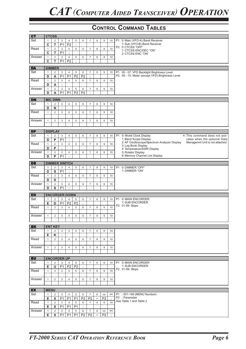| <b>CT</b> | <b>CTCSS</b> |                         |                           |                      |                |                |                  |                           |                  |                 |           |                                                                                 |
|-----------|--------------|-------------------------|---------------------------|----------------------|----------------|----------------|------------------|---------------------------|------------------|-----------------|-----------|---------------------------------------------------------------------------------|
| Set       | $\mathbf{1}$ | 2                       | 3                         | $\overline{4}$       | 5              | 6              | $\overline{7}$   | 8                         | $9\,$            | 10              | <b>P1</b> |                                                                                 |
|           |              |                         |                           |                      |                |                |                  |                           |                  |                 |           | 0: Main (VFO-A) Band Receiver<br>1: Sub (VFO-B) Band Receiver                   |
|           | $\mathbf c$  | $\overline{\mathsf{T}}$ | P <sub>1</sub>            | P <sub>2</sub>       | $\cdot$        |                |                  |                           |                  |                 |           | P2 0: CTCSS "OFF"                                                               |
| Read      | $\mathbf{1}$ | $\overline{2}$          | $\mathbf{3}$              | $\overline{4}$       | $\overline{5}$ | 6              | $\overline{7}$   | 8                         | $\overline{9}$   | 10              |           | 1: CTCSS ENC/DEC "ON"                                                           |
|           | $\mathbf c$  | T                       | P <sub>1</sub>            | $\bullet$            |                |                |                  |                           |                  |                 |           | 2: CTCSS ENC "ON"                                                               |
| Answer    | $\mathbf{1}$ | $\overline{2}$          | 3                         | $\overline{4}$       | $\overline{5}$ | 6              | $\overline{7}$   | 8                         | $\overline{9}$   | 10              |           |                                                                                 |
|           | C            | T                       | P <sub>1</sub>            | P <sub>2</sub>       | $\cdot$        |                |                  |                           |                  |                 |           |                                                                                 |
|           |              |                         |                           |                      |                |                |                  |                           |                  |                 |           |                                                                                 |
| <b>DA</b> |              | <b>DIMMER</b>           |                           |                      |                |                |                  |                           |                  |                 |           |                                                                                 |
| Set       | $\mathbf{1}$ | $\overline{c}$          | $\mathbf{3}$              | $\overline{4}$       | 5              | 6              | $\overline{7}$   | 8                         | $9\,$            | 10              | P1        | 00 - 07: VFD Backlight Brightness Level                                         |
|           | D            |                         | P <sub>1</sub>            | P <sub>1</sub>       |                |                | ÷                |                           |                  |                 |           | P2 00 - 15: Meter (except VFD) Brightness Level                                 |
|           |              | A                       |                           |                      | P <sub>2</sub> | P <sub>2</sub> |                  |                           |                  |                 |           |                                                                                 |
| Read      | $\mathbf{1}$ | $\overline{2}$          | 3                         | $\overline{4}$       | 5              | 6              | $\overline{7}$   | 8                         | $\overline{9}$   | 10              |           |                                                                                 |
|           | D            | A                       | $\cdot$                   |                      |                |                |                  |                           |                  |                 |           |                                                                                 |
| Answer    | $\mathbf{1}$ | $\overline{c}$          | $\ensuremath{\mathsf{3}}$ | $\overline{4}$       | 5              | 6              | $\boldsymbol{7}$ | 8                         | $9\,$            | 10              |           |                                                                                 |
|           | D            | A                       | P <sub>1</sub>            | P <sub>1</sub>       | P <sub>2</sub> | P <sub>2</sub> | $\bullet$        |                           |                  |                 |           |                                                                                 |
|           |              |                         |                           |                      |                |                |                  |                           |                  |                 |           |                                                                                 |
| <b>DN</b> |              | <b>MIC DWN</b>          |                           |                      |                |                |                  |                           |                  |                 |           |                                                                                 |
| Set       | $\mathbf{1}$ | $\overline{2}$          | 3                         | $\overline{4}$       | 5              | 6              | $\overline{7}$   | 8                         | $9\,$            | 10              |           |                                                                                 |
|           | D            | $\mathsf{N}$            | $\cdot$                   |                      |                |                |                  |                           |                  |                 |           |                                                                                 |
| Read      | $\mathbf{1}$ | $\overline{2}$          | $\sqrt{3}$                | $\overline{4}$       | $\overline{5}$ | 6              | $\overline{7}$   | 8                         | $\overline{9}$   | 10              |           |                                                                                 |
|           |              |                         |                           |                      |                |                |                  |                           |                  |                 |           |                                                                                 |
|           |              |                         |                           |                      |                |                |                  |                           |                  |                 |           |                                                                                 |
| Answer    | $\mathbf{1}$ | $\overline{c}$          | $\mathbf{3}$              | $\overline{4}$       | $\overline{5}$ | 6              | $\overline{7}$   | 8                         | 9                | 10              |           |                                                                                 |
|           |              |                         |                           |                      |                |                |                  |                           |                  |                 |           |                                                                                 |
|           |              |                         |                           |                      |                |                |                  |                           |                  |                 |           |                                                                                 |
| <b>DP</b> |              | <b>DISPLAY</b>          |                           |                      |                |                |                  |                           |                  |                 |           |                                                                                 |
| Set       | $\mathbf{1}$ | $\overline{2}$          | 3                         | 4                    | 5              | 6              | $\overline{7}$   | 8                         | $9\,$            | 10              | P1        | 0: World Clock Display<br>*: This command does not acti-                        |
|           | D            | P                       | P <sub>1</sub>            | $\cdot$              |                |                |                  |                           |                  |                 |           | 1: Band Scope Display<br>vates when the optional Data                           |
| Read      | $\mathbf{1}$ | $\overline{2}$          | $\mathsf 3$               | $\overline{4}$       | 5              | 6              | $\overline{7}$   | 8                         | $\overline{9}$   | 10              |           | 2: AF Oscilloscope/Spectrum Analyzer Display<br>Managemnt Unit is not attached. |
|           | D            | P                       | $\cdot$                   |                      |                |                |                  |                           |                  |                 |           | 3: Log Book Display<br>4: Temperature/SWR Display                               |
| Answer    | $\mathbf{1}$ | $\overline{c}$          | $\ensuremath{\mathsf{3}}$ | $\overline{4}$       | $\sqrt{5}$     | 6              | $\overline{7}$   | 8                         | $\overline{9}$   | 10              |           | 5: Rotator Display                                                              |
|           | D            | P                       | P <sub>1</sub>            | $\bullet$            |                |                |                  |                           |                  |                 |           | 6: Memory Channel List Display                                                  |
|           |              |                         |                           |                      |                |                |                  |                           |                  |                 |           |                                                                                 |
| <b>DS</b> |              |                         |                           | <b>DIMMER SWITCH</b> |                |                |                  |                           |                  |                 |           |                                                                                 |
| Set       | $\mathbf{1}$ | $\overline{2}$          | 3                         | $\overline{4}$       | 5              | 6              | $\overline{7}$   | 8                         | 9                | 10              | P1        | 0: DIMMER "OFF"                                                                 |
|           | D            | $\overline{s}$          |                           | $\epsilon$           |                |                |                  |                           |                  |                 |           | 1: DIMMER "ON"                                                                  |
|           |              |                         | P <sub>1</sub>            |                      |                |                |                  |                           |                  |                 |           |                                                                                 |
| Read      | $\mathbf{1}$ | $\overline{2}$          | $\ensuremath{\mathsf{3}}$ | $\overline{4}$       | 5              | 6              | $\overline{7}$   | 8                         | $9\,$            | 10              |           |                                                                                 |
|           | D            | $\overline{s}$          | $\cdot$                   |                      |                |                |                  |                           |                  |                 |           |                                                                                 |
| Answer    | $\mathbf{1}$ | $\overline{c}$          | $\ensuremath{\mathsf{3}}$ | $\overline{4}$       | 5              | 6              | $\overline{7}$   | 8                         | $9\,$            | 10              |           |                                                                                 |
|           | D            | S                       | P <sub>1</sub>            | $\cdot$              |                |                |                  |                           |                  |                 |           |                                                                                 |
|           |              |                         |                           |                      |                |                |                  |                           |                  |                 |           |                                                                                 |
| <b>ED</b> |              |                         |                           | <b>ENCORDER DOWN</b> |                |                |                  |                           |                  |                 |           |                                                                                 |
| Set       | $\mathbf{1}$ | $\overline{2}$          | $\mathbf{3}$              | $\overline{4}$       | 5              | 6              | $\overline{7}$   | 8                         | $9\,$            | 10              | <b>P1</b> | 0: MAIN ENCORDER                                                                |
|           | E            | D                       | P <sub>1</sub>            | P <sub>2</sub>       | P <sub>2</sub> | $\vdots$       |                  |                           |                  |                 |           | 1: SUB ENCORDER                                                                 |
| Read      | $\mathbf{1}$ | $\overline{2}$          | 3                         | $\overline{4}$       | $\overline{5}$ | 6              | $\overline{7}$   | 8                         | $\overline{9}$   | 10              |           | P2 01-99: Steps                                                                 |
|           |              |                         |                           |                      |                |                |                  |                           |                  |                 |           |                                                                                 |
| Answer    | $\mathbf{1}$ | 2                       | 3                         | $\overline{4}$       | 5              | 6              | $\overline{7}$   | 8                         | $\boldsymbol{9}$ | 10              |           |                                                                                 |
|           |              |                         |                           |                      |                |                |                  |                           |                  |                 |           |                                                                                 |
|           |              |                         |                           |                      |                |                |                  |                           |                  |                 |           |                                                                                 |
| <b>EK</b> |              | <b>ENT KEY</b>          |                           |                      |                |                |                  |                           |                  |                 |           |                                                                                 |
| Set       | $\mathbf{1}$ | 2                       | 3                         | $\overline{4}$       | 5              | 6              | $\overline{7}$   | 8                         | 9                | 10              |           |                                                                                 |
|           | Е            | Κ                       | $\cdot$                   |                      |                |                |                  |                           |                  |                 |           |                                                                                 |
| Read      | $\mathbf{1}$ | $\overline{2}$          | 3                         | $\overline{4}$       | 5              | 6              | $\overline{7}$   | 8                         | 9                | 10              |           |                                                                                 |
|           |              |                         |                           |                      |                |                |                  |                           |                  |                 |           |                                                                                 |
|           |              |                         |                           |                      |                |                |                  |                           |                  |                 |           |                                                                                 |
| Answer    | $\mathbf{1}$ | $\overline{2}$          | 3                         | $\overline{4}$       | 5              | 6              | $\overline{7}$   | 8                         | 9                | 10              |           |                                                                                 |
|           |              |                         |                           |                      |                |                |                  |                           |                  |                 |           |                                                                                 |
|           |              |                         |                           |                      |                |                |                  |                           |                  |                 |           |                                                                                 |
| <b>EU</b> |              | <b>ENCORDER UP</b>      |                           |                      |                |                |                  |                           |                  |                 |           |                                                                                 |
| Set       | $\mathbf{1}$ | $\overline{2}$          | 3                         | 4                    | 5              | 6              | $\overline{7}$   | 8                         | 9                | 10              |           | P1 0: MAIN ENCORDER                                                             |
|           | Е            | U                       | P <sub>1</sub>            | P <sub>2</sub>       | P <sub>2</sub> | $\cdot$        |                  |                           |                  |                 |           | 1: SUB ENCORDER<br>P2 01-99: Steps                                              |
| Read      | $\mathbf{1}$ | $\overline{2}$          | 3                         | $\overline{4}$       | 5              | 6              | $\overline{7}$   | 8                         | 9                | 10              |           |                                                                                 |
|           |              |                         |                           |                      |                |                |                  |                           |                  |                 |           |                                                                                 |
| Answer    | $\mathbf{1}$ | 2                       | 3                         | $\overline{4}$       | 5              | 6              | $\overline{7}$   | 8                         | 9                | 10              |           |                                                                                 |
|           |              |                         |                           |                      |                |                |                  |                           |                  |                 |           |                                                                                 |
|           |              |                         |                           |                      |                |                |                  |                           |                  |                 |           |                                                                                 |
| <b>EX</b> | <b>MENU</b>  |                         |                           |                      |                |                |                  |                           |                  |                 |           |                                                                                 |
| Set       | $\mathbf{1}$ | 2                       | 3                         | $\overline{4}$       | 5              | 6              | $\overline{7}$   | 8                         | nn               | $^{\star\star}$ |           | P1 : 001-149 (MENU Number)                                                      |
|           | E.           | $\pmb{\mathsf{X}}$      | <b>P1</b>                 | P <sub>1</sub>       | <b>P1</b>      | P <sub>2</sub> | P <sub>2</sub>   | $\thicksim$               | P <sub>2</sub>   | $\cdot$         |           | P2 : Parameter                                                                  |
| Read      | $\mathbf{1}$ | 2                       | 3                         | $\overline{4}$       | 5              | 6              | $\overline{7}$   | 8                         | 9                | 10              |           | See Table 1 and Table 2                                                         |
|           | Е            | X                       | P <sub>1</sub>            | P <sub>1</sub>       | P <sub>1</sub> | $\cdot$        |                  |                           |                  |                 |           |                                                                                 |
|           |              |                         |                           |                      |                |                |                  |                           |                  | $^{\star\star}$ |           |                                                                                 |
| Answer    | $\mathbf{1}$ | 2                       | 3                         | $\overline{4}$       | 5              | 6              | $\overline{7}$   | 8                         | nn               |                 |           |                                                                                 |
|           | E.           | X                       | P1                        | P <sub>1</sub>       | P <sub>1</sub> | P <sub>2</sub> | P <sub>2</sub>   | $\widetilde{\phantom{m}}$ | P <sub>2</sub>   | $\vdots$        |           |                                                                                 |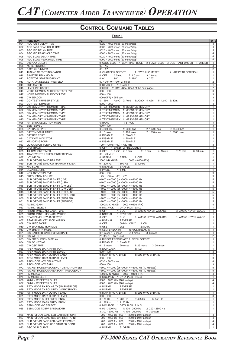#### **TABLE 1**

| P <sub>1</sub> | <b>FUNCTION</b>                      | P <sub>2</sub>                                                                                     | <b>BYTE</b>    |
|----------------|--------------------------------------|----------------------------------------------------------------------------------------------------|----------------|
| 001            | AGC FAST DELAY TIME                  | $0020 \sim 4000$ msec (20 msec/step)                                                               | 4              |
| 002            | AGC FAST PEAK HOLD TIME              | $0000 \sim 2000$ msec (20 msec/step)                                                               | $\overline{4}$ |
| 003            | AGC MID DELAY TIME                   | 0020 ~ 4000 msec (20 msec/step)                                                                    | $\overline{4}$ |
|                |                                      |                                                                                                    | $\overline{4}$ |
| 004            | AGC MID PEAK HOLD TIME               | $0000 \sim 2000$ msec (20 msec/step)                                                               |                |
| 005            | AGC SLOW DELAY TIME                  | 0020 ~ 4000 msec (20 msec/step)                                                                    | $\overline{4}$ |
| 006            | AGC SLOW PEAK HOLD TIME              | $0000 \sim 2000$ msec (20 msec/step)                                                               | $\overline{4}$ |
| 007            | <b>DISPLAY COLOR</b>                 | 0: COOL BLUE 1: CONTRAST BLUE<br>2: FLASH BLUE 3: CONTRAST UMBER 4: UMBER                          | $\mathbf{1}$   |
| 008            | <b>METER DIMMER</b>                  | $00 - 15$                                                                                          | $\overline{2}$ |
| 009            | <b>DISPLAY DIMMER</b>                | $00 - 07$                                                                                          | 2              |
|                |                                      |                                                                                                    |                |
| 010            | TUNING OFFSET INDICATOR              | 0: CLARIFIER OFFSET<br>1: CW TUNIG METER<br>2: VRF PEAK POSITION                                   | $\mathbf{1}$   |
| 011            | <b>S-METER PEAK HOLD</b>             | 0: OFF 1: 0.5 sec<br>2: 1.0 sec<br>$3:2.0$ sec                                                     | $\mathbf{1}$   |
| 012            | ROTATOR STARTING POINT               | $0:0^{\circ}$<br>$1:90^{\circ}$<br>$2:180^{\circ}$<br>$3:270^{\circ}$                              | $\mathbf{1}$   |
| 013            | ROTATOR NEEDLE PRECISELY             | $00 - 30^{\circ}$ (0 ~ -30°, 2° step)                                                              | $\overline{2}$ |
|                | QMB MAKER                            | 0: DISABLE 1: ENABLE                                                                               | $\mathbf{1}$   |
| 014            |                                      |                                                                                                    |                |
| 015            | <b>LEVEL INDICATOR</b>               | $0000000 \sim 1111111$ (See Chart of the next page)                                                | $\overline{7}$ |
| 016            | VOICE MEMORY AUDIO OUTPUT LEVEL      | $000 - 100$                                                                                        | 3              |
| 017            | VOICE MEMORY AUDIO TX LEVEL          | $000 - 100$                                                                                        | $\overline{3}$ |
| 018            | <b>CW BEACON</b>                     | 000 (OFF) $\sim$ 255 sec                                                                           | $\mathsf 3$    |
|                |                                      |                                                                                                    |                |
| 019            | CONTEST NUMBER STYLE                 | 0: 1290 1: AunO 2: Aunt<br>3: A2nO 4: A2nt<br>5: 12nO<br>6: 12nt                                   | $\mathbf{1}$   |
| 020            | <b>CONTEST NUMBER</b>                | $0000 - 9999$                                                                                      | $\overline{4}$ |
| 021            | CW MEMORY "1" MEMORY TYPE            | 0: TEXT MEMORY 1: MESSAGE MEMORY                                                                   | $\mathbf{1}$   |
| 022            | CW MEMORY "2" MEMORY TYPE            | 0: TEXT MEMORY 1: MESSAGE MEMORY                                                                   | $\mathbf{1}$   |
| 023            | CW MEMORY "3" MEMORY TYPE            | 0: TEXT MEMORY 1: MESSAGE MEMORY                                                                   | $\mathbf{1}$   |
|                |                                      |                                                                                                    |                |
| 024            | CW MEMORY "4" MEMORY TYPE            | 0: TEXT MEMORY 1: MESSAGE MEMORY                                                                   | $\mathbf{1}$   |
| 025            | CW MEMORY "5" MEMORY TYPE            | 0: TEXT MEMORY 1: MESSAGE MEMORY                                                                   | $\mathbf{1}$   |
| 026            | ANTENNA SELECTION MODE               | 0: BAND<br>1: STACK                                                                                | $\mathbf{1}$   |
| 027            | <b>BEEP LEVEL</b>                    | $000 - 100$                                                                                        | $\mathsf 3$    |
|                | CAT BAUD RATE                        | 0:4800 bps<br>2: 19200 bps<br>3:38400 bps                                                          | $\mathbf{1}$   |
| 028            |                                      | 1:9600 bps                                                                                         |                |
| 029            | CAT TIME-OUT TIMER                   | $2:1000$ msec<br>$3:3000$ msec<br>0: 10 msec<br>1:100 msec                                         | $\mathbf{1}$   |
| 030            | CAT RTS PORT                         | 0: DISABLE<br>1: ENABLE                                                                            | $\mathbf{1}$   |
| 031            | CAT DATA INDICATOR                   | 0: DISABLE<br>1: ENABLE                                                                            | $\mathbf{1}$   |
| 032            | <b>MEMORY GROUP</b>                  | 0: DISABLE<br>1: ENABLE                                                                            | $\mathbf{1}$   |
|                |                                      |                                                                                                    |                |
| 033            | QUICK SPLIT TUNING OFFSET            | $-20$ ~ +00 (or -00) ~ +20 kHz                                                                     | $\mathsf 3$    |
| 034            | <b>VFO TRACK</b>                     | 0: OFF<br>1: BAND 2: FREQUENCY                                                                     | $\mathbf{1}$   |
| 035            | TX TIME OUT TIMER                    | 0: OFF<br>1: $3 \text{ min}$ 2: $5 \text{ min}$<br>3: 10 min<br>5:20 min<br>4: 15 min<br>6: 30 min | $\mathbf{1}$   |
| 036            | TRANSVERTER FREQUENCY DISPLAY        | $30 - 49$ MHz                                                                                      | 2              |
| 037            | µ-TUNE DIAL                          | 0: STEP-2<br>1: STEP-1<br>2: OFF                                                                   | $\mathbf{1}$   |
|                |                                      |                                                                                                    |                |
| 038            | SUB (VFO-B) BAND NB LEVEL            | 1000: NB KNOB<br>$0000 \sim 0100$ (FIX)                                                            | $\overline{4}$ |
| 039            | SUB (VFO-B) BAND CW NARROW FILTER    | 0: 1200 Hz<br>1:500 Hz<br>2:300 Hz                                                                 | $\overline{1}$ |
| 040            | MIC SCAN                             | 0: DISABLE 1: ENABLE                                                                               | $\mathbf{1}$   |
| 041            | <b>SCAN RESUME</b>                   | 0: PAUSE<br>1: TIME                                                                                | $\mathbf{1}$   |
|                |                                      |                                                                                                    |                |
| 042            | VOX ANTI-TRIP LEVEL                  | $000 - 100$                                                                                        | $\mathbf{3}$   |
| 043            | <b>FREQUENCY ADJUST</b>              | $-25 \sim +00$ (or $-00 \sim +25$                                                                  | $\overline{3}$ |
| 044            | SUB (VFO-B) BAND IF SHIFT (LSB)      | $-1000 \sim +0000$ (or $-0000$ ) ~ +1000 Hz                                                        | $\overline{5}$ |
| 045            | SUB (VFO-B) BAND IF SHIFT (USB)      | $-1000 \sim +0000$ (or $-0000$ ) ~ +1000 Hz                                                        | $\overline{5}$ |
|                |                                      |                                                                                                    |                |
| 046            | SUB (VFO-B) BAND IF SHIFT (CW-LSB)   | $-1000 \sim +0000$ (or $-0000$ ) ~ +1000 Hz                                                        | $\,$ 5 $\,$    |
| 047            | SUB (VFO-B) BAND IF SHIFT (CW-USB)   | $-1000 \sim +0000$ (or $-0000$ ) ~ +1000 Hz                                                        | $\,$ 5 $\,$    |
| 048            | SUB (VFO-B) BAND IF SHIFT (RTTY-LSB) | $-1000 \sim +0000$ (or $-0000$ ) ~ +1000 Hz                                                        | 5              |
| 049            | SUB (VFO-B) BAND IF SHIFT (RTTY-USB) | $-1000 \sim +0000$ (or $-0000$ ) ~ +1000 Hz                                                        | 5              |
| 050            | SUB (VFO-B) BAND IF SHIFT (PKT-LSB)  | $-1000 \sim +0000$ (or $-0000$ ) ~ +1000 Hz                                                        | 5              |
|                |                                      |                                                                                                    |                |
| 051            | SUB (VFO-B) BAND IF SHIFT (PKT-USB)  | $-1000 \sim +0000$ (or $-0000$ ) ~ +1000 Hz                                                        | 5              |
| 052            | AM MIC GAIN                          | 1000: MIC KNOB  0000 ~ 0100 (FIX)                                                                  | $\overline{4}$ |
| 053            | AM MIC SELECT                        | 0: MIC JACK 1: DATA JACK 2: N.C.                                                                   | $\mathbf{1}$   |
| 054            | FRONT PANEL KEY JACK TYPE            | 0: OFF<br>2: IAMBIC KEYER W/O ACS<br>3: IAMBIC KEYER W/ACS<br>$1:$ BUG                             | $\mathbf{1}$   |
|                | FRONT PANEL KEY JACK WIRING          | 0: NORNAL<br>1: REVERSE                                                                            | $\mathbf{1}$   |
| 055            |                                      |                                                                                                    |                |
| 056            | REAR PANEL KEY JACK TYPE             | 1:BUG<br>$0:$ OFF<br>2: IAMBIC KEYER W/O ACS<br>3: IAMBIC KEYER W/ACS                              | $\mathbf{1}$   |
| 057            | REAR PANEL KEY JACK WIRING           | 0: NORNAL<br>1: REVERSE                                                                            | $\mathbf{1}$   |
| 058            | CW AUTO MODE                         | $0:$ OFF<br>1: 50 MHz ONLY<br>2: ON                                                                | $\mathbf{1}$   |
|                | 059   CW BFO INJECTION SIDE          | 0: USB<br>1: LSB<br>2: AUTO                                                                        | 1              |
|                |                                      | 0: SEMI BREAK-IN                                                                                   | $\mathbf{1}$   |
| 060            | CW BREAK-IN MODE                     | 1: FULL BREAK-IN                                                                                   |                |
| 061            | CW CARRIER WAVE FORM SHAPE           | 0: 1 msec 1: 2 msec<br>$2:4$ msec<br>$3:6$ msec                                                    | $\mathbf{1}$   |
| 062            | <b>CW WEIGHT</b>                     | $25(1:2.5) \approx 45(1:4.5)$                                                                      | $\overline{2}$ |
| 063            | <b>CW FREQUENCY DISPLAY</b>          | 0: DIRECT FREQUENCY 1: PITCH OFFSET                                                                | $\mathbf{1}$   |
| 064            | <b>CW PC KEYING</b>                  | 0: DISABLE<br>1: ENABLE                                                                            | $\mathbf{1}$   |
| 065            | CW QSK TIME                          | $0:15$ msec<br>1:20 msec<br>$2:25$ mesc<br>3:30 msec                                               | $\overline{1}$ |
|                | AFSK MODE DATA INPUT PORT            |                                                                                                    |                |
| 066            |                                      | 0: DATA JACK<br>1: N.C.                                                                            | $\mathbf{1}$   |
| 067            | AFSK MODE DATA INPUT LEVEL           | $000 - 100$                                                                                        | $\overline{3}$ |
| 860            | AFSK MODE DATA OUTPUT BAND           | 0: MAIN (VFO-A) BAND<br>1: SUB (VFO-B) BAND                                                        | $\overline{1}$ |
| 069            | AFSK MODE DATA OUTPUT LEVEL          | $000 - 100$                                                                                        | $\overline{3}$ |
| 070            | PSK MODE VOX DELAY TIME              | $0030 - 3000$ msec                                                                                 | $\overline{4}$ |
|                | PSK MODE VOX GAIN                    |                                                                                                    |                |
| 071            |                                      | $000 - 100$                                                                                        | $\overline{3}$ |
| 072            | PACKET MODE FREQUENCY DISPLAY OFFSET | $-3000 \sim +0000$ (or $-0000 \sim +3000$ Hz (10 Hz/step)                                          | $\overline{5}$ |
| 073            | PACKET MODE CARRIER POINT FREQUENCY  | $-3000 \sim +0000$ (or $-0000$ ) ~ +3000 Hz (10 Hz/step)                                           | $\overline{5}$ |
| 074            | FM MIC GAIN                          | 1000: MIC KNOB  0000 ~ 0100 (FIX)                                                                  | $\overline{4}$ |
| 075            | FM MIC SELECT                        | 0: MIC JACK 1: DATA JACK 2: N.C.                                                                   | $\mathbf{1}$   |
|                |                                      |                                                                                                    |                |
| 076            | 28 MHz REPEATER SHIFT                | 0000 ~ 1000 kHz (10 Hz/step)                                                                       | 4              |
| 077            | 50 MHz REPEATER SHIFT                | 0000 ~ 4000 kHz (10 Hz/step)                                                                       | 4              |
| 078            | RTTY MODE RX POLARITY (MARK/SPACE)   | 0: NORMAL<br>1: REVERSE                                                                            | $\mathbf{1}$   |
| 079            | RTTY MODE TX POLARITY (MARK/SPACE)   | 0: NORMAL<br>1: REVERSE                                                                            | $\mathbf{1}$   |
| 080            | RTTY MODE DATA OUTPUT BAND           | 0: MAIN (VFO-A) BAND<br>1: SUB (VFO-B) BAND                                                        | $\overline{1}$ |
|                |                                      |                                                                                                    |                |
| 081            | RTTY MODE DATA OUTPUT LEVEL          | $000 - 100$                                                                                        | $\mathsf 3$    |
| 082            | RTTY MODE SHIFT FREQUENCY            | 0: 170 Hz<br>1:200 Hz<br>2: 425 Hz<br>3:850 Hz                                                     | $\mathbf{1}$   |
| 083            | RTTY MODE MARK FREQUENCY             | 0: 1275 Hz<br>1: 2125 Hz                                                                           | $\mathbf{1}$   |
| 084            | SSB MODE MIC SELECT                  | 0: MIC JACK 1: DATA JACK 2: N.C.                                                                   | $\mathbf{1}$   |
|                |                                      |                                                                                                    |                |
| 085            | SSB MODE TX BPF BANDWIDTH            | $0:50 - 3000$ Hz<br>1: 100 - 2900 Hz<br>2: 200 - 2800 Hz                                           | $\mathbf{1}$   |
|                |                                      | 3: 300 - 2700 Hz<br>4: 400 - 2600 Hz<br>5:3000WB                                                   |                |
| 086            | MAIN (VFO-A) BAND LSB CARRIER POINT  | $-200 \sim +000$ (or $-000 \sim +200$ Hz (10 Hz/step)                                              | $\overline{4}$ |
| 087            | MAIN (VFO-A) BAND USB CARRIER POINT  | $-200 \sim +000$ (or $-000$ ) ~ +200 Hz (10 Hz/step)                                               | $\overline{4}$ |
| 088            | SUB (VFO-B) BAND LSB CARRIER POINT   | $-200 \sim +000$ (or $-000 \sim +200$ Hz (10 Hz/step)                                              | 4              |
|                |                                      |                                                                                                    |                |
| 089            | SUB (VFO-B) BAND USB CARRIER POINT   | $-200 \sim +000$ (or $-000$ ) ~ +200 Hz (10 Hz/step)                                               | $\overline{4}$ |
|                | 090   AGC GAIN CURVE                 | 0: NORMAL 1: SLOPED                                                                                | $\mathbf{1}$   |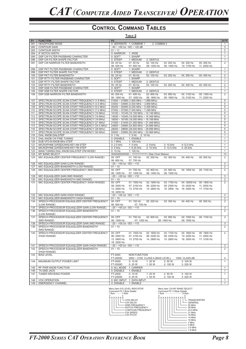| <b>P2</b><br><b>BYTE</b><br><b>P1</b><br><b>FUNCTION</b><br><b>HEADPHONE MODE</b><br>0: SEPARATE 1: COMBINE 1<br>091<br>2: COMBIN 2<br>1<br>$-40 \sim +00$ (or $-00 \sim +20$ dB<br>$\overline{3}$<br>092<br><b>CONTOUR GAIN</b><br>$\overline{2}$<br>093<br><b>CONTOUR WIDTH</b><br>$01 - 11$<br>094<br>IF NOTCH WIDTH<br>0: NARROW 1: WIDE<br>$\mathbf{1}$<br>095<br>DSP CW FILTER PASSBAND CHARACTER<br>0:SOFT<br>1: SHARP<br>$\mathbf{1}$<br>096<br>DSP CW FILTER SHAPE FACTOR<br>0: STEEP<br>1: MEDIUM<br>2: GENTLE<br>$\mathbf{1}$<br>$\overline{2}$<br>097<br>DSP CW NARROW FILTER BANDWIDTH<br>00: 25 Hz<br>01:50 Hz<br>02: 100 Hz<br>03: 200 Hz<br>04: 300 Hz<br>05: 400 Hz<br>06: 500 Hz<br>07: 800 Hz<br>08: 1200 Hz<br>09: 1400 Hz<br>10: 1700 Hz<br>11: 2000 Hz<br>DSP PKT FILTER PASSBAND CHARACTER<br>0: SOFT<br>1: SHARP<br>$\mathbf{1}$<br>098<br>099<br>DSP PKT FILTER SHAPE FACTOR<br>0: STEEP<br>1: MEDIUM<br>2: GENTLE<br>$\mathbf{1}$<br>$\overline{c}$<br>100<br>DSP PKT FILTER BANDWIDTH<br>00: 25 Hz<br>01:50 Hz<br>02: 100 Hz<br>03: 200 Hz<br>05: 400 Hz<br>04: 300 Hz<br>101<br>DSP RTTY FILTER PASSBAND CHARACTER<br>0: SOFT<br>1: SHARP<br>$\mathbf{1}$<br>102<br>DSP RTTY FILTER SHAPE FACTOR<br>0: STEEP<br>1: MEDIUM<br>2: GENTLE<br>$\mathbf{1}$<br>DSP RTTY FILTER BANDWIDTH<br>2<br>103<br>00: 25 Hz<br>01:50 Hz<br>02: 100 Hz<br>03: 200 Hz<br>04: 300 Hz<br>05: 400 Hz<br>104<br>DSP SSB FILTER PASSBAND CHARACTER<br>0: SOFT<br>1: SHARP<br>$\mathbf{1}$<br>$\mathbf{1}$<br>105<br>DSP SSB FILTER SHAPE FACTOR<br>0: STEEP<br>1: MEDIUM<br>2: GENTLE<br>DSP SSB NARROW FILTER BANDWIDTH<br>$\overline{2}$<br>106<br>00: 200 Hz<br>01:400 Hz<br>02: 600 Hz<br>03: 850 Hz<br>05: 1350 Hz<br>04: 1100 Hz<br>06: 1500 Hz<br>07: 1650 Hz<br>08: 1800 Hz<br>09: 1950 Hz<br>10: 2100 Hz<br>11: 2250 Hz<br>SPECTRUM SCOPE SCAN START FREQUENCY (1.8 MHz)<br>$01800 \sim 01999$ (1.800 MHz ~ 1.999 MHz)<br>5<br>107<br>5<br>108<br>SPECTRUM SCOPE SCAN START FREQUENCY (3.5 MHz)<br>03500 ~ 03999 (3.500 MHz ~ 3.999 MHz)<br>$\overline{5}$<br>109<br>SPECTRUM SCOPE SCAN START FREQUENCY (5.0 MHz)<br>$05250 \sim 05499$ (5.250 MHz ~ 5.499 MHz)<br>SPECTRUM SCOPE SCAN START FREQUENCY (7.0 MHz)<br>5<br>110<br>07000 ~ 07299 (7.000 MHz ~ 7.299 MHz<br>111<br>SPECTRUM SCOPE SCAN START FREQUENCY (10 MHz)<br>10100 ~ 10149 (10.100 MHz ~ 10.149 MHz)<br>5<br>5<br>SPECTRUM SCOPE SCAN START FREQUENCY (14 MHz)<br>14000 ~ 14349 (14.000 MHz ~ 14.349 MHz)<br>112<br>113<br>SPECTRUM SCOPE SCAN START FREQUENCY (18 MHz)<br>18000 ~ 18199 (18.000 MHz ~ 18.199 MHz<br>5<br>SPECTRUM SCOPE SCAN START FREQUENCY (21 MHz)<br>5<br>114<br>21000 ~ 21449 (21.000 MHz ~ 21.449 MHz)<br>115<br>SPECTRUM SCOPE SCAN START FREQUENCY (24.5 MHz)<br>24800 ~ 24989 (24.800 MHz ~ 24.989 MHz)<br>5<br>116<br>SPECTRUM SCOPE SCAN START FREQUENCY (28 MHz)<br>28000 ~ 29699 (28.000 MHz ~ 29.699 MHz)<br>5<br>SPECTRUM SCOPE SCAN START FREQUENCY (50 MHz)<br>5<br>117<br>50000 ~ 53999 (50.000 MHz ~ 53.999 MHz)<br>DIAL KNOB DIALSTEP<br>$0:1$ Hz<br>1:5 Hz 2:10 Hz<br>$\mathbf{1}$<br>118<br>$\mathbf{1}$<br>119<br>DIAL KNOB CW FINE TUNING<br>0: DISABLE<br>1: ENABLE<br>120<br>SUB VFO-B KNOB MHz STEP<br>1: 100 kHz<br>$\mathbf{1}$<br>0:1 MHz<br>MICROPHNE [UP]/[DOWN] KEY AM STEP<br>$\mathbf{1}$<br>121<br>0: 2.5 kHz<br>$1:5$ kHz<br>2: 9 kHz<br>3: 10 kHz<br>4:12.5 kHz<br>MICROPHNE [UP]/[DOWN] KEY FM STEP<br>$1: 6.25$ kHz<br>2: 10 kHz<br>3: 12.5 kHz<br>$\mathbf{1}$<br>122<br>$0:5$ kHz<br>4: 25 kHz<br>123<br>MAIN TUNING DIAL KNOB DIALSTEP (FM MODE)<br>0:10 Hz<br>1:100 Hz<br>$\mathbf{1}$<br>13<br>124<br>MY BAND SELECT<br>0000000000000 ~ 1111111111111 (See Chart Below)<br>125<br>MIC EQUAQLIZER CENTER FREQUENCY (LOW RANGE)<br>00: OFF<br>01: 100 Hz<br>02: 200 Hz<br>03: 300 Hz<br>04: 400 Hz<br>05: 500 Hz<br>2<br>06: 600 Hz<br>07: 700 Hz<br>$\overline{3}$<br>MIC EQUAQLIZER GAIN (LOW RANGE)<br>$-20 \sim +00$ (or $-00 \sim +10$<br>126<br>MIC EQUAQLIZER BANDWIDTH (LOW RANGE)<br>$01 - 10$<br>2<br>127<br>MIC EQUAQLIZER CENTER FREQUENCY (MID RANGE)<br>00: OFF<br>$\overline{2}$<br>128<br>01:700 Hz<br>02: 800 Hz<br>03: 900 Hz<br>04: 1000 Hz<br>05: 1100 Hz<br>06: 1200 Hz<br>07: 1300 Hz<br>08: 1400 Hz<br>09: 1500 Hz<br>$\sqrt{3}$<br>129<br>MIC EQUAQLIZER GAIN (MID RANGE)<br>$-20 \sim +00$ (or $-00 \sim +10$<br>130<br>MIC EQUAQLIZER BANDWIDTH (MID RANGE)<br>$01 - 10$<br>2<br>$\overline{2}$<br>131<br>MIC EQUAQLIZER CENTER FREQUENCY (HIGH RANGE)<br>00: OFF<br>01: 1500 Hz<br>02: 1600 Hz<br>03: 1700 Hz<br>04: 18000 Hz 05: 1900 Hz<br>08: 2200 Hz<br>09: 2300 Hz<br>11: 2500 Hz<br>06: 2000 Hz<br>07: 2100 Hz<br>10: 2400 Hz<br>12: 2600 Hz<br>13: 2700 Hz<br>14: 2800 Hz<br>15: 2900 Hz 16: 3000 Hz<br>17: 3100 Hz<br>18: 3200 Hz<br>MIC EQUAQLIZER GAIN (HIGH RANGE)<br>$-20 \sim +00$ (or $-00$ ) $\sim +10$<br>3<br>132<br>MIC EQUAQLIZER BANDWIDTH (HIGH RANGE)<br>$01 - 10$<br>2<br>133<br>134<br>SPEECH PROCESSOR EQUAQLIZER CENTER FREQUENCY<br>00: OFF<br>01: 100 Hz<br>02: 200 Hz<br>03: 300 Hz<br>05: 500 Hz<br>2<br>04: 400 Hz<br>(LOW RANGE)<br>06: 600 Hz<br>07: 700 Hz<br>SPEECH PROCESSOR EQUAQLIZER GAIN (LOW RANGE)<br>$-20 \sim +00$ (or $-00 \sim +10$<br>3<br>135<br>136<br>SPEECH PROCESSOR EQUAQLIZER BANDWIDTH<br>$01 - 10$<br>2<br>(LOW RANGE)<br>SPEECH PROCESSOR EQUAQLIZER CENTER FREQUENCY<br>$\overline{2}$<br>137<br>00: OFF<br>01:700 Hz<br>02: 800 Hz<br>03: 900 Hz<br>04: 1000 Hz<br>05: 1100 Hz<br>(MID RANGE)<br>06: 1200 Hz<br>07: 1300 Hz<br>08: 1400 Hz<br>09: 1500 Hz<br>SPEECH PROCESSOR EQUAQLIZER GAIN (MID RANGE)<br>$-20 \sim +00$ (or $-00 \sim +10$ )<br>3<br>138<br>SPEECH PROCESSOR EQUAQLIZER BANDWIDTH<br>$\overline{c}$<br>138<br>$01 - 10$<br>(MID RANGE)<br>SPEECH PROCESSOR EQUAQLIZER CENTER FREQUENCY<br>$\overline{2}$<br>140<br>00: OFF<br>01: 1500 Hz<br>02: 1600 Hz<br>03: 1700 Hz<br>04: 1800 Hz<br>05: 1900 Hz<br>06: 2000 Hz<br>(HIGH RANGE)<br>07: 2100 Hz<br>08: 2200 Hz<br>09: 2300 Hz<br>10: 2400 Hz<br>11: 2500 Hz<br>12: 2600 Hz<br>13: 2700 Hz<br>14: 2800 Hz<br>15: 2900 Hz<br>16: 3000 Hz<br>17:3100 Hz<br>18: 3200 Hz<br>$\overline{3}$<br>SPEECH PROCESSOR EQUAQLIZER GAIN (HIGH RANGE)<br>$-20 \sim +00$ (or $-00 \sim +10$ )<br>141<br>SPEECH PROCESSOR EQUAQLIZER BANDWIDTH<br>$01 - 10$<br>2<br>142<br>(HIGH RANGE)<br>143<br><b>BIAS LEVEL</b><br>FT-2000<br><b>NON FUNCTION</b><br>FT-2000D<br>1000: CLASS AB<br>0000 ~ 0100: CLASS A (BIAS LEVEL)<br>4<br>MAXIMUM OUTPUT POWER LIMIT<br>FT-2000<br>0:10 W<br>1:20 W<br>2:50 W<br>3:100 W<br>$\mathbf{1}$<br>144<br>FT-2000D<br>0:20 W<br>1:50 W<br>2: 100 W<br>3:200 W<br>145<br>RF PWR KNOB FUNCTION<br>0: ALL MODE 1: CARRIER<br>$\mathbf{1}$<br>146<br>TX-GND JACK<br>0: DISABLE<br>1: ENABLE<br>$\mathbf{1}$<br>TUNER DRIVEING POWER<br>FT-2000<br>147<br>0:10 W<br>1:20 W<br>2:50 W<br>3:100 W<br>$\mathbf{1}$<br>FT-2000D<br>0:20 W<br>1:50 W<br>2: 100 W<br>3:200 W<br><b>VOX OPERATION</b><br>0: MIC INPUT 1: DATA INPUT<br>$\mathbf{1}$<br>148<br>149<br><b>EMERGENCY CHANNEL</b><br>0: DISABLE<br>1: ENABLE<br>1 |  | Table 2 |  |
|----------------------------------------------------------------------------------------------------------------------------------------------------------------------------------------------------------------------------------------------------------------------------------------------------------------------------------------------------------------------------------------------------------------------------------------------------------------------------------------------------------------------------------------------------------------------------------------------------------------------------------------------------------------------------------------------------------------------------------------------------------------------------------------------------------------------------------------------------------------------------------------------------------------------------------------------------------------------------------------------------------------------------------------------------------------------------------------------------------------------------------------------------------------------------------------------------------------------------------------------------------------------------------------------------------------------------------------------------------------------------------------------------------------------------------------------------------------------------------------------------------------------------------------------------------------------------------------------------------------------------------------------------------------------------------------------------------------------------------------------------------------------------------------------------------------------------------------------------------------------------------------------------------------------------------------------------------------------------------------------------------------------------------------------------------------------------------------------------------------------------------------------------------------------------------------------------------------------------------------------------------------------------------------------------------------------------------------------------------------------------------------------------------------------------------------------------------------------------------------------------------------------------------------------------------------------------------------------------------------------------------------------------------------------------------------------------------------------------------------------------------------------------------------------------------------------------------------------------------------------------------------------------------------------------------------------------------------------------------------------------------------------------------------------------------------------------------------------------------------------------------------------------------------------------------------------------------------------------------------------------------------------------------------------------------------------------------------------------------------------------------------------------------------------------------------------------------------------------------------------------------------------------------------------------------------------------------------------------------------------------------------------------------------------------------------------------------------------------------------------------------------------------------------------------------------------------------------------------------------------------------------------------------------------------------------------------------------------------------------------------------------------------------------------------------------------------------------------------------------------------------------------------------------------------------------------------------------------------------------------------------------------------------------------------------------------------------------------------------------------------------------------------------------------------------------------------------------------------------------------------------------------------------------------------------------------------------------------------------------------------------------------------------------------------------------------------------------------------------------------------------------------------------------------------------------------------------------------------------------------------------------------------------------------------------------------------------------------------------------------------------------------------------------------------------------------------------------------------------------------------------------------------------------------------------------------------------------------------------------------------------------------------------------------------------------------------------------------------------------------------------------------------------------------------------------------------------------------------------------------------------------------------------------------------------------------------------------------------------------------------------------------------------------------------------------------------------------------------------------------------------------------------------------------------------------------------------------------------------------------------------------------------------------------------------------------------------------------------------------------------------------------------------------------------------------------------------------------------------------------------------------------------------------------------------------------------------------------------------------------------------------------------------------------------------------------------------------------------------------------------------------------------------------------------------------------------------------------------------------------------------------------------------------------------------------------------------------------------------------------------------------------------------------------------------------------------------------------------------------------------------------------------------------------------------------------------------------------------------------------------------------------------------------------------------------------------------------------------------------------------------------------------------------------------------------------------------------------------------------------------------------------|--|---------|--|
|                                                                                                                                                                                                                                                                                                                                                                                                                                                                                                                                                                                                                                                                                                                                                                                                                                                                                                                                                                                                                                                                                                                                                                                                                                                                                                                                                                                                                                                                                                                                                                                                                                                                                                                                                                                                                                                                                                                                                                                                                                                                                                                                                                                                                                                                                                                                                                                                                                                                                                                                                                                                                                                                                                                                                                                                                                                                                                                                                                                                                                                                                                                                                                                                                                                                                                                                                                                                                                                                                                                                                                                                                                                                                                                                                                                                                                                                                                                                                                                                                                                                                                                                                                                                                                                                                                                                                                                                                                                                                                                                                                                                                                                                                                                                                                                                                                                                                                                                                                                                                                                                                                                                                                                                                                                                                                                                                                                                                                                                                                                                                                                                                                                                                                                                                                                                                                                                                                                                                                                                                                                                                                                                                                                                                                                                                                                                                                                                                                                                                                                                                                                                                                                                                                                                                                                                                                                                                                                                                                                                                                                                                                                                              |  |         |  |
|                                                                                                                                                                                                                                                                                                                                                                                                                                                                                                                                                                                                                                                                                                                                                                                                                                                                                                                                                                                                                                                                                                                                                                                                                                                                                                                                                                                                                                                                                                                                                                                                                                                                                                                                                                                                                                                                                                                                                                                                                                                                                                                                                                                                                                                                                                                                                                                                                                                                                                                                                                                                                                                                                                                                                                                                                                                                                                                                                                                                                                                                                                                                                                                                                                                                                                                                                                                                                                                                                                                                                                                                                                                                                                                                                                                                                                                                                                                                                                                                                                                                                                                                                                                                                                                                                                                                                                                                                                                                                                                                                                                                                                                                                                                                                                                                                                                                                                                                                                                                                                                                                                                                                                                                                                                                                                                                                                                                                                                                                                                                                                                                                                                                                                                                                                                                                                                                                                                                                                                                                                                                                                                                                                                                                                                                                                                                                                                                                                                                                                                                                                                                                                                                                                                                                                                                                                                                                                                                                                                                                                                                                                                                              |  |         |  |
|                                                                                                                                                                                                                                                                                                                                                                                                                                                                                                                                                                                                                                                                                                                                                                                                                                                                                                                                                                                                                                                                                                                                                                                                                                                                                                                                                                                                                                                                                                                                                                                                                                                                                                                                                                                                                                                                                                                                                                                                                                                                                                                                                                                                                                                                                                                                                                                                                                                                                                                                                                                                                                                                                                                                                                                                                                                                                                                                                                                                                                                                                                                                                                                                                                                                                                                                                                                                                                                                                                                                                                                                                                                                                                                                                                                                                                                                                                                                                                                                                                                                                                                                                                                                                                                                                                                                                                                                                                                                                                                                                                                                                                                                                                                                                                                                                                                                                                                                                                                                                                                                                                                                                                                                                                                                                                                                                                                                                                                                                                                                                                                                                                                                                                                                                                                                                                                                                                                                                                                                                                                                                                                                                                                                                                                                                                                                                                                                                                                                                                                                                                                                                                                                                                                                                                                                                                                                                                                                                                                                                                                                                                                                              |  |         |  |
|                                                                                                                                                                                                                                                                                                                                                                                                                                                                                                                                                                                                                                                                                                                                                                                                                                                                                                                                                                                                                                                                                                                                                                                                                                                                                                                                                                                                                                                                                                                                                                                                                                                                                                                                                                                                                                                                                                                                                                                                                                                                                                                                                                                                                                                                                                                                                                                                                                                                                                                                                                                                                                                                                                                                                                                                                                                                                                                                                                                                                                                                                                                                                                                                                                                                                                                                                                                                                                                                                                                                                                                                                                                                                                                                                                                                                                                                                                                                                                                                                                                                                                                                                                                                                                                                                                                                                                                                                                                                                                                                                                                                                                                                                                                                                                                                                                                                                                                                                                                                                                                                                                                                                                                                                                                                                                                                                                                                                                                                                                                                                                                                                                                                                                                                                                                                                                                                                                                                                                                                                                                                                                                                                                                                                                                                                                                                                                                                                                                                                                                                                                                                                                                                                                                                                                                                                                                                                                                                                                                                                                                                                                                                              |  |         |  |
|                                                                                                                                                                                                                                                                                                                                                                                                                                                                                                                                                                                                                                                                                                                                                                                                                                                                                                                                                                                                                                                                                                                                                                                                                                                                                                                                                                                                                                                                                                                                                                                                                                                                                                                                                                                                                                                                                                                                                                                                                                                                                                                                                                                                                                                                                                                                                                                                                                                                                                                                                                                                                                                                                                                                                                                                                                                                                                                                                                                                                                                                                                                                                                                                                                                                                                                                                                                                                                                                                                                                                                                                                                                                                                                                                                                                                                                                                                                                                                                                                                                                                                                                                                                                                                                                                                                                                                                                                                                                                                                                                                                                                                                                                                                                                                                                                                                                                                                                                                                                                                                                                                                                                                                                                                                                                                                                                                                                                                                                                                                                                                                                                                                                                                                                                                                                                                                                                                                                                                                                                                                                                                                                                                                                                                                                                                                                                                                                                                                                                                                                                                                                                                                                                                                                                                                                                                                                                                                                                                                                                                                                                                                                              |  |         |  |
|                                                                                                                                                                                                                                                                                                                                                                                                                                                                                                                                                                                                                                                                                                                                                                                                                                                                                                                                                                                                                                                                                                                                                                                                                                                                                                                                                                                                                                                                                                                                                                                                                                                                                                                                                                                                                                                                                                                                                                                                                                                                                                                                                                                                                                                                                                                                                                                                                                                                                                                                                                                                                                                                                                                                                                                                                                                                                                                                                                                                                                                                                                                                                                                                                                                                                                                                                                                                                                                                                                                                                                                                                                                                                                                                                                                                                                                                                                                                                                                                                                                                                                                                                                                                                                                                                                                                                                                                                                                                                                                                                                                                                                                                                                                                                                                                                                                                                                                                                                                                                                                                                                                                                                                                                                                                                                                                                                                                                                                                                                                                                                                                                                                                                                                                                                                                                                                                                                                                                                                                                                                                                                                                                                                                                                                                                                                                                                                                                                                                                                                                                                                                                                                                                                                                                                                                                                                                                                                                                                                                                                                                                                                                              |  |         |  |
|                                                                                                                                                                                                                                                                                                                                                                                                                                                                                                                                                                                                                                                                                                                                                                                                                                                                                                                                                                                                                                                                                                                                                                                                                                                                                                                                                                                                                                                                                                                                                                                                                                                                                                                                                                                                                                                                                                                                                                                                                                                                                                                                                                                                                                                                                                                                                                                                                                                                                                                                                                                                                                                                                                                                                                                                                                                                                                                                                                                                                                                                                                                                                                                                                                                                                                                                                                                                                                                                                                                                                                                                                                                                                                                                                                                                                                                                                                                                                                                                                                                                                                                                                                                                                                                                                                                                                                                                                                                                                                                                                                                                                                                                                                                                                                                                                                                                                                                                                                                                                                                                                                                                                                                                                                                                                                                                                                                                                                                                                                                                                                                                                                                                                                                                                                                                                                                                                                                                                                                                                                                                                                                                                                                                                                                                                                                                                                                                                                                                                                                                                                                                                                                                                                                                                                                                                                                                                                                                                                                                                                                                                                                                              |  |         |  |
|                                                                                                                                                                                                                                                                                                                                                                                                                                                                                                                                                                                                                                                                                                                                                                                                                                                                                                                                                                                                                                                                                                                                                                                                                                                                                                                                                                                                                                                                                                                                                                                                                                                                                                                                                                                                                                                                                                                                                                                                                                                                                                                                                                                                                                                                                                                                                                                                                                                                                                                                                                                                                                                                                                                                                                                                                                                                                                                                                                                                                                                                                                                                                                                                                                                                                                                                                                                                                                                                                                                                                                                                                                                                                                                                                                                                                                                                                                                                                                                                                                                                                                                                                                                                                                                                                                                                                                                                                                                                                                                                                                                                                                                                                                                                                                                                                                                                                                                                                                                                                                                                                                                                                                                                                                                                                                                                                                                                                                                                                                                                                                                                                                                                                                                                                                                                                                                                                                                                                                                                                                                                                                                                                                                                                                                                                                                                                                                                                                                                                                                                                                                                                                                                                                                                                                                                                                                                                                                                                                                                                                                                                                                                              |  |         |  |
|                                                                                                                                                                                                                                                                                                                                                                                                                                                                                                                                                                                                                                                                                                                                                                                                                                                                                                                                                                                                                                                                                                                                                                                                                                                                                                                                                                                                                                                                                                                                                                                                                                                                                                                                                                                                                                                                                                                                                                                                                                                                                                                                                                                                                                                                                                                                                                                                                                                                                                                                                                                                                                                                                                                                                                                                                                                                                                                                                                                                                                                                                                                                                                                                                                                                                                                                                                                                                                                                                                                                                                                                                                                                                                                                                                                                                                                                                                                                                                                                                                                                                                                                                                                                                                                                                                                                                                                                                                                                                                                                                                                                                                                                                                                                                                                                                                                                                                                                                                                                                                                                                                                                                                                                                                                                                                                                                                                                                                                                                                                                                                                                                                                                                                                                                                                                                                                                                                                                                                                                                                                                                                                                                                                                                                                                                                                                                                                                                                                                                                                                                                                                                                                                                                                                                                                                                                                                                                                                                                                                                                                                                                                                              |  |         |  |
|                                                                                                                                                                                                                                                                                                                                                                                                                                                                                                                                                                                                                                                                                                                                                                                                                                                                                                                                                                                                                                                                                                                                                                                                                                                                                                                                                                                                                                                                                                                                                                                                                                                                                                                                                                                                                                                                                                                                                                                                                                                                                                                                                                                                                                                                                                                                                                                                                                                                                                                                                                                                                                                                                                                                                                                                                                                                                                                                                                                                                                                                                                                                                                                                                                                                                                                                                                                                                                                                                                                                                                                                                                                                                                                                                                                                                                                                                                                                                                                                                                                                                                                                                                                                                                                                                                                                                                                                                                                                                                                                                                                                                                                                                                                                                                                                                                                                                                                                                                                                                                                                                                                                                                                                                                                                                                                                                                                                                                                                                                                                                                                                                                                                                                                                                                                                                                                                                                                                                                                                                                                                                                                                                                                                                                                                                                                                                                                                                                                                                                                                                                                                                                                                                                                                                                                                                                                                                                                                                                                                                                                                                                                                              |  |         |  |
|                                                                                                                                                                                                                                                                                                                                                                                                                                                                                                                                                                                                                                                                                                                                                                                                                                                                                                                                                                                                                                                                                                                                                                                                                                                                                                                                                                                                                                                                                                                                                                                                                                                                                                                                                                                                                                                                                                                                                                                                                                                                                                                                                                                                                                                                                                                                                                                                                                                                                                                                                                                                                                                                                                                                                                                                                                                                                                                                                                                                                                                                                                                                                                                                                                                                                                                                                                                                                                                                                                                                                                                                                                                                                                                                                                                                                                                                                                                                                                                                                                                                                                                                                                                                                                                                                                                                                                                                                                                                                                                                                                                                                                                                                                                                                                                                                                                                                                                                                                                                                                                                                                                                                                                                                                                                                                                                                                                                                                                                                                                                                                                                                                                                                                                                                                                                                                                                                                                                                                                                                                                                                                                                                                                                                                                                                                                                                                                                                                                                                                                                                                                                                                                                                                                                                                                                                                                                                                                                                                                                                                                                                                                                              |  |         |  |
|                                                                                                                                                                                                                                                                                                                                                                                                                                                                                                                                                                                                                                                                                                                                                                                                                                                                                                                                                                                                                                                                                                                                                                                                                                                                                                                                                                                                                                                                                                                                                                                                                                                                                                                                                                                                                                                                                                                                                                                                                                                                                                                                                                                                                                                                                                                                                                                                                                                                                                                                                                                                                                                                                                                                                                                                                                                                                                                                                                                                                                                                                                                                                                                                                                                                                                                                                                                                                                                                                                                                                                                                                                                                                                                                                                                                                                                                                                                                                                                                                                                                                                                                                                                                                                                                                                                                                                                                                                                                                                                                                                                                                                                                                                                                                                                                                                                                                                                                                                                                                                                                                                                                                                                                                                                                                                                                                                                                                                                                                                                                                                                                                                                                                                                                                                                                                                                                                                                                                                                                                                                                                                                                                                                                                                                                                                                                                                                                                                                                                                                                                                                                                                                                                                                                                                                                                                                                                                                                                                                                                                                                                                                                              |  |         |  |
|                                                                                                                                                                                                                                                                                                                                                                                                                                                                                                                                                                                                                                                                                                                                                                                                                                                                                                                                                                                                                                                                                                                                                                                                                                                                                                                                                                                                                                                                                                                                                                                                                                                                                                                                                                                                                                                                                                                                                                                                                                                                                                                                                                                                                                                                                                                                                                                                                                                                                                                                                                                                                                                                                                                                                                                                                                                                                                                                                                                                                                                                                                                                                                                                                                                                                                                                                                                                                                                                                                                                                                                                                                                                                                                                                                                                                                                                                                                                                                                                                                                                                                                                                                                                                                                                                                                                                                                                                                                                                                                                                                                                                                                                                                                                                                                                                                                                                                                                                                                                                                                                                                                                                                                                                                                                                                                                                                                                                                                                                                                                                                                                                                                                                                                                                                                                                                                                                                                                                                                                                                                                                                                                                                                                                                                                                                                                                                                                                                                                                                                                                                                                                                                                                                                                                                                                                                                                                                                                                                                                                                                                                                                                              |  |         |  |
|                                                                                                                                                                                                                                                                                                                                                                                                                                                                                                                                                                                                                                                                                                                                                                                                                                                                                                                                                                                                                                                                                                                                                                                                                                                                                                                                                                                                                                                                                                                                                                                                                                                                                                                                                                                                                                                                                                                                                                                                                                                                                                                                                                                                                                                                                                                                                                                                                                                                                                                                                                                                                                                                                                                                                                                                                                                                                                                                                                                                                                                                                                                                                                                                                                                                                                                                                                                                                                                                                                                                                                                                                                                                                                                                                                                                                                                                                                                                                                                                                                                                                                                                                                                                                                                                                                                                                                                                                                                                                                                                                                                                                                                                                                                                                                                                                                                                                                                                                                                                                                                                                                                                                                                                                                                                                                                                                                                                                                                                                                                                                                                                                                                                                                                                                                                                                                                                                                                                                                                                                                                                                                                                                                                                                                                                                                                                                                                                                                                                                                                                                                                                                                                                                                                                                                                                                                                                                                                                                                                                                                                                                                                                              |  |         |  |
|                                                                                                                                                                                                                                                                                                                                                                                                                                                                                                                                                                                                                                                                                                                                                                                                                                                                                                                                                                                                                                                                                                                                                                                                                                                                                                                                                                                                                                                                                                                                                                                                                                                                                                                                                                                                                                                                                                                                                                                                                                                                                                                                                                                                                                                                                                                                                                                                                                                                                                                                                                                                                                                                                                                                                                                                                                                                                                                                                                                                                                                                                                                                                                                                                                                                                                                                                                                                                                                                                                                                                                                                                                                                                                                                                                                                                                                                                                                                                                                                                                                                                                                                                                                                                                                                                                                                                                                                                                                                                                                                                                                                                                                                                                                                                                                                                                                                                                                                                                                                                                                                                                                                                                                                                                                                                                                                                                                                                                                                                                                                                                                                                                                                                                                                                                                                                                                                                                                                                                                                                                                                                                                                                                                                                                                                                                                                                                                                                                                                                                                                                                                                                                                                                                                                                                                                                                                                                                                                                                                                                                                                                                                                              |  |         |  |
|                                                                                                                                                                                                                                                                                                                                                                                                                                                                                                                                                                                                                                                                                                                                                                                                                                                                                                                                                                                                                                                                                                                                                                                                                                                                                                                                                                                                                                                                                                                                                                                                                                                                                                                                                                                                                                                                                                                                                                                                                                                                                                                                                                                                                                                                                                                                                                                                                                                                                                                                                                                                                                                                                                                                                                                                                                                                                                                                                                                                                                                                                                                                                                                                                                                                                                                                                                                                                                                                                                                                                                                                                                                                                                                                                                                                                                                                                                                                                                                                                                                                                                                                                                                                                                                                                                                                                                                                                                                                                                                                                                                                                                                                                                                                                                                                                                                                                                                                                                                                                                                                                                                                                                                                                                                                                                                                                                                                                                                                                                                                                                                                                                                                                                                                                                                                                                                                                                                                                                                                                                                                                                                                                                                                                                                                                                                                                                                                                                                                                                                                                                                                                                                                                                                                                                                                                                                                                                                                                                                                                                                                                                                                              |  |         |  |
|                                                                                                                                                                                                                                                                                                                                                                                                                                                                                                                                                                                                                                                                                                                                                                                                                                                                                                                                                                                                                                                                                                                                                                                                                                                                                                                                                                                                                                                                                                                                                                                                                                                                                                                                                                                                                                                                                                                                                                                                                                                                                                                                                                                                                                                                                                                                                                                                                                                                                                                                                                                                                                                                                                                                                                                                                                                                                                                                                                                                                                                                                                                                                                                                                                                                                                                                                                                                                                                                                                                                                                                                                                                                                                                                                                                                                                                                                                                                                                                                                                                                                                                                                                                                                                                                                                                                                                                                                                                                                                                                                                                                                                                                                                                                                                                                                                                                                                                                                                                                                                                                                                                                                                                                                                                                                                                                                                                                                                                                                                                                                                                                                                                                                                                                                                                                                                                                                                                                                                                                                                                                                                                                                                                                                                                                                                                                                                                                                                                                                                                                                                                                                                                                                                                                                                                                                                                                                                                                                                                                                                                                                                                                              |  |         |  |
|                                                                                                                                                                                                                                                                                                                                                                                                                                                                                                                                                                                                                                                                                                                                                                                                                                                                                                                                                                                                                                                                                                                                                                                                                                                                                                                                                                                                                                                                                                                                                                                                                                                                                                                                                                                                                                                                                                                                                                                                                                                                                                                                                                                                                                                                                                                                                                                                                                                                                                                                                                                                                                                                                                                                                                                                                                                                                                                                                                                                                                                                                                                                                                                                                                                                                                                                                                                                                                                                                                                                                                                                                                                                                                                                                                                                                                                                                                                                                                                                                                                                                                                                                                                                                                                                                                                                                                                                                                                                                                                                                                                                                                                                                                                                                                                                                                                                                                                                                                                                                                                                                                                                                                                                                                                                                                                                                                                                                                                                                                                                                                                                                                                                                                                                                                                                                                                                                                                                                                                                                                                                                                                                                                                                                                                                                                                                                                                                                                                                                                                                                                                                                                                                                                                                                                                                                                                                                                                                                                                                                                                                                                                                              |  |         |  |
|                                                                                                                                                                                                                                                                                                                                                                                                                                                                                                                                                                                                                                                                                                                                                                                                                                                                                                                                                                                                                                                                                                                                                                                                                                                                                                                                                                                                                                                                                                                                                                                                                                                                                                                                                                                                                                                                                                                                                                                                                                                                                                                                                                                                                                                                                                                                                                                                                                                                                                                                                                                                                                                                                                                                                                                                                                                                                                                                                                                                                                                                                                                                                                                                                                                                                                                                                                                                                                                                                                                                                                                                                                                                                                                                                                                                                                                                                                                                                                                                                                                                                                                                                                                                                                                                                                                                                                                                                                                                                                                                                                                                                                                                                                                                                                                                                                                                                                                                                                                                                                                                                                                                                                                                                                                                                                                                                                                                                                                                                                                                                                                                                                                                                                                                                                                                                                                                                                                                                                                                                                                                                                                                                                                                                                                                                                                                                                                                                                                                                                                                                                                                                                                                                                                                                                                                                                                                                                                                                                                                                                                                                                                                              |  |         |  |
|                                                                                                                                                                                                                                                                                                                                                                                                                                                                                                                                                                                                                                                                                                                                                                                                                                                                                                                                                                                                                                                                                                                                                                                                                                                                                                                                                                                                                                                                                                                                                                                                                                                                                                                                                                                                                                                                                                                                                                                                                                                                                                                                                                                                                                                                                                                                                                                                                                                                                                                                                                                                                                                                                                                                                                                                                                                                                                                                                                                                                                                                                                                                                                                                                                                                                                                                                                                                                                                                                                                                                                                                                                                                                                                                                                                                                                                                                                                                                                                                                                                                                                                                                                                                                                                                                                                                                                                                                                                                                                                                                                                                                                                                                                                                                                                                                                                                                                                                                                                                                                                                                                                                                                                                                                                                                                                                                                                                                                                                                                                                                                                                                                                                                                                                                                                                                                                                                                                                                                                                                                                                                                                                                                                                                                                                                                                                                                                                                                                                                                                                                                                                                                                                                                                                                                                                                                                                                                                                                                                                                                                                                                                                              |  |         |  |
|                                                                                                                                                                                                                                                                                                                                                                                                                                                                                                                                                                                                                                                                                                                                                                                                                                                                                                                                                                                                                                                                                                                                                                                                                                                                                                                                                                                                                                                                                                                                                                                                                                                                                                                                                                                                                                                                                                                                                                                                                                                                                                                                                                                                                                                                                                                                                                                                                                                                                                                                                                                                                                                                                                                                                                                                                                                                                                                                                                                                                                                                                                                                                                                                                                                                                                                                                                                                                                                                                                                                                                                                                                                                                                                                                                                                                                                                                                                                                                                                                                                                                                                                                                                                                                                                                                                                                                                                                                                                                                                                                                                                                                                                                                                                                                                                                                                                                                                                                                                                                                                                                                                                                                                                                                                                                                                                                                                                                                                                                                                                                                                                                                                                                                                                                                                                                                                                                                                                                                                                                                                                                                                                                                                                                                                                                                                                                                                                                                                                                                                                                                                                                                                                                                                                                                                                                                                                                                                                                                                                                                                                                                                                              |  |         |  |
|                                                                                                                                                                                                                                                                                                                                                                                                                                                                                                                                                                                                                                                                                                                                                                                                                                                                                                                                                                                                                                                                                                                                                                                                                                                                                                                                                                                                                                                                                                                                                                                                                                                                                                                                                                                                                                                                                                                                                                                                                                                                                                                                                                                                                                                                                                                                                                                                                                                                                                                                                                                                                                                                                                                                                                                                                                                                                                                                                                                                                                                                                                                                                                                                                                                                                                                                                                                                                                                                                                                                                                                                                                                                                                                                                                                                                                                                                                                                                                                                                                                                                                                                                                                                                                                                                                                                                                                                                                                                                                                                                                                                                                                                                                                                                                                                                                                                                                                                                                                                                                                                                                                                                                                                                                                                                                                                                                                                                                                                                                                                                                                                                                                                                                                                                                                                                                                                                                                                                                                                                                                                                                                                                                                                                                                                                                                                                                                                                                                                                                                                                                                                                                                                                                                                                                                                                                                                                                                                                                                                                                                                                                                                              |  |         |  |
|                                                                                                                                                                                                                                                                                                                                                                                                                                                                                                                                                                                                                                                                                                                                                                                                                                                                                                                                                                                                                                                                                                                                                                                                                                                                                                                                                                                                                                                                                                                                                                                                                                                                                                                                                                                                                                                                                                                                                                                                                                                                                                                                                                                                                                                                                                                                                                                                                                                                                                                                                                                                                                                                                                                                                                                                                                                                                                                                                                                                                                                                                                                                                                                                                                                                                                                                                                                                                                                                                                                                                                                                                                                                                                                                                                                                                                                                                                                                                                                                                                                                                                                                                                                                                                                                                                                                                                                                                                                                                                                                                                                                                                                                                                                                                                                                                                                                                                                                                                                                                                                                                                                                                                                                                                                                                                                                                                                                                                                                                                                                                                                                                                                                                                                                                                                                                                                                                                                                                                                                                                                                                                                                                                                                                                                                                                                                                                                                                                                                                                                                                                                                                                                                                                                                                                                                                                                                                                                                                                                                                                                                                                                                              |  |         |  |
|                                                                                                                                                                                                                                                                                                                                                                                                                                                                                                                                                                                                                                                                                                                                                                                                                                                                                                                                                                                                                                                                                                                                                                                                                                                                                                                                                                                                                                                                                                                                                                                                                                                                                                                                                                                                                                                                                                                                                                                                                                                                                                                                                                                                                                                                                                                                                                                                                                                                                                                                                                                                                                                                                                                                                                                                                                                                                                                                                                                                                                                                                                                                                                                                                                                                                                                                                                                                                                                                                                                                                                                                                                                                                                                                                                                                                                                                                                                                                                                                                                                                                                                                                                                                                                                                                                                                                                                                                                                                                                                                                                                                                                                                                                                                                                                                                                                                                                                                                                                                                                                                                                                                                                                                                                                                                                                                                                                                                                                                                                                                                                                                                                                                                                                                                                                                                                                                                                                                                                                                                                                                                                                                                                                                                                                                                                                                                                                                                                                                                                                                                                                                                                                                                                                                                                                                                                                                                                                                                                                                                                                                                                                                              |  |         |  |
|                                                                                                                                                                                                                                                                                                                                                                                                                                                                                                                                                                                                                                                                                                                                                                                                                                                                                                                                                                                                                                                                                                                                                                                                                                                                                                                                                                                                                                                                                                                                                                                                                                                                                                                                                                                                                                                                                                                                                                                                                                                                                                                                                                                                                                                                                                                                                                                                                                                                                                                                                                                                                                                                                                                                                                                                                                                                                                                                                                                                                                                                                                                                                                                                                                                                                                                                                                                                                                                                                                                                                                                                                                                                                                                                                                                                                                                                                                                                                                                                                                                                                                                                                                                                                                                                                                                                                                                                                                                                                                                                                                                                                                                                                                                                                                                                                                                                                                                                                                                                                                                                                                                                                                                                                                                                                                                                                                                                                                                                                                                                                                                                                                                                                                                                                                                                                                                                                                                                                                                                                                                                                                                                                                                                                                                                                                                                                                                                                                                                                                                                                                                                                                                                                                                                                                                                                                                                                                                                                                                                                                                                                                                                              |  |         |  |
|                                                                                                                                                                                                                                                                                                                                                                                                                                                                                                                                                                                                                                                                                                                                                                                                                                                                                                                                                                                                                                                                                                                                                                                                                                                                                                                                                                                                                                                                                                                                                                                                                                                                                                                                                                                                                                                                                                                                                                                                                                                                                                                                                                                                                                                                                                                                                                                                                                                                                                                                                                                                                                                                                                                                                                                                                                                                                                                                                                                                                                                                                                                                                                                                                                                                                                                                                                                                                                                                                                                                                                                                                                                                                                                                                                                                                                                                                                                                                                                                                                                                                                                                                                                                                                                                                                                                                                                                                                                                                                                                                                                                                                                                                                                                                                                                                                                                                                                                                                                                                                                                                                                                                                                                                                                                                                                                                                                                                                                                                                                                                                                                                                                                                                                                                                                                                                                                                                                                                                                                                                                                                                                                                                                                                                                                                                                                                                                                                                                                                                                                                                                                                                                                                                                                                                                                                                                                                                                                                                                                                                                                                                                                              |  |         |  |
|                                                                                                                                                                                                                                                                                                                                                                                                                                                                                                                                                                                                                                                                                                                                                                                                                                                                                                                                                                                                                                                                                                                                                                                                                                                                                                                                                                                                                                                                                                                                                                                                                                                                                                                                                                                                                                                                                                                                                                                                                                                                                                                                                                                                                                                                                                                                                                                                                                                                                                                                                                                                                                                                                                                                                                                                                                                                                                                                                                                                                                                                                                                                                                                                                                                                                                                                                                                                                                                                                                                                                                                                                                                                                                                                                                                                                                                                                                                                                                                                                                                                                                                                                                                                                                                                                                                                                                                                                                                                                                                                                                                                                                                                                                                                                                                                                                                                                                                                                                                                                                                                                                                                                                                                                                                                                                                                                                                                                                                                                                                                                                                                                                                                                                                                                                                                                                                                                                                                                                                                                                                                                                                                                                                                                                                                                                                                                                                                                                                                                                                                                                                                                                                                                                                                                                                                                                                                                                                                                                                                                                                                                                                                              |  |         |  |
|                                                                                                                                                                                                                                                                                                                                                                                                                                                                                                                                                                                                                                                                                                                                                                                                                                                                                                                                                                                                                                                                                                                                                                                                                                                                                                                                                                                                                                                                                                                                                                                                                                                                                                                                                                                                                                                                                                                                                                                                                                                                                                                                                                                                                                                                                                                                                                                                                                                                                                                                                                                                                                                                                                                                                                                                                                                                                                                                                                                                                                                                                                                                                                                                                                                                                                                                                                                                                                                                                                                                                                                                                                                                                                                                                                                                                                                                                                                                                                                                                                                                                                                                                                                                                                                                                                                                                                                                                                                                                                                                                                                                                                                                                                                                                                                                                                                                                                                                                                                                                                                                                                                                                                                                                                                                                                                                                                                                                                                                                                                                                                                                                                                                                                                                                                                                                                                                                                                                                                                                                                                                                                                                                                                                                                                                                                                                                                                                                                                                                                                                                                                                                                                                                                                                                                                                                                                                                                                                                                                                                                                                                                                                              |  |         |  |
|                                                                                                                                                                                                                                                                                                                                                                                                                                                                                                                                                                                                                                                                                                                                                                                                                                                                                                                                                                                                                                                                                                                                                                                                                                                                                                                                                                                                                                                                                                                                                                                                                                                                                                                                                                                                                                                                                                                                                                                                                                                                                                                                                                                                                                                                                                                                                                                                                                                                                                                                                                                                                                                                                                                                                                                                                                                                                                                                                                                                                                                                                                                                                                                                                                                                                                                                                                                                                                                                                                                                                                                                                                                                                                                                                                                                                                                                                                                                                                                                                                                                                                                                                                                                                                                                                                                                                                                                                                                                                                                                                                                                                                                                                                                                                                                                                                                                                                                                                                                                                                                                                                                                                                                                                                                                                                                                                                                                                                                                                                                                                                                                                                                                                                                                                                                                                                                                                                                                                                                                                                                                                                                                                                                                                                                                                                                                                                                                                                                                                                                                                                                                                                                                                                                                                                                                                                                                                                                                                                                                                                                                                                                                              |  |         |  |
|                                                                                                                                                                                                                                                                                                                                                                                                                                                                                                                                                                                                                                                                                                                                                                                                                                                                                                                                                                                                                                                                                                                                                                                                                                                                                                                                                                                                                                                                                                                                                                                                                                                                                                                                                                                                                                                                                                                                                                                                                                                                                                                                                                                                                                                                                                                                                                                                                                                                                                                                                                                                                                                                                                                                                                                                                                                                                                                                                                                                                                                                                                                                                                                                                                                                                                                                                                                                                                                                                                                                                                                                                                                                                                                                                                                                                                                                                                                                                                                                                                                                                                                                                                                                                                                                                                                                                                                                                                                                                                                                                                                                                                                                                                                                                                                                                                                                                                                                                                                                                                                                                                                                                                                                                                                                                                                                                                                                                                                                                                                                                                                                                                                                                                                                                                                                                                                                                                                                                                                                                                                                                                                                                                                                                                                                                                                                                                                                                                                                                                                                                                                                                                                                                                                                                                                                                                                                                                                                                                                                                                                                                                                                              |  |         |  |
|                                                                                                                                                                                                                                                                                                                                                                                                                                                                                                                                                                                                                                                                                                                                                                                                                                                                                                                                                                                                                                                                                                                                                                                                                                                                                                                                                                                                                                                                                                                                                                                                                                                                                                                                                                                                                                                                                                                                                                                                                                                                                                                                                                                                                                                                                                                                                                                                                                                                                                                                                                                                                                                                                                                                                                                                                                                                                                                                                                                                                                                                                                                                                                                                                                                                                                                                                                                                                                                                                                                                                                                                                                                                                                                                                                                                                                                                                                                                                                                                                                                                                                                                                                                                                                                                                                                                                                                                                                                                                                                                                                                                                                                                                                                                                                                                                                                                                                                                                                                                                                                                                                                                                                                                                                                                                                                                                                                                                                                                                                                                                                                                                                                                                                                                                                                                                                                                                                                                                                                                                                                                                                                                                                                                                                                                                                                                                                                                                                                                                                                                                                                                                                                                                                                                                                                                                                                                                                                                                                                                                                                                                                                                              |  |         |  |
|                                                                                                                                                                                                                                                                                                                                                                                                                                                                                                                                                                                                                                                                                                                                                                                                                                                                                                                                                                                                                                                                                                                                                                                                                                                                                                                                                                                                                                                                                                                                                                                                                                                                                                                                                                                                                                                                                                                                                                                                                                                                                                                                                                                                                                                                                                                                                                                                                                                                                                                                                                                                                                                                                                                                                                                                                                                                                                                                                                                                                                                                                                                                                                                                                                                                                                                                                                                                                                                                                                                                                                                                                                                                                                                                                                                                                                                                                                                                                                                                                                                                                                                                                                                                                                                                                                                                                                                                                                                                                                                                                                                                                                                                                                                                                                                                                                                                                                                                                                                                                                                                                                                                                                                                                                                                                                                                                                                                                                                                                                                                                                                                                                                                                                                                                                                                                                                                                                                                                                                                                                                                                                                                                                                                                                                                                                                                                                                                                                                                                                                                                                                                                                                                                                                                                                                                                                                                                                                                                                                                                                                                                                                                              |  |         |  |
|                                                                                                                                                                                                                                                                                                                                                                                                                                                                                                                                                                                                                                                                                                                                                                                                                                                                                                                                                                                                                                                                                                                                                                                                                                                                                                                                                                                                                                                                                                                                                                                                                                                                                                                                                                                                                                                                                                                                                                                                                                                                                                                                                                                                                                                                                                                                                                                                                                                                                                                                                                                                                                                                                                                                                                                                                                                                                                                                                                                                                                                                                                                                                                                                                                                                                                                                                                                                                                                                                                                                                                                                                                                                                                                                                                                                                                                                                                                                                                                                                                                                                                                                                                                                                                                                                                                                                                                                                                                                                                                                                                                                                                                                                                                                                                                                                                                                                                                                                                                                                                                                                                                                                                                                                                                                                                                                                                                                                                                                                                                                                                                                                                                                                                                                                                                                                                                                                                                                                                                                                                                                                                                                                                                                                                                                                                                                                                                                                                                                                                                                                                                                                                                                                                                                                                                                                                                                                                                                                                                                                                                                                                                                              |  |         |  |
|                                                                                                                                                                                                                                                                                                                                                                                                                                                                                                                                                                                                                                                                                                                                                                                                                                                                                                                                                                                                                                                                                                                                                                                                                                                                                                                                                                                                                                                                                                                                                                                                                                                                                                                                                                                                                                                                                                                                                                                                                                                                                                                                                                                                                                                                                                                                                                                                                                                                                                                                                                                                                                                                                                                                                                                                                                                                                                                                                                                                                                                                                                                                                                                                                                                                                                                                                                                                                                                                                                                                                                                                                                                                                                                                                                                                                                                                                                                                                                                                                                                                                                                                                                                                                                                                                                                                                                                                                                                                                                                                                                                                                                                                                                                                                                                                                                                                                                                                                                                                                                                                                                                                                                                                                                                                                                                                                                                                                                                                                                                                                                                                                                                                                                                                                                                                                                                                                                                                                                                                                                                                                                                                                                                                                                                                                                                                                                                                                                                                                                                                                                                                                                                                                                                                                                                                                                                                                                                                                                                                                                                                                                                                              |  |         |  |
|                                                                                                                                                                                                                                                                                                                                                                                                                                                                                                                                                                                                                                                                                                                                                                                                                                                                                                                                                                                                                                                                                                                                                                                                                                                                                                                                                                                                                                                                                                                                                                                                                                                                                                                                                                                                                                                                                                                                                                                                                                                                                                                                                                                                                                                                                                                                                                                                                                                                                                                                                                                                                                                                                                                                                                                                                                                                                                                                                                                                                                                                                                                                                                                                                                                                                                                                                                                                                                                                                                                                                                                                                                                                                                                                                                                                                                                                                                                                                                                                                                                                                                                                                                                                                                                                                                                                                                                                                                                                                                                                                                                                                                                                                                                                                                                                                                                                                                                                                                                                                                                                                                                                                                                                                                                                                                                                                                                                                                                                                                                                                                                                                                                                                                                                                                                                                                                                                                                                                                                                                                                                                                                                                                                                                                                                                                                                                                                                                                                                                                                                                                                                                                                                                                                                                                                                                                                                                                                                                                                                                                                                                                                                              |  |         |  |
|                                                                                                                                                                                                                                                                                                                                                                                                                                                                                                                                                                                                                                                                                                                                                                                                                                                                                                                                                                                                                                                                                                                                                                                                                                                                                                                                                                                                                                                                                                                                                                                                                                                                                                                                                                                                                                                                                                                                                                                                                                                                                                                                                                                                                                                                                                                                                                                                                                                                                                                                                                                                                                                                                                                                                                                                                                                                                                                                                                                                                                                                                                                                                                                                                                                                                                                                                                                                                                                                                                                                                                                                                                                                                                                                                                                                                                                                                                                                                                                                                                                                                                                                                                                                                                                                                                                                                                                                                                                                                                                                                                                                                                                                                                                                                                                                                                                                                                                                                                                                                                                                                                                                                                                                                                                                                                                                                                                                                                                                                                                                                                                                                                                                                                                                                                                                                                                                                                                                                                                                                                                                                                                                                                                                                                                                                                                                                                                                                                                                                                                                                                                                                                                                                                                                                                                                                                                                                                                                                                                                                                                                                                                                              |  |         |  |
|                                                                                                                                                                                                                                                                                                                                                                                                                                                                                                                                                                                                                                                                                                                                                                                                                                                                                                                                                                                                                                                                                                                                                                                                                                                                                                                                                                                                                                                                                                                                                                                                                                                                                                                                                                                                                                                                                                                                                                                                                                                                                                                                                                                                                                                                                                                                                                                                                                                                                                                                                                                                                                                                                                                                                                                                                                                                                                                                                                                                                                                                                                                                                                                                                                                                                                                                                                                                                                                                                                                                                                                                                                                                                                                                                                                                                                                                                                                                                                                                                                                                                                                                                                                                                                                                                                                                                                                                                                                                                                                                                                                                                                                                                                                                                                                                                                                                                                                                                                                                                                                                                                                                                                                                                                                                                                                                                                                                                                                                                                                                                                                                                                                                                                                                                                                                                                                                                                                                                                                                                                                                                                                                                                                                                                                                                                                                                                                                                                                                                                                                                                                                                                                                                                                                                                                                                                                                                                                                                                                                                                                                                                                                              |  |         |  |
|                                                                                                                                                                                                                                                                                                                                                                                                                                                                                                                                                                                                                                                                                                                                                                                                                                                                                                                                                                                                                                                                                                                                                                                                                                                                                                                                                                                                                                                                                                                                                                                                                                                                                                                                                                                                                                                                                                                                                                                                                                                                                                                                                                                                                                                                                                                                                                                                                                                                                                                                                                                                                                                                                                                                                                                                                                                                                                                                                                                                                                                                                                                                                                                                                                                                                                                                                                                                                                                                                                                                                                                                                                                                                                                                                                                                                                                                                                                                                                                                                                                                                                                                                                                                                                                                                                                                                                                                                                                                                                                                                                                                                                                                                                                                                                                                                                                                                                                                                                                                                                                                                                                                                                                                                                                                                                                                                                                                                                                                                                                                                                                                                                                                                                                                                                                                                                                                                                                                                                                                                                                                                                                                                                                                                                                                                                                                                                                                                                                                                                                                                                                                                                                                                                                                                                                                                                                                                                                                                                                                                                                                                                                                              |  |         |  |
|                                                                                                                                                                                                                                                                                                                                                                                                                                                                                                                                                                                                                                                                                                                                                                                                                                                                                                                                                                                                                                                                                                                                                                                                                                                                                                                                                                                                                                                                                                                                                                                                                                                                                                                                                                                                                                                                                                                                                                                                                                                                                                                                                                                                                                                                                                                                                                                                                                                                                                                                                                                                                                                                                                                                                                                                                                                                                                                                                                                                                                                                                                                                                                                                                                                                                                                                                                                                                                                                                                                                                                                                                                                                                                                                                                                                                                                                                                                                                                                                                                                                                                                                                                                                                                                                                                                                                                                                                                                                                                                                                                                                                                                                                                                                                                                                                                                                                                                                                                                                                                                                                                                                                                                                                                                                                                                                                                                                                                                                                                                                                                                                                                                                                                                                                                                                                                                                                                                                                                                                                                                                                                                                                                                                                                                                                                                                                                                                                                                                                                                                                                                                                                                                                                                                                                                                                                                                                                                                                                                                                                                                                                                                              |  |         |  |
|                                                                                                                                                                                                                                                                                                                                                                                                                                                                                                                                                                                                                                                                                                                                                                                                                                                                                                                                                                                                                                                                                                                                                                                                                                                                                                                                                                                                                                                                                                                                                                                                                                                                                                                                                                                                                                                                                                                                                                                                                                                                                                                                                                                                                                                                                                                                                                                                                                                                                                                                                                                                                                                                                                                                                                                                                                                                                                                                                                                                                                                                                                                                                                                                                                                                                                                                                                                                                                                                                                                                                                                                                                                                                                                                                                                                                                                                                                                                                                                                                                                                                                                                                                                                                                                                                                                                                                                                                                                                                                                                                                                                                                                                                                                                                                                                                                                                                                                                                                                                                                                                                                                                                                                                                                                                                                                                                                                                                                                                                                                                                                                                                                                                                                                                                                                                                                                                                                                                                                                                                                                                                                                                                                                                                                                                                                                                                                                                                                                                                                                                                                                                                                                                                                                                                                                                                                                                                                                                                                                                                                                                                                                                              |  |         |  |
|                                                                                                                                                                                                                                                                                                                                                                                                                                                                                                                                                                                                                                                                                                                                                                                                                                                                                                                                                                                                                                                                                                                                                                                                                                                                                                                                                                                                                                                                                                                                                                                                                                                                                                                                                                                                                                                                                                                                                                                                                                                                                                                                                                                                                                                                                                                                                                                                                                                                                                                                                                                                                                                                                                                                                                                                                                                                                                                                                                                                                                                                                                                                                                                                                                                                                                                                                                                                                                                                                                                                                                                                                                                                                                                                                                                                                                                                                                                                                                                                                                                                                                                                                                                                                                                                                                                                                                                                                                                                                                                                                                                                                                                                                                                                                                                                                                                                                                                                                                                                                                                                                                                                                                                                                                                                                                                                                                                                                                                                                                                                                                                                                                                                                                                                                                                                                                                                                                                                                                                                                                                                                                                                                                                                                                                                                                                                                                                                                                                                                                                                                                                                                                                                                                                                                                                                                                                                                                                                                                                                                                                                                                                                              |  |         |  |
|                                                                                                                                                                                                                                                                                                                                                                                                                                                                                                                                                                                                                                                                                                                                                                                                                                                                                                                                                                                                                                                                                                                                                                                                                                                                                                                                                                                                                                                                                                                                                                                                                                                                                                                                                                                                                                                                                                                                                                                                                                                                                                                                                                                                                                                                                                                                                                                                                                                                                                                                                                                                                                                                                                                                                                                                                                                                                                                                                                                                                                                                                                                                                                                                                                                                                                                                                                                                                                                                                                                                                                                                                                                                                                                                                                                                                                                                                                                                                                                                                                                                                                                                                                                                                                                                                                                                                                                                                                                                                                                                                                                                                                                                                                                                                                                                                                                                                                                                                                                                                                                                                                                                                                                                                                                                                                                                                                                                                                                                                                                                                                                                                                                                                                                                                                                                                                                                                                                                                                                                                                                                                                                                                                                                                                                                                                                                                                                                                                                                                                                                                                                                                                                                                                                                                                                                                                                                                                                                                                                                                                                                                                                                              |  |         |  |
|                                                                                                                                                                                                                                                                                                                                                                                                                                                                                                                                                                                                                                                                                                                                                                                                                                                                                                                                                                                                                                                                                                                                                                                                                                                                                                                                                                                                                                                                                                                                                                                                                                                                                                                                                                                                                                                                                                                                                                                                                                                                                                                                                                                                                                                                                                                                                                                                                                                                                                                                                                                                                                                                                                                                                                                                                                                                                                                                                                                                                                                                                                                                                                                                                                                                                                                                                                                                                                                                                                                                                                                                                                                                                                                                                                                                                                                                                                                                                                                                                                                                                                                                                                                                                                                                                                                                                                                                                                                                                                                                                                                                                                                                                                                                                                                                                                                                                                                                                                                                                                                                                                                                                                                                                                                                                                                                                                                                                                                                                                                                                                                                                                                                                                                                                                                                                                                                                                                                                                                                                                                                                                                                                                                                                                                                                                                                                                                                                                                                                                                                                                                                                                                                                                                                                                                                                                                                                                                                                                                                                                                                                                                                              |  |         |  |
|                                                                                                                                                                                                                                                                                                                                                                                                                                                                                                                                                                                                                                                                                                                                                                                                                                                                                                                                                                                                                                                                                                                                                                                                                                                                                                                                                                                                                                                                                                                                                                                                                                                                                                                                                                                                                                                                                                                                                                                                                                                                                                                                                                                                                                                                                                                                                                                                                                                                                                                                                                                                                                                                                                                                                                                                                                                                                                                                                                                                                                                                                                                                                                                                                                                                                                                                                                                                                                                                                                                                                                                                                                                                                                                                                                                                                                                                                                                                                                                                                                                                                                                                                                                                                                                                                                                                                                                                                                                                                                                                                                                                                                                                                                                                                                                                                                                                                                                                                                                                                                                                                                                                                                                                                                                                                                                                                                                                                                                                                                                                                                                                                                                                                                                                                                                                                                                                                                                                                                                                                                                                                                                                                                                                                                                                                                                                                                                                                                                                                                                                                                                                                                                                                                                                                                                                                                                                                                                                                                                                                                                                                                                                              |  |         |  |
|                                                                                                                                                                                                                                                                                                                                                                                                                                                                                                                                                                                                                                                                                                                                                                                                                                                                                                                                                                                                                                                                                                                                                                                                                                                                                                                                                                                                                                                                                                                                                                                                                                                                                                                                                                                                                                                                                                                                                                                                                                                                                                                                                                                                                                                                                                                                                                                                                                                                                                                                                                                                                                                                                                                                                                                                                                                                                                                                                                                                                                                                                                                                                                                                                                                                                                                                                                                                                                                                                                                                                                                                                                                                                                                                                                                                                                                                                                                                                                                                                                                                                                                                                                                                                                                                                                                                                                                                                                                                                                                                                                                                                                                                                                                                                                                                                                                                                                                                                                                                                                                                                                                                                                                                                                                                                                                                                                                                                                                                                                                                                                                                                                                                                                                                                                                                                                                                                                                                                                                                                                                                                                                                                                                                                                                                                                                                                                                                                                                                                                                                                                                                                                                                                                                                                                                                                                                                                                                                                                                                                                                                                                                                              |  |         |  |
|                                                                                                                                                                                                                                                                                                                                                                                                                                                                                                                                                                                                                                                                                                                                                                                                                                                                                                                                                                                                                                                                                                                                                                                                                                                                                                                                                                                                                                                                                                                                                                                                                                                                                                                                                                                                                                                                                                                                                                                                                                                                                                                                                                                                                                                                                                                                                                                                                                                                                                                                                                                                                                                                                                                                                                                                                                                                                                                                                                                                                                                                                                                                                                                                                                                                                                                                                                                                                                                                                                                                                                                                                                                                                                                                                                                                                                                                                                                                                                                                                                                                                                                                                                                                                                                                                                                                                                                                                                                                                                                                                                                                                                                                                                                                                                                                                                                                                                                                                                                                                                                                                                                                                                                                                                                                                                                                                                                                                                                                                                                                                                                                                                                                                                                                                                                                                                                                                                                                                                                                                                                                                                                                                                                                                                                                                                                                                                                                                                                                                                                                                                                                                                                                                                                                                                                                                                                                                                                                                                                                                                                                                                                                              |  |         |  |
|                                                                                                                                                                                                                                                                                                                                                                                                                                                                                                                                                                                                                                                                                                                                                                                                                                                                                                                                                                                                                                                                                                                                                                                                                                                                                                                                                                                                                                                                                                                                                                                                                                                                                                                                                                                                                                                                                                                                                                                                                                                                                                                                                                                                                                                                                                                                                                                                                                                                                                                                                                                                                                                                                                                                                                                                                                                                                                                                                                                                                                                                                                                                                                                                                                                                                                                                                                                                                                                                                                                                                                                                                                                                                                                                                                                                                                                                                                                                                                                                                                                                                                                                                                                                                                                                                                                                                                                                                                                                                                                                                                                                                                                                                                                                                                                                                                                                                                                                                                                                                                                                                                                                                                                                                                                                                                                                                                                                                                                                                                                                                                                                                                                                                                                                                                                                                                                                                                                                                                                                                                                                                                                                                                                                                                                                                                                                                                                                                                                                                                                                                                                                                                                                                                                                                                                                                                                                                                                                                                                                                                                                                                                                              |  |         |  |
|                                                                                                                                                                                                                                                                                                                                                                                                                                                                                                                                                                                                                                                                                                                                                                                                                                                                                                                                                                                                                                                                                                                                                                                                                                                                                                                                                                                                                                                                                                                                                                                                                                                                                                                                                                                                                                                                                                                                                                                                                                                                                                                                                                                                                                                                                                                                                                                                                                                                                                                                                                                                                                                                                                                                                                                                                                                                                                                                                                                                                                                                                                                                                                                                                                                                                                                                                                                                                                                                                                                                                                                                                                                                                                                                                                                                                                                                                                                                                                                                                                                                                                                                                                                                                                                                                                                                                                                                                                                                                                                                                                                                                                                                                                                                                                                                                                                                                                                                                                                                                                                                                                                                                                                                                                                                                                                                                                                                                                                                                                                                                                                                                                                                                                                                                                                                                                                                                                                                                                                                                                                                                                                                                                                                                                                                                                                                                                                                                                                                                                                                                                                                                                                                                                                                                                                                                                                                                                                                                                                                                                                                                                                                              |  |         |  |
|                                                                                                                                                                                                                                                                                                                                                                                                                                                                                                                                                                                                                                                                                                                                                                                                                                                                                                                                                                                                                                                                                                                                                                                                                                                                                                                                                                                                                                                                                                                                                                                                                                                                                                                                                                                                                                                                                                                                                                                                                                                                                                                                                                                                                                                                                                                                                                                                                                                                                                                                                                                                                                                                                                                                                                                                                                                                                                                                                                                                                                                                                                                                                                                                                                                                                                                                                                                                                                                                                                                                                                                                                                                                                                                                                                                                                                                                                                                                                                                                                                                                                                                                                                                                                                                                                                                                                                                                                                                                                                                                                                                                                                                                                                                                                                                                                                                                                                                                                                                                                                                                                                                                                                                                                                                                                                                                                                                                                                                                                                                                                                                                                                                                                                                                                                                                                                                                                                                                                                                                                                                                                                                                                                                                                                                                                                                                                                                                                                                                                                                                                                                                                                                                                                                                                                                                                                                                                                                                                                                                                                                                                                                                              |  |         |  |
|                                                                                                                                                                                                                                                                                                                                                                                                                                                                                                                                                                                                                                                                                                                                                                                                                                                                                                                                                                                                                                                                                                                                                                                                                                                                                                                                                                                                                                                                                                                                                                                                                                                                                                                                                                                                                                                                                                                                                                                                                                                                                                                                                                                                                                                                                                                                                                                                                                                                                                                                                                                                                                                                                                                                                                                                                                                                                                                                                                                                                                                                                                                                                                                                                                                                                                                                                                                                                                                                                                                                                                                                                                                                                                                                                                                                                                                                                                                                                                                                                                                                                                                                                                                                                                                                                                                                                                                                                                                                                                                                                                                                                                                                                                                                                                                                                                                                                                                                                                                                                                                                                                                                                                                                                                                                                                                                                                                                                                                                                                                                                                                                                                                                                                                                                                                                                                                                                                                                                                                                                                                                                                                                                                                                                                                                                                                                                                                                                                                                                                                                                                                                                                                                                                                                                                                                                                                                                                                                                                                                                                                                                                                                              |  |         |  |
|                                                                                                                                                                                                                                                                                                                                                                                                                                                                                                                                                                                                                                                                                                                                                                                                                                                                                                                                                                                                                                                                                                                                                                                                                                                                                                                                                                                                                                                                                                                                                                                                                                                                                                                                                                                                                                                                                                                                                                                                                                                                                                                                                                                                                                                                                                                                                                                                                                                                                                                                                                                                                                                                                                                                                                                                                                                                                                                                                                                                                                                                                                                                                                                                                                                                                                                                                                                                                                                                                                                                                                                                                                                                                                                                                                                                                                                                                                                                                                                                                                                                                                                                                                                                                                                                                                                                                                                                                                                                                                                                                                                                                                                                                                                                                                                                                                                                                                                                                                                                                                                                                                                                                                                                                                                                                                                                                                                                                                                                                                                                                                                                                                                                                                                                                                                                                                                                                                                                                                                                                                                                                                                                                                                                                                                                                                                                                                                                                                                                                                                                                                                                                                                                                                                                                                                                                                                                                                                                                                                                                                                                                                                                              |  |         |  |
|                                                                                                                                                                                                                                                                                                                                                                                                                                                                                                                                                                                                                                                                                                                                                                                                                                                                                                                                                                                                                                                                                                                                                                                                                                                                                                                                                                                                                                                                                                                                                                                                                                                                                                                                                                                                                                                                                                                                                                                                                                                                                                                                                                                                                                                                                                                                                                                                                                                                                                                                                                                                                                                                                                                                                                                                                                                                                                                                                                                                                                                                                                                                                                                                                                                                                                                                                                                                                                                                                                                                                                                                                                                                                                                                                                                                                                                                                                                                                                                                                                                                                                                                                                                                                                                                                                                                                                                                                                                                                                                                                                                                                                                                                                                                                                                                                                                                                                                                                                                                                                                                                                                                                                                                                                                                                                                                                                                                                                                                                                                                                                                                                                                                                                                                                                                                                                                                                                                                                                                                                                                                                                                                                                                                                                                                                                                                                                                                                                                                                                                                                                                                                                                                                                                                                                                                                                                                                                                                                                                                                                                                                                                                              |  |         |  |
|                                                                                                                                                                                                                                                                                                                                                                                                                                                                                                                                                                                                                                                                                                                                                                                                                                                                                                                                                                                                                                                                                                                                                                                                                                                                                                                                                                                                                                                                                                                                                                                                                                                                                                                                                                                                                                                                                                                                                                                                                                                                                                                                                                                                                                                                                                                                                                                                                                                                                                                                                                                                                                                                                                                                                                                                                                                                                                                                                                                                                                                                                                                                                                                                                                                                                                                                                                                                                                                                                                                                                                                                                                                                                                                                                                                                                                                                                                                                                                                                                                                                                                                                                                                                                                                                                                                                                                                                                                                                                                                                                                                                                                                                                                                                                                                                                                                                                                                                                                                                                                                                                                                                                                                                                                                                                                                                                                                                                                                                                                                                                                                                                                                                                                                                                                                                                                                                                                                                                                                                                                                                                                                                                                                                                                                                                                                                                                                                                                                                                                                                                                                                                                                                                                                                                                                                                                                                                                                                                                                                                                                                                                                                              |  |         |  |
|                                                                                                                                                                                                                                                                                                                                                                                                                                                                                                                                                                                                                                                                                                                                                                                                                                                                                                                                                                                                                                                                                                                                                                                                                                                                                                                                                                                                                                                                                                                                                                                                                                                                                                                                                                                                                                                                                                                                                                                                                                                                                                                                                                                                                                                                                                                                                                                                                                                                                                                                                                                                                                                                                                                                                                                                                                                                                                                                                                                                                                                                                                                                                                                                                                                                                                                                                                                                                                                                                                                                                                                                                                                                                                                                                                                                                                                                                                                                                                                                                                                                                                                                                                                                                                                                                                                                                                                                                                                                                                                                                                                                                                                                                                                                                                                                                                                                                                                                                                                                                                                                                                                                                                                                                                                                                                                                                                                                                                                                                                                                                                                                                                                                                                                                                                                                                                                                                                                                                                                                                                                                                                                                                                                                                                                                                                                                                                                                                                                                                                                                                                                                                                                                                                                                                                                                                                                                                                                                                                                                                                                                                                                                              |  |         |  |
|                                                                                                                                                                                                                                                                                                                                                                                                                                                                                                                                                                                                                                                                                                                                                                                                                                                                                                                                                                                                                                                                                                                                                                                                                                                                                                                                                                                                                                                                                                                                                                                                                                                                                                                                                                                                                                                                                                                                                                                                                                                                                                                                                                                                                                                                                                                                                                                                                                                                                                                                                                                                                                                                                                                                                                                                                                                                                                                                                                                                                                                                                                                                                                                                                                                                                                                                                                                                                                                                                                                                                                                                                                                                                                                                                                                                                                                                                                                                                                                                                                                                                                                                                                                                                                                                                                                                                                                                                                                                                                                                                                                                                                                                                                                                                                                                                                                                                                                                                                                                                                                                                                                                                                                                                                                                                                                                                                                                                                                                                                                                                                                                                                                                                                                                                                                                                                                                                                                                                                                                                                                                                                                                                                                                                                                                                                                                                                                                                                                                                                                                                                                                                                                                                                                                                                                                                                                                                                                                                                                                                                                                                                                                              |  |         |  |
|                                                                                                                                                                                                                                                                                                                                                                                                                                                                                                                                                                                                                                                                                                                                                                                                                                                                                                                                                                                                                                                                                                                                                                                                                                                                                                                                                                                                                                                                                                                                                                                                                                                                                                                                                                                                                                                                                                                                                                                                                                                                                                                                                                                                                                                                                                                                                                                                                                                                                                                                                                                                                                                                                                                                                                                                                                                                                                                                                                                                                                                                                                                                                                                                                                                                                                                                                                                                                                                                                                                                                                                                                                                                                                                                                                                                                                                                                                                                                                                                                                                                                                                                                                                                                                                                                                                                                                                                                                                                                                                                                                                                                                                                                                                                                                                                                                                                                                                                                                                                                                                                                                                                                                                                                                                                                                                                                                                                                                                                                                                                                                                                                                                                                                                                                                                                                                                                                                                                                                                                                                                                                                                                                                                                                                                                                                                                                                                                                                                                                                                                                                                                                                                                                                                                                                                                                                                                                                                                                                                                                                                                                                                                              |  |         |  |
|                                                                                                                                                                                                                                                                                                                                                                                                                                                                                                                                                                                                                                                                                                                                                                                                                                                                                                                                                                                                                                                                                                                                                                                                                                                                                                                                                                                                                                                                                                                                                                                                                                                                                                                                                                                                                                                                                                                                                                                                                                                                                                                                                                                                                                                                                                                                                                                                                                                                                                                                                                                                                                                                                                                                                                                                                                                                                                                                                                                                                                                                                                                                                                                                                                                                                                                                                                                                                                                                                                                                                                                                                                                                                                                                                                                                                                                                                                                                                                                                                                                                                                                                                                                                                                                                                                                                                                                                                                                                                                                                                                                                                                                                                                                                                                                                                                                                                                                                                                                                                                                                                                                                                                                                                                                                                                                                                                                                                                                                                                                                                                                                                                                                                                                                                                                                                                                                                                                                                                                                                                                                                                                                                                                                                                                                                                                                                                                                                                                                                                                                                                                                                                                                                                                                                                                                                                                                                                                                                                                                                                                                                                                                              |  |         |  |
|                                                                                                                                                                                                                                                                                                                                                                                                                                                                                                                                                                                                                                                                                                                                                                                                                                                                                                                                                                                                                                                                                                                                                                                                                                                                                                                                                                                                                                                                                                                                                                                                                                                                                                                                                                                                                                                                                                                                                                                                                                                                                                                                                                                                                                                                                                                                                                                                                                                                                                                                                                                                                                                                                                                                                                                                                                                                                                                                                                                                                                                                                                                                                                                                                                                                                                                                                                                                                                                                                                                                                                                                                                                                                                                                                                                                                                                                                                                                                                                                                                                                                                                                                                                                                                                                                                                                                                                                                                                                                                                                                                                                                                                                                                                                                                                                                                                                                                                                                                                                                                                                                                                                                                                                                                                                                                                                                                                                                                                                                                                                                                                                                                                                                                                                                                                                                                                                                                                                                                                                                                                                                                                                                                                                                                                                                                                                                                                                                                                                                                                                                                                                                                                                                                                                                                                                                                                                                                                                                                                                                                                                                                                                              |  |         |  |
|                                                                                                                                                                                                                                                                                                                                                                                                                                                                                                                                                                                                                                                                                                                                                                                                                                                                                                                                                                                                                                                                                                                                                                                                                                                                                                                                                                                                                                                                                                                                                                                                                                                                                                                                                                                                                                                                                                                                                                                                                                                                                                                                                                                                                                                                                                                                                                                                                                                                                                                                                                                                                                                                                                                                                                                                                                                                                                                                                                                                                                                                                                                                                                                                                                                                                                                                                                                                                                                                                                                                                                                                                                                                                                                                                                                                                                                                                                                                                                                                                                                                                                                                                                                                                                                                                                                                                                                                                                                                                                                                                                                                                                                                                                                                                                                                                                                                                                                                                                                                                                                                                                                                                                                                                                                                                                                                                                                                                                                                                                                                                                                                                                                                                                                                                                                                                                                                                                                                                                                                                                                                                                                                                                                                                                                                                                                                                                                                                                                                                                                                                                                                                                                                                                                                                                                                                                                                                                                                                                                                                                                                                                                                              |  |         |  |
|                                                                                                                                                                                                                                                                                                                                                                                                                                                                                                                                                                                                                                                                                                                                                                                                                                                                                                                                                                                                                                                                                                                                                                                                                                                                                                                                                                                                                                                                                                                                                                                                                                                                                                                                                                                                                                                                                                                                                                                                                                                                                                                                                                                                                                                                                                                                                                                                                                                                                                                                                                                                                                                                                                                                                                                                                                                                                                                                                                                                                                                                                                                                                                                                                                                                                                                                                                                                                                                                                                                                                                                                                                                                                                                                                                                                                                                                                                                                                                                                                                                                                                                                                                                                                                                                                                                                                                                                                                                                                                                                                                                                                                                                                                                                                                                                                                                                                                                                                                                                                                                                                                                                                                                                                                                                                                                                                                                                                                                                                                                                                                                                                                                                                                                                                                                                                                                                                                                                                                                                                                                                                                                                                                                                                                                                                                                                                                                                                                                                                                                                                                                                                                                                                                                                                                                                                                                                                                                                                                                                                                                                                                                                              |  |         |  |
|                                                                                                                                                                                                                                                                                                                                                                                                                                                                                                                                                                                                                                                                                                                                                                                                                                                                                                                                                                                                                                                                                                                                                                                                                                                                                                                                                                                                                                                                                                                                                                                                                                                                                                                                                                                                                                                                                                                                                                                                                                                                                                                                                                                                                                                                                                                                                                                                                                                                                                                                                                                                                                                                                                                                                                                                                                                                                                                                                                                                                                                                                                                                                                                                                                                                                                                                                                                                                                                                                                                                                                                                                                                                                                                                                                                                                                                                                                                                                                                                                                                                                                                                                                                                                                                                                                                                                                                                                                                                                                                                                                                                                                                                                                                                                                                                                                                                                                                                                                                                                                                                                                                                                                                                                                                                                                                                                                                                                                                                                                                                                                                                                                                                                                                                                                                                                                                                                                                                                                                                                                                                                                                                                                                                                                                                                                                                                                                                                                                                                                                                                                                                                                                                                                                                                                                                                                                                                                                                                                                                                                                                                                                                              |  |         |  |
|                                                                                                                                                                                                                                                                                                                                                                                                                                                                                                                                                                                                                                                                                                                                                                                                                                                                                                                                                                                                                                                                                                                                                                                                                                                                                                                                                                                                                                                                                                                                                                                                                                                                                                                                                                                                                                                                                                                                                                                                                                                                                                                                                                                                                                                                                                                                                                                                                                                                                                                                                                                                                                                                                                                                                                                                                                                                                                                                                                                                                                                                                                                                                                                                                                                                                                                                                                                                                                                                                                                                                                                                                                                                                                                                                                                                                                                                                                                                                                                                                                                                                                                                                                                                                                                                                                                                                                                                                                                                                                                                                                                                                                                                                                                                                                                                                                                                                                                                                                                                                                                                                                                                                                                                                                                                                                                                                                                                                                                                                                                                                                                                                                                                                                                                                                                                                                                                                                                                                                                                                                                                                                                                                                                                                                                                                                                                                                                                                                                                                                                                                                                                                                                                                                                                                                                                                                                                                                                                                                                                                                                                                                                                              |  |         |  |
|                                                                                                                                                                                                                                                                                                                                                                                                                                                                                                                                                                                                                                                                                                                                                                                                                                                                                                                                                                                                                                                                                                                                                                                                                                                                                                                                                                                                                                                                                                                                                                                                                                                                                                                                                                                                                                                                                                                                                                                                                                                                                                                                                                                                                                                                                                                                                                                                                                                                                                                                                                                                                                                                                                                                                                                                                                                                                                                                                                                                                                                                                                                                                                                                                                                                                                                                                                                                                                                                                                                                                                                                                                                                                                                                                                                                                                                                                                                                                                                                                                                                                                                                                                                                                                                                                                                                                                                                                                                                                                                                                                                                                                                                                                                                                                                                                                                                                                                                                                                                                                                                                                                                                                                                                                                                                                                                                                                                                                                                                                                                                                                                                                                                                                                                                                                                                                                                                                                                                                                                                                                                                                                                                                                                                                                                                                                                                                                                                                                                                                                                                                                                                                                                                                                                                                                                                                                                                                                                                                                                                                                                                                                                              |  |         |  |
|                                                                                                                                                                                                                                                                                                                                                                                                                                                                                                                                                                                                                                                                                                                                                                                                                                                                                                                                                                                                                                                                                                                                                                                                                                                                                                                                                                                                                                                                                                                                                                                                                                                                                                                                                                                                                                                                                                                                                                                                                                                                                                                                                                                                                                                                                                                                                                                                                                                                                                                                                                                                                                                                                                                                                                                                                                                                                                                                                                                                                                                                                                                                                                                                                                                                                                                                                                                                                                                                                                                                                                                                                                                                                                                                                                                                                                                                                                                                                                                                                                                                                                                                                                                                                                                                                                                                                                                                                                                                                                                                                                                                                                                                                                                                                                                                                                                                                                                                                                                                                                                                                                                                                                                                                                                                                                                                                                                                                                                                                                                                                                                                                                                                                                                                                                                                                                                                                                                                                                                                                                                                                                                                                                                                                                                                                                                                                                                                                                                                                                                                                                                                                                                                                                                                                                                                                                                                                                                                                                                                                                                                                                                                              |  |         |  |
|                                                                                                                                                                                                                                                                                                                                                                                                                                                                                                                                                                                                                                                                                                                                                                                                                                                                                                                                                                                                                                                                                                                                                                                                                                                                                                                                                                                                                                                                                                                                                                                                                                                                                                                                                                                                                                                                                                                                                                                                                                                                                                                                                                                                                                                                                                                                                                                                                                                                                                                                                                                                                                                                                                                                                                                                                                                                                                                                                                                                                                                                                                                                                                                                                                                                                                                                                                                                                                                                                                                                                                                                                                                                                                                                                                                                                                                                                                                                                                                                                                                                                                                                                                                                                                                                                                                                                                                                                                                                                                                                                                                                                                                                                                                                                                                                                                                                                                                                                                                                                                                                                                                                                                                                                                                                                                                                                                                                                                                                                                                                                                                                                                                                                                                                                                                                                                                                                                                                                                                                                                                                                                                                                                                                                                                                                                                                                                                                                                                                                                                                                                                                                                                                                                                                                                                                                                                                                                                                                                                                                                                                                                                                              |  |         |  |
|                                                                                                                                                                                                                                                                                                                                                                                                                                                                                                                                                                                                                                                                                                                                                                                                                                                                                                                                                                                                                                                                                                                                                                                                                                                                                                                                                                                                                                                                                                                                                                                                                                                                                                                                                                                                                                                                                                                                                                                                                                                                                                                                                                                                                                                                                                                                                                                                                                                                                                                                                                                                                                                                                                                                                                                                                                                                                                                                                                                                                                                                                                                                                                                                                                                                                                                                                                                                                                                                                                                                                                                                                                                                                                                                                                                                                                                                                                                                                                                                                                                                                                                                                                                                                                                                                                                                                                                                                                                                                                                                                                                                                                                                                                                                                                                                                                                                                                                                                                                                                                                                                                                                                                                                                                                                                                                                                                                                                                                                                                                                                                                                                                                                                                                                                                                                                                                                                                                                                                                                                                                                                                                                                                                                                                                                                                                                                                                                                                                                                                                                                                                                                                                                                                                                                                                                                                                                                                                                                                                                                                                                                                                                              |  |         |  |
|                                                                                                                                                                                                                                                                                                                                                                                                                                                                                                                                                                                                                                                                                                                                                                                                                                                                                                                                                                                                                                                                                                                                                                                                                                                                                                                                                                                                                                                                                                                                                                                                                                                                                                                                                                                                                                                                                                                                                                                                                                                                                                                                                                                                                                                                                                                                                                                                                                                                                                                                                                                                                                                                                                                                                                                                                                                                                                                                                                                                                                                                                                                                                                                                                                                                                                                                                                                                                                                                                                                                                                                                                                                                                                                                                                                                                                                                                                                                                                                                                                                                                                                                                                                                                                                                                                                                                                                                                                                                                                                                                                                                                                                                                                                                                                                                                                                                                                                                                                                                                                                                                                                                                                                                                                                                                                                                                                                                                                                                                                                                                                                                                                                                                                                                                                                                                                                                                                                                                                                                                                                                                                                                                                                                                                                                                                                                                                                                                                                                                                                                                                                                                                                                                                                                                                                                                                                                                                                                                                                                                                                                                                                                              |  |         |  |
|                                                                                                                                                                                                                                                                                                                                                                                                                                                                                                                                                                                                                                                                                                                                                                                                                                                                                                                                                                                                                                                                                                                                                                                                                                                                                                                                                                                                                                                                                                                                                                                                                                                                                                                                                                                                                                                                                                                                                                                                                                                                                                                                                                                                                                                                                                                                                                                                                                                                                                                                                                                                                                                                                                                                                                                                                                                                                                                                                                                                                                                                                                                                                                                                                                                                                                                                                                                                                                                                                                                                                                                                                                                                                                                                                                                                                                                                                                                                                                                                                                                                                                                                                                                                                                                                                                                                                                                                                                                                                                                                                                                                                                                                                                                                                                                                                                                                                                                                                                                                                                                                                                                                                                                                                                                                                                                                                                                                                                                                                                                                                                                                                                                                                                                                                                                                                                                                                                                                                                                                                                                                                                                                                                                                                                                                                                                                                                                                                                                                                                                                                                                                                                                                                                                                                                                                                                                                                                                                                                                                                                                                                                                                              |  |         |  |
|                                                                                                                                                                                                                                                                                                                                                                                                                                                                                                                                                                                                                                                                                                                                                                                                                                                                                                                                                                                                                                                                                                                                                                                                                                                                                                                                                                                                                                                                                                                                                                                                                                                                                                                                                                                                                                                                                                                                                                                                                                                                                                                                                                                                                                                                                                                                                                                                                                                                                                                                                                                                                                                                                                                                                                                                                                                                                                                                                                                                                                                                                                                                                                                                                                                                                                                                                                                                                                                                                                                                                                                                                                                                                                                                                                                                                                                                                                                                                                                                                                                                                                                                                                                                                                                                                                                                                                                                                                                                                                                                                                                                                                                                                                                                                                                                                                                                                                                                                                                                                                                                                                                                                                                                                                                                                                                                                                                                                                                                                                                                                                                                                                                                                                                                                                                                                                                                                                                                                                                                                                                                                                                                                                                                                                                                                                                                                                                                                                                                                                                                                                                                                                                                                                                                                                                                                                                                                                                                                                                                                                                                                                                                              |  |         |  |
|                                                                                                                                                                                                                                                                                                                                                                                                                                                                                                                                                                                                                                                                                                                                                                                                                                                                                                                                                                                                                                                                                                                                                                                                                                                                                                                                                                                                                                                                                                                                                                                                                                                                                                                                                                                                                                                                                                                                                                                                                                                                                                                                                                                                                                                                                                                                                                                                                                                                                                                                                                                                                                                                                                                                                                                                                                                                                                                                                                                                                                                                                                                                                                                                                                                                                                                                                                                                                                                                                                                                                                                                                                                                                                                                                                                                                                                                                                                                                                                                                                                                                                                                                                                                                                                                                                                                                                                                                                                                                                                                                                                                                                                                                                                                                                                                                                                                                                                                                                                                                                                                                                                                                                                                                                                                                                                                                                                                                                                                                                                                                                                                                                                                                                                                                                                                                                                                                                                                                                                                                                                                                                                                                                                                                                                                                                                                                                                                                                                                                                                                                                                                                                                                                                                                                                                                                                                                                                                                                                                                                                                                                                                                              |  |         |  |
|                                                                                                                                                                                                                                                                                                                                                                                                                                                                                                                                                                                                                                                                                                                                                                                                                                                                                                                                                                                                                                                                                                                                                                                                                                                                                                                                                                                                                                                                                                                                                                                                                                                                                                                                                                                                                                                                                                                                                                                                                                                                                                                                                                                                                                                                                                                                                                                                                                                                                                                                                                                                                                                                                                                                                                                                                                                                                                                                                                                                                                                                                                                                                                                                                                                                                                                                                                                                                                                                                                                                                                                                                                                                                                                                                                                                                                                                                                                                                                                                                                                                                                                                                                                                                                                                                                                                                                                                                                                                                                                                                                                                                                                                                                                                                                                                                                                                                                                                                                                                                                                                                                                                                                                                                                                                                                                                                                                                                                                                                                                                                                                                                                                                                                                                                                                                                                                                                                                                                                                                                                                                                                                                                                                                                                                                                                                                                                                                                                                                                                                                                                                                                                                                                                                                                                                                                                                                                                                                                                                                                                                                                                                                              |  |         |  |
|                                                                                                                                                                                                                                                                                                                                                                                                                                                                                                                                                                                                                                                                                                                                                                                                                                                                                                                                                                                                                                                                                                                                                                                                                                                                                                                                                                                                                                                                                                                                                                                                                                                                                                                                                                                                                                                                                                                                                                                                                                                                                                                                                                                                                                                                                                                                                                                                                                                                                                                                                                                                                                                                                                                                                                                                                                                                                                                                                                                                                                                                                                                                                                                                                                                                                                                                                                                                                                                                                                                                                                                                                                                                                                                                                                                                                                                                                                                                                                                                                                                                                                                                                                                                                                                                                                                                                                                                                                                                                                                                                                                                                                                                                                                                                                                                                                                                                                                                                                                                                                                                                                                                                                                                                                                                                                                                                                                                                                                                                                                                                                                                                                                                                                                                                                                                                                                                                                                                                                                                                                                                                                                                                                                                                                                                                                                                                                                                                                                                                                                                                                                                                                                                                                                                                                                                                                                                                                                                                                                                                                                                                                                                              |  |         |  |



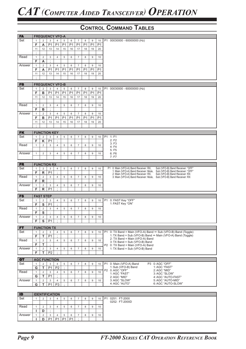| <b>FA</b> |                   |                  | <b>FREQUENCY VFO-A</b> |                              |                |                |                |                |                  |                |                                                                                                                                                 |
|-----------|-------------------|------------------|------------------------|------------------------------|----------------|----------------|----------------|----------------|------------------|----------------|-------------------------------------------------------------------------------------------------------------------------------------------------|
| Set       | 1                 | $\overline{2}$   | 3                      | $\overline{4}$               | 5              | 6              | $\overline{7}$ | 8              | 9                | 10             | P1 00030000 - 60000000 (Hz)                                                                                                                     |
|           | F                 | Α                | P <sub>1</sub>         | P <sub>1</sub>               | P <sub>1</sub> | P <sub>1</sub> | P <sub>1</sub> | P <sub>1</sub> | P <sub>1</sub>   | P <sub>1</sub> |                                                                                                                                                 |
|           | 11                | 12               | 13                     | 14                           | 15             | 16             | 17             | 18             | 19               | 20             |                                                                                                                                                 |
|           | $\cdot$           |                  |                        |                              |                |                |                |                |                  |                |                                                                                                                                                 |
| Read      | $\mathbf{1}$      | $\overline{2}$   | 3                      | $\overline{4}$               | 5              | 6              | $\overline{7}$ | 8              | 9                | 10             |                                                                                                                                                 |
|           | F                 | Α                | $\bullet$              |                              |                |                |                |                |                  |                |                                                                                                                                                 |
| Answer    | $\mathbf{1}$      | $\overline{2}$   | $\mathsf 3$            | 4                            | 5              | 6              | $\overline{7}$ | 8              | 9                | 10             |                                                                                                                                                 |
|           | F                 | A                | P <sub>1</sub>         | P <sub>1</sub>               | P <sub>1</sub> | P <sub>1</sub> | P <sub>1</sub> | P <sub>1</sub> | P <sub>1</sub>   | P <sub>1</sub> |                                                                                                                                                 |
|           | 11                | 12               | 13                     | 14                           | 15             | 16             | 17             | 18             | 19               | 20             |                                                                                                                                                 |
|           |                   |                  |                        |                              |                |                |                |                |                  |                |                                                                                                                                                 |
|           |                   |                  |                        |                              |                |                |                |                |                  |                |                                                                                                                                                 |
| <b>FB</b> |                   |                  | <b>FREQUENCY VFO-B</b> |                              |                |                |                |                |                  |                |                                                                                                                                                 |
| Set       | $\mathbf{1}$      | $\overline{2}$   | 3                      | 4                            | 5              | 6              | $\overline{7}$ | 8              | 9                | 10             | P1 00030000 - 60000000 (Hz)                                                                                                                     |
|           | F                 | в                | P <sub>1</sub>         | P <sub>1</sub>               | P <sub>1</sub> | P <sub>1</sub> | P <sub>1</sub> | P <sub>1</sub> | P <sub>1</sub>   | P <sub>1</sub> |                                                                                                                                                 |
|           | 11                | 12               | 13                     | 14                           | 15             | 16             | 17             | 18             | 19               | 20             |                                                                                                                                                 |
|           | ä,                |                  |                        |                              |                |                |                |                |                  |                |                                                                                                                                                 |
| Read      | $\mathbf{1}$      | $\overline{2}$   | 3                      | 4                            | 5              | 6              | $\sqrt{7}$     | 8              | 9                | 10             |                                                                                                                                                 |
|           | F                 | в                | $\cdot$                |                              |                |                |                |                |                  |                |                                                                                                                                                 |
| Answer    | $\mathbf{1}$      | $\overline{2}$   | 3                      | 4                            | 5              | 6              | $\overline{7}$ | 8              | 9                | 10             |                                                                                                                                                 |
|           | F                 | в                | P <sub>1</sub>         | P <sub>1</sub>               | P <sub>1</sub> | P <sub>1</sub> | P <sub>1</sub> | P <sub>1</sub> | P <sub>1</sub>   | P <sub>1</sub> |                                                                                                                                                 |
|           | 11                | 12               | 13                     | 14                           | 15             | 16             | 17             | 18             | 19               | 20             |                                                                                                                                                 |
|           | ٠                 |                  |                        |                              |                |                |                |                |                  |                |                                                                                                                                                 |
|           |                   |                  |                        |                              |                |                |                |                |                  |                |                                                                                                                                                 |
| <b>FK</b> |                   |                  | <b>FUNCTION KEY</b>    |                              |                |                |                |                |                  |                |                                                                                                                                                 |
| Set       | $\mathbf{1}$      | $\overline{2}$   | 3                      | 4<br>$\cdot$                 | 5              | 6              | $\overline{7}$ | 8              | 9                | 10             | P1 1: F1<br>2: F2                                                                                                                               |
|           | F                 | Κ                | P <sub>1</sub>         |                              |                |                |                |                |                  |                | 3: F3                                                                                                                                           |
| Read      | $\mathbf{1}$      | $\overline{2}$   | 3                      | $\overline{4}$               | 5              | 6              | $\overline{7}$ | 8              | 9                | 10             | 4: F4                                                                                                                                           |
| Answer    |                   |                  |                        |                              |                |                | $\overline{7}$ |                | 9                |                | $5:$ $F5$<br>$6:$ F6                                                                                                                            |
|           | $\mathbf{1}$      | $\overline{2}$   | $\mathsf 3$            | 4                            | 5              | 6              |                | 8              |                  | 10             | 7: F7                                                                                                                                           |
|           |                   |                  |                        |                              |                |                |                |                |                  |                |                                                                                                                                                 |
| <b>FR</b> |                   |                  | <b>FUNCTION RX</b>     |                              |                |                |                |                |                  |                |                                                                                                                                                 |
| Set       | 1                 | $\overline{2}$   | 3                      | 4                            | 5              | 6              | $\overline{7}$ | 8              | 9                | 10             | P1 0: Main (VFO-A) Band Receiver: RX,<br>Sub (VFO-B) Band Receiver: "OFF"                                                                       |
|           | F                 | $\mathsf{R}$     | P <sub>1</sub>         | $\cdot$                      |                |                |                |                |                  |                | 1: Main (VFO-A) Band Receiver: Mute.<br>Sub (VFO-B) Band Receiver: "OFF"<br>2: Main (VFO-A) Band Receiver: RX,<br>Sub (VFO-B) Band Receiver: RX |
| Read      | $\mathbf{1}$      | $\overline{2}$   | 3                      | $\overline{4}$               | 5              | 6              | $\overline{7}$ | 8              | $\boldsymbol{9}$ | 10             | 3: Main (VFO-A) Band Receiver: Mute,<br>Sub (VFO-B) Band Receiver: RX                                                                           |
|           | F                 | $\mathsf{R}$     | ÷                      |                              |                |                |                |                |                  |                |                                                                                                                                                 |
| Answer    | $\mathbf{1}$      | $\overline{2}$   | 3                      | $\overline{4}$               | 5              | 6              | $\overline{7}$ | 8              | 9                | 10             |                                                                                                                                                 |
|           | F                 | $\mathsf{R}$     | P <sub>1</sub>         | $\cdot$                      |                |                |                |                |                  |                |                                                                                                                                                 |
|           |                   |                  |                        |                              |                |                |                |                |                  |                |                                                                                                                                                 |
| <b>FS</b> |                   | <b>FAST STEP</b> |                        |                              |                |                |                |                |                  |                |                                                                                                                                                 |
| Set       | $\mathbf{1}$<br>F | $\overline{2}$   | 3                      | 4<br>$\cdot$                 | 5              | 6              | $\overline{7}$ | 8              | 9                | 10             | 0: FAST Key "OFF"<br>P <sub>1</sub><br>1: FAST Key "ON"                                                                                         |
|           |                   | ${\sf s}$        | P <sub>1</sub>         |                              |                |                |                |                |                  |                |                                                                                                                                                 |
| Read      | $\mathbf{1}$      | $\overline{2}$   | 3<br>$\cdot$           | $\overline{4}$               | 5              | 6              | $\overline{7}$ | 8              | 9                | 10             |                                                                                                                                                 |
| Answer    | F                 | S                |                        |                              |                |                |                |                |                  |                |                                                                                                                                                 |
|           | $\mathbf{1}$      | $\overline{2}$   | $\mathbf{3}$           | 4                            | 5              | 6              | $\overline{7}$ | 8              | 9                | 10             |                                                                                                                                                 |
|           | F                 |                  | $S$ $PI$               | $\dddot{ }$                  |                |                |                |                |                  |                |                                                                                                                                                 |
| <b>FT</b> |                   |                  | <b>FUNCTION TX</b>     |                              |                |                |                |                |                  |                |                                                                                                                                                 |
| Set       | $\mathbf{1}$      | $\overline{2}$   | 3                      | $\overline{4}$               | 5              | 6              | $\overline{7}$ | 8              | 9                | 10             | P1 0: TX Band = Main (VFO-A) Band $\Leftrightarrow$ Sub (VFO-B) Band (Toggle)                                                                   |
|           | F                 | T                | P <sub>1</sub>         | $\vdots$                     |                |                |                |                |                  |                | 1: TX Band = Sub (VFO-B) Band $\Leftrightarrow$ Main (VFO-A) Band (Toggle)                                                                      |
| Read      | $\mathbf{1}$      | $\overline{2}$   | 3                      | $\overline{4}$               | 5              | 6              | $\overline{7}$ | 8              | 9                | 10             | 2: TX Band = Main (VFO-A) Band<br>3: TX Band = Sub (VFO-B) Band                                                                                 |
|           | F                 | T                | ÷                      |                              |                |                |                |                |                  |                | P2 0: TX Band = Main (VFO-A) Band                                                                                                               |
| Answer    | $\mathbf{1}$      | $\overline{2}$   | 3                      | $\overline{4}$               | 5              | 6              | $\overline{7}$ | 8              | 9                | 10             | 1: TX Band = Sub (VFO-B) Band                                                                                                                   |
|           | F.                | т                | P <sub>2</sub>         | $\cdot$                      |                |                |                |                |                  |                |                                                                                                                                                 |
|           |                   |                  |                        |                              |                |                |                |                |                  |                |                                                                                                                                                 |
| <b>GT</b> |                   |                  | <b>AGC FUNCTION</b>    |                              |                |                |                |                |                  |                |                                                                                                                                                 |
| Set       | $\mathbf{1}$      | $\overline{2}$   | 3                      | 4                            | 5<br>$\cdot$   | 6              | $\overline{7}$ | 8              | 9                | 10             | P1 0: Main (VFO-A) Band<br>P3 0: AGC "OFF"<br>1: Sub (VFO-B) Band<br>1: AGC "FAST"                                                              |
|           | G                 | T                | P <sub>1</sub>         | P <sub>2</sub>               |                |                |                |                |                  |                | P2 0:AGC "OFF"<br>2: AGC "MID"                                                                                                                  |
| Read      | $\mathbf{1}$      | $\overline{2}$   | 3                      | $\overline{4}$<br>$\epsilon$ | 5              | 6              | $\overline{7}$ | 8              | 9                | 10             | 1: AGC "FAST"<br>3: AGC "SLOW"                                                                                                                  |
|           | G                 | $\mathsf T$      | P <sub>1</sub>         |                              |                |                |                |                |                  |                | 2: AGC "MID"<br>4: AGC "AUTO-FAST"                                                                                                              |
| Answer    | $\mathbf{1}$      | $\overline{2}$   | $\mathbf{3}$           | $\overline{4}$               | 5              | 6              | $\overline{7}$ | 8              | 9                | 10             | 3: AGC "SLOW"<br>5: AGC "AUTO-MID"<br>4: AGC "AUTO"<br>6: AGC "AUTO-SLOW"                                                                       |
|           | G                 | т                | P1                     | P <sub>3</sub>               |                |                |                |                |                  |                |                                                                                                                                                 |
|           |                   |                  |                        |                              |                |                |                |                |                  |                |                                                                                                                                                 |
| ID.       |                   |                  | <b>IDENTIFICATION</b>  |                              |                |                |                |                |                  |                |                                                                                                                                                 |
| Set       | $\mathbf{1}$      | $\overline{2}$   | 3                      | $\overline{4}$               | 5              | 6              | $\overline{7}$ | 8              | 9                | 10             | <b>P1</b><br>0251: FT-2000                                                                                                                      |
|           |                   |                  |                        |                              |                |                |                |                |                  |                | 0252: FT-2000D                                                                                                                                  |
| Read      | $\mathbf{1}$      | $\overline{2}$   | 3                      | $\overline{4}$               | 5              | 6              | $\overline{7}$ | 8              | 9                | 10             |                                                                                                                                                 |
|           | I.                | D                | $\overline{\cdot}$     |                              |                |                |                |                |                  |                |                                                                                                                                                 |
| Answer    | $\mathbf{1}$      | $\overline{2}$   | $\mathbf{3}$           | $\overline{4}$               | 5              | 6              | $\overline{7}$ | 8              | 9                | 10             |                                                                                                                                                 |

**I D** P1 P1 P1 P1 ;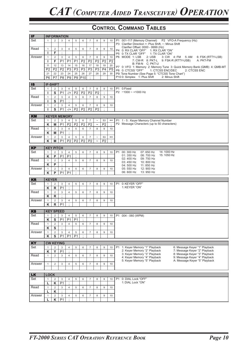| IF        |                |                  | <b>INFORMATION</b> |                     |                |                 |                |                           |                  |                 |                                                                         |
|-----------|----------------|------------------|--------------------|---------------------|----------------|-----------------|----------------|---------------------------|------------------|-----------------|-------------------------------------------------------------------------|
| Set       | $\mathbf{1}$   | 2                | 3                  | $\overline{4}$      | 5              | 6               | $\overline{7}$ | 8                         | 9                | 10              | P1 001-117 (Memory Channel)<br>P2 VFO-A Frequency (Hz)                  |
|           |                |                  |                    |                     |                |                 |                |                           |                  |                 | P3 Clarifier Direction +: Plus Shift, -: Minus Shift                    |
|           |                |                  |                    |                     |                |                 |                |                           |                  |                 | Clarifier Offset: 0000 - 9999 (Hz)                                      |
| Read      | $\mathbf{1}$   | $\overline{2}$   | 3                  | $\overline{4}$      | 5              | 6               | $\overline{7}$ | 8                         | $\boldsymbol{9}$ | 10              | P4 0: RX CLAR "OFF" 1: RX CLAR "ON"                                     |
|           | L              | F                | $\cdot$            |                     |                |                 |                |                           |                  |                 | P5 0: TX CLAR "OFF" 1: TX CLAR "ON"                                     |
| Answer    | $\mathbf{1}$   | $\overline{2}$   | 3                  | $\overline{4}$      | 5              | 6               | $\overline{7}$ | 8                         | $\boldsymbol{9}$ | 10              | P6 MODE 1: LSB<br>2: USB<br>3: CW 4: FM 5: AM<br>6: FSK (RTTY-LSB)      |
|           | п              | F                | P <sub>1</sub>     | P <sub>1</sub>      | P <sub>1</sub> | P <sub>2</sub>  | P <sub>2</sub> | P <sub>2</sub>            | P <sub>2</sub>   | P <sub>2</sub>  | 7: CW-R 8: PKT-L 9: FSK-R (RTTY-USB)<br>A: PKT-FM                       |
|           |                |                  |                    |                     |                |                 |                |                           |                  |                 | B: FM-N C: PKT-U                                                        |
|           | 11             | 12               | 13                 | 14                  | 15             | 16              | 17             | 18                        | 19               | 20              | P7 0: VFO 1: Memory 2: Memory Tune 3: Quick Memory Bank (QMB) 4: QMB-MT |
|           | P <sub>2</sub> | P <sub>2</sub>   | P <sub>2</sub>     | P3                  | P3             | P3              | P3             | P3                        | $\overline{P4}$  | $\overline{P5}$ | P8 0: CTCSS "OFF"<br>1: CTCSS ENC/DEC<br>2: CTCSS ENC                   |
|           | 21             | 22               | 23                 | 24                  | 25             | 26              | 27             | 28                        | 29               | 30              | P9: Tone Number (See Page 5: "CTCSS Tone Chart")                        |
|           | P <sub>6</sub> | P7               | P <sub>8</sub>     | P <sub>9</sub>      | P9             | P <sub>10</sub> | $\cdot$        |                           |                  |                 | P10 0: Simplex 1: Plus Shift<br>2: Minus Shift                          |
|           |                |                  |                    |                     |                |                 |                |                           |                  |                 |                                                                         |
| <b>IS</b> |                | <b>IF-SHIFT</b>  |                    |                     |                |                 |                |                           |                  |                 |                                                                         |
| Set       | $\mathbf{1}$   | $\overline{2}$   | 3                  | $\overline{4}$      | 5              | 6               | $\overline{7}$ | 8                         | 9                | 10              | P1 0:Fixed                                                              |
|           | L              | S                | P <sub>1</sub>     | $-/+$               | P <sub>2</sub> | P <sub>2</sub>  | P <sub>2</sub> | P <sub>2</sub>            | $\cdot$          |                 | $P2 - 1000 - 1000$ Hz                                                   |
|           |                |                  |                    |                     |                |                 |                |                           |                  |                 |                                                                         |
| Read      | $\mathbf{1}$   | $\overline{2}$   | $\mathsf 3$        | $\overline{4}$      | 5              | 6               | $\overline{7}$ | 8                         | $\overline{9}$   | 10              |                                                                         |
|           | п              | S                | P <sub>1</sub>     | ÷                   |                |                 |                |                           |                  |                 |                                                                         |
| Answer    | $\mathbf{1}$   | $\overline{2}$   | 3                  | $\overline{4}$      | 5              | 6               | $\overline{7}$ | 8                         | 9                | 10              |                                                                         |
|           | L              | S                | P <sub>1</sub>     | $-/+$               | P <sub>2</sub> | P <sub>2</sub>  | P <sub>2</sub> | P <sub>2</sub>            | $\cdot$          |                 |                                                                         |
|           |                |                  |                    |                     |                |                 |                |                           |                  |                 |                                                                         |
| KM        |                |                  |                    | <b>KEYER MEMORY</b> |                |                 |                |                           |                  |                 |                                                                         |
| Set       | $\mathbf{1}$   | $\overline{2}$   | 3                  | $\overline{4}$      | 5              | 6               | $\overline{7}$ | $\tilde{}$                | 53               | $***$           | P1 1 - 5 : Keyer Memory Channel Number                                  |
|           | K              | M                | P <sub>1</sub>     | P <sub>2</sub>      | P <sub>2</sub> | P <sub>2</sub>  | P <sub>2</sub> | $\widetilde{\phantom{m}}$ | P <sub>2</sub>   | $\cdot$         | P2 Message Characters (up to 50 characters)                             |
| Read      |                |                  |                    |                     |                |                 |                |                           |                  |                 |                                                                         |
|           | $\mathbf{1}$   | 2                | 3                  | $\overline{4}$      | 5              | 6               | $\overline{7}$ | 8                         | $\overline{9}$   | 10              |                                                                         |
|           | Κ              | M                | P <sub>1</sub>     | $\cdot$             |                |                 |                |                           |                  |                 |                                                                         |
| Answer    | $\mathbf{1}$   | $\sqrt{2}$       | 3                  | $\overline{4}$      | 5              | 6               | $\overline{7}$ | $\widetilde{\phantom{m}}$ | 53               | $^{\star\star}$ |                                                                         |
|           | Κ              | M                | P <sub>1</sub>     | P <sub>2</sub>      | P <sub>2</sub> | P <sub>2</sub>  | P <sub>2</sub> | $\widetilde{\phantom{m}}$ | P <sub>2</sub>   | $\epsilon$      |                                                                         |
|           |                |                  |                    |                     |                |                 |                |                           |                  |                 |                                                                         |
| <b>KP</b> |                | <b>KEY PITCH</b> |                    |                     |                |                 |                |                           |                  |                 |                                                                         |
| Set       | $\mathbf{1}$   | $\overline{2}$   | 3                  | $\overline{4}$      | 5              | 6               | $\overline{7}$ | 8                         | 9                | 10              | P1<br>00: 300 Hz<br>07: 650 Hz<br>14: 1000 Hz                           |
|           | K              | P                | P <sub>1</sub>     | P <sub>1</sub>      | $\bullet$      |                 |                |                           |                  |                 | 01:350 Hz<br>08:700 Hz<br>15: 1050 Hz                                   |
|           |                |                  |                    |                     |                |                 |                |                           |                  |                 | 02: 400 Hz<br>09: 750 Hz                                                |
| Read      | $\mathbf{1}$   | $\sqrt{2}$       | 3                  | $\overline{4}$      | 5              | 6               | $\overline{7}$ | 8                         | $\boldsymbol{9}$ | 10              | 10: 800 Hz<br>03:450 Hz                                                 |
|           | K              | P                | $\cdot$            |                     |                |                 |                |                           |                  |                 | 04: 500 Hz<br>11: 850 Hz                                                |
| Answer    | $\mathbf{1}$   | $\overline{2}$   | 3                  | $\overline{4}$      | 5              | 6               | $\overline{7}$ | 8                         | 9                | 10              | 05: 550 Hz<br>12: 900 Hz                                                |
|           | Κ              | P                | P <sub>1</sub>     | P <sub>1</sub>      | $\cdot$        |                 |                |                           |                  |                 | 06: 600 Hz<br>13:950 Hz                                                 |
|           |                |                  |                    |                     |                |                 |                |                           |                  |                 |                                                                         |
| <b>KR</b> | <b>KEYER</b>   |                  |                    |                     |                |                 |                |                           |                  |                 |                                                                         |
| Set       | $\mathbf{1}$   | $\overline{2}$   | 3                  | $\overline{4}$      | 5              | 6               | $\overline{7}$ | 8                         | 9                | 10              | P <sub>1</sub><br>0: KEYER "OFF"                                        |
|           | K              | $\mathsf{R}$     | P <sub>1</sub>     | $\vdots$            |                |                 |                |                           |                  |                 | 1: KEYER "ON"                                                           |
| Read      |                | $\overline{2}$   |                    | $\overline{4}$      |                | 6               | $\overline{7}$ | 8                         | 9                |                 |                                                                         |
|           | $\mathbf{1}$   |                  | 3                  |                     | 5              |                 |                |                           |                  | 10              |                                                                         |
|           | K              | $\mathsf{R}$     | $\cdot$            |                     |                |                 |                |                           |                  |                 |                                                                         |
| Answer    | $\mathbf{1}$   | $\overline{2}$   | 3                  | $\overline{4}$      | 5              | 6               | $\overline{7}$ | 8                         | 9                | 10              |                                                                         |
|           | K              | $\mathsf R$      | P <sub>1</sub>     | $\bullet$           |                |                 |                |                           |                  |                 |                                                                         |
|           |                |                  |                    |                     |                |                 |                |                           |                  |                 |                                                                         |
| KS        |                | <b>KEY SPEED</b> |                    |                     |                |                 |                |                           |                  |                 |                                                                         |
| Set       | $\mathbf{1}$   | 2                | 3                  | $\overline{4}$      | 5              | 6               | $\overline{7}$ | 8                         | 9                | 10              | P1 004 - 060 (WPM)                                                      |
|           | K              | S                | P1                 | P1                  | P1             | $\cdot$         |                |                           |                  |                 |                                                                         |
| Read      | $\mathbf{1}$   | $\overline{2}$   | 3                  | $\overline{4}$      | 5              | 6               | $\overline{7}$ | 8                         | 9                | 10              |                                                                         |
|           | K              | S                | $\vdots$           |                     |                |                 |                |                           |                  |                 |                                                                         |
|           |                |                  |                    |                     |                |                 |                |                           |                  |                 |                                                                         |
| Answer    | $\mathbf{1}$   | $\overline{2}$   | 3                  | $\overline{4}$      | 5              | 6               | $\overline{7}$ | 8                         | 9                | 10              |                                                                         |
|           | K              | S                | P <sub>1</sub>     | P <sub>1</sub>      | P <sub>1</sub> | $\cdot$         |                |                           |                  |                 |                                                                         |
|           |                |                  |                    |                     |                |                 |                |                           |                  |                 |                                                                         |
| <b>KY</b> |                | <b>CW KEYING</b> |                    |                     |                |                 |                |                           |                  |                 |                                                                         |
| Set       | $\mathbf{1}$   | $\overline{2}$   | 3                  | $\overline{4}$      | 5              | 6               | $\overline{7}$ | 8                         | $\boldsymbol{9}$ | 10              | 1: Keyer Memory "1" Playback<br>P1<br>6: Message Keyer "1" Playback     |
|           | K              | Y                | P <sub>1</sub>     | $\cdot$             |                |                 |                |                           |                  |                 | 2: Keyer Memory "2" Playback<br>7: Message Keyer "2" Playback           |
| Read      | $\mathbf{1}$   | 2                | 3                  | $\overline{4}$      | 5              | 6               | $\overline{7}$ | 8                         | 9                | 10              | 3: Keyer Memory "3" Playback<br>8: Message Keyer "3" Playback           |
|           |                |                  |                    |                     |                |                 |                |                           |                  |                 | 4: Keyer Memory "4" Playback<br>9: Message Keyer "4" Playback           |
|           |                |                  |                    |                     |                |                 |                |                           |                  |                 | 5: Keyer Memory "5" Playback<br>A: Message Keyer "5" Playback           |
| Answer    | $\mathbf{1}$   | 2                | 3                  | $\overline{4}$      | 5              | 6               | $\overline{7}$ | 8                         | 9                | 10              |                                                                         |
|           |                |                  |                    |                     |                |                 |                |                           |                  |                 |                                                                         |
|           |                |                  |                    |                     |                |                 |                |                           |                  |                 |                                                                         |
| <b>LK</b> | <b>LOCK</b>    |                  |                    |                     |                |                 |                |                           |                  |                 |                                                                         |
| Set       | $\mathbf{1}$   | 2                | 3                  | $\overline{4}$      | 5              | 6               | $\overline{7}$ | 8                         | 9                | 10              | 0: DIAL Lock "OFF"<br>P1                                                |
|           | L              | Κ                | P <sub>1</sub>     | $\sim$              |                |                 |                |                           |                  |                 | 1: DIAL Lock "ON"                                                       |
| Read      | $\mathbf{1}$   | 2                | 3                  | $\overline{4}$      | 5              | 6               | $\overline{7}$ | 8                         | 9                | 10              |                                                                         |
|           | L              | ĸ                | $\cdot$            |                     |                |                 |                |                           |                  |                 |                                                                         |
|           |                |                  |                    |                     |                |                 |                |                           |                  |                 |                                                                         |
| Answer    | $\mathbf{1}$   | $\overline{2}$   | 3                  | 4                   | 5              | 6               | $\overline{7}$ | 8                         | 9                | 10              |                                                                         |
|           | L              | Κ                | P <sub>1</sub>     | $\blacksquare$      |                |                 |                |                           |                  |                 |                                                                         |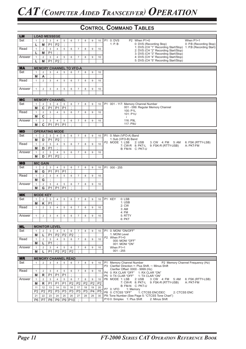| <b>LM</b> |                 |                 | <b>LOAD MESSEGE</b>        |                |                |                |                                |                |                |                |           |                                                                           |
|-----------|-----------------|-----------------|----------------------------|----------------|----------------|----------------|--------------------------------|----------------|----------------|----------------|-----------|---------------------------------------------------------------------------|
| Set       | $\mathbf{1}$    | $\overline{2}$  | 3                          | $\overline{4}$ | 5              | 6              | $\overline{7}$                 | 8              | 9              | 10             | <b>P1</b> | $0:$ DVS<br>P2 When P1=0<br>When $P1=1$                                   |
|           | L               | M               | P <sub>1</sub>             | P <sub>2</sub> | $\cdot$        |                |                                |                |                |                |           | 1: P. B<br>0: P.B (Recording Stop)<br>0: DVS (Recording Stop)             |
|           |                 |                 |                            |                |                |                |                                |                |                |                |           | 1: DVS (CH "1" Recording Start/Stop)<br>1: P.B (Recording Start)          |
| Read      | $\mathbf{1}$    | $\overline{2}$  | 3                          | 4              | 5              | 6              | $\overline{7}$                 | 8              | 9              | 10             |           | 2: DVS (CH "2" Recording Start/Stop)                                      |
|           | L               | М               | P <sub>1</sub>             | $\cdot$        |                |                |                                |                |                |                |           | 3: DVS (CH "3" Recording Start/Stop)                                      |
| Answer    | $\mathbf{1}$    | $\overline{2}$  | 3                          | 4              | 5              | 6              | $\overline{7}$                 | 8              | 9              | 10             |           | 4: DVS (CH "4" Recording Start/Stop)                                      |
|           |                 | M               | P <sub>1</sub>             | P <sub>2</sub> | $\cdot$        |                |                                |                |                |                |           | 5: DVS (CH "5" Recording Start/Stop)                                      |
|           |                 |                 |                            |                |                |                |                                |                |                |                |           |                                                                           |
|           |                 |                 |                            |                |                |                |                                |                |                |                |           |                                                                           |
| <b>MA</b> |                 |                 |                            |                |                |                | <b>MEMORY CHANNEL TO VFO-A</b> |                |                |                |           |                                                                           |
| Set       | 1               | $\overline{2}$  | 3                          | 4              | 5              | 6              | $\overline{7}$                 | 8              | 9              | 10             |           |                                                                           |
|           | M               | A               | $\cdot$                    |                |                |                |                                |                |                |                |           |                                                                           |
| Read      | $\mathbf{1}$    | 2               | 3                          | $\overline{4}$ | 5              | 6              | $\overline{7}$                 | 8              | 9              | 10             |           |                                                                           |
|           |                 |                 |                            |                |                |                |                                |                |                |                |           |                                                                           |
|           |                 |                 |                            |                |                |                |                                |                |                |                |           |                                                                           |
| Answer    | $\mathbf{1}$    | 2               | 3                          | $\overline{4}$ | 5              | 6              | $\overline{7}$                 | 8              | 9              | 10             |           |                                                                           |
|           |                 |                 |                            |                |                |                |                                |                |                |                |           |                                                                           |
|           |                 |                 |                            |                |                |                |                                |                |                |                |           |                                                                           |
| <b>MC</b> |                 |                 | <b>MEMORY CHANNEL</b>      |                |                |                |                                |                |                |                |           |                                                                           |
| Set       | $\mathbf{1}$    | $\overline{2}$  | 3                          | $\overline{4}$ | 5              | 6              | $\overline{7}$                 | 8              | 9              | 10             |           | P1 001 - 117: Memory Channel Number                                       |
|           | M               | $\mathbf{C}$    | P <sub>1</sub>             | P <sub>1</sub> | P <sub>1</sub> | $\cdot$        |                                |                |                |                |           | 001 - 099: Regular Memory Channel                                         |
|           |                 |                 |                            |                |                |                |                                |                |                |                |           | 100: P1L                                                                  |
| Read      | $\mathbf{1}$    | $\overline{2}$  | 3                          | 4              | 5              | 6              | $\overline{7}$                 | 8              | 9              | 10             |           | 101: P1U                                                                  |
|           | M               | C               | $\cdot$                    |                |                |                |                                |                |                |                |           | $\mathcal{L}$                                                             |
| Answer    | $\mathbf{1}$    | $\overline{2}$  | 3                          | $\overline{4}$ | 5              | 6              | $\overline{7}$                 | 8              | 9              | 10             |           | 116: P9L                                                                  |
|           |                 |                 |                            |                |                |                |                                |                |                |                |           | 117: P9U                                                                  |
|           | M               | C               | P <sub>1</sub>             | P <sub>1</sub> | P <sub>1</sub> | ÷              |                                |                |                |                |           |                                                                           |
|           |                 |                 |                            |                |                |                |                                |                |                |                |           |                                                                           |
| <b>MD</b> |                 |                 | <b>OPERATING MODE</b>      |                |                |                |                                |                |                |                |           |                                                                           |
| Set       | $\mathbf{1}$    | $\overline{2}$  | 3                          | $\overline{4}$ | 5              | 6              | $\overline{7}$                 | 8              | 9              | 10             | <b>P1</b> | 0: Main (VFO-A) Band                                                      |
|           | M               | D               | P <sub>1</sub>             | P <sub>2</sub> | $\cdot$        |                |                                |                |                |                |           | 1: Sub (VFO-B) Band                                                       |
| Read      | $\mathbf{1}$    | $\overline{2}$  | 3                          | 4              | 5              | 6              | $\overline{7}$                 | 8              | 9              | 10             |           | P2 MODE 1: LSB<br>$2: USB$<br>3: CW 4: FM<br>6: FSK (RTTY-LSB)<br>5: AM   |
|           |                 |                 |                            | $\cdot$        |                |                |                                |                |                |                |           | 7: CW-R 8: PKT-L<br>A: PKT-FM<br>9: FSK-R (RTTY-USB)                      |
|           | M               | D               | P <sub>1</sub>             |                |                |                |                                |                |                |                |           | B: FM-N C: PKT-U                                                          |
| Answer    | $\mathbf{1}$    | $\overline{2}$  | 3                          | $\overline{4}$ | 5              | 6              | $\overline{7}$                 | 8              | 9              | 10             |           |                                                                           |
|           | M               | D               | P <sub>1</sub>             | P <sub>2</sub> | $\cdot$        |                |                                |                |                |                |           |                                                                           |
|           |                 |                 |                            |                |                |                |                                |                |                |                |           |                                                                           |
| <b>MG</b> |                 | <b>MIC GAIN</b> |                            |                |                |                |                                |                |                |                |           |                                                                           |
| Set       | $\mathbf{1}$    | $\overline{2}$  | 3                          | $\overline{4}$ | 5              | 6              | $\overline{7}$                 | 8              | 9              | 10             |           | P1 000 - 255                                                              |
|           | M               | G               | P <sub>1</sub>             | P <sub>1</sub> | P <sub>1</sub> | $\cdot$        |                                |                |                |                |           |                                                                           |
|           |                 |                 |                            |                |                |                |                                |                |                |                |           |                                                                           |
| Read      | $\mathbf{1}$    | $\overline{2}$  | 3                          | 4              | 5              | 6              | $\overline{7}$                 | 8              | 9              | 10             |           |                                                                           |
|           | M               | G               | ÷                          |                |                |                |                                |                |                |                |           |                                                                           |
| Answer    | $\mathbf{1}$    | $\overline{2}$  | 3                          | $\overline{4}$ | 5              | 6              | $\overline{7}$                 | 8              | 9              | 10             |           |                                                                           |
|           | M               | G               | P <sub>1</sub>             | P <sub>1</sub> | P <sub>1</sub> | $\cdot$        |                                |                |                |                |           |                                                                           |
|           |                 |                 |                            |                |                |                |                                |                |                |                |           |                                                                           |
| <b>MK</b> |                 | <b>MODE KEY</b> |                            |                |                |                |                                |                |                |                |           |                                                                           |
| Set       | $\mathbf{1}$    | $\overline{2}$  | 3                          | $\overline{4}$ | 5              | 6              | $\overline{7}$                 | 8              | 9              | 10             |           | P1 KEY<br>$0:$ LSB                                                        |
|           |                 |                 |                            |                |                |                |                                |                |                |                |           | 1: <b>USE</b>                                                             |
|           | M               | Κ               | P <sub>1</sub>             | $\cdot$        |                |                |                                |                |                |                |           | 2: CW                                                                     |
| Read      | $\mathbf{1}$    | $\overline{2}$  | 3                          | $\overline{4}$ | 5              | 6              | $\overline{7}$                 | 8              | 9              | 10             |           | 3:AM                                                                      |
|           |                 |                 |                            |                |                |                |                                |                |                |                |           | 4: FM                                                                     |
| Answer    | $\mathbf{1}$    | $\overline{2}$  | 3                          | $\overline{4}$ | 5              | 6              | $\overline{7}$                 | 8              | 9              | 10             |           | 5: RTTY                                                                   |
|           |                 |                 |                            |                |                |                |                                |                |                |                |           |                                                                           |
|           |                 |                 |                            |                |                |                |                                |                |                |                |           | 6: PKT                                                                    |
|           |                 |                 |                            |                |                |                |                                |                |                |                |           |                                                                           |
| <b>ML</b> |                 |                 | <b>MONITOR LEVEL</b>       |                |                |                |                                |                |                |                |           |                                                                           |
| Set       | $\mathbf{1}$    | $\overline{2}$  | 3                          | $\overline{4}$ | 5              | 6              | $\overline{7}$                 | 8              | 9              | 10             |           | P1 0: MONI "ON/OFF"                                                       |
|           | M               | L               | P <sub>1</sub>             | P <sub>2</sub> | P2             | P <sub>2</sub> | $\cdot$                        |                |                |                |           | 1: MONI Level                                                             |
| Read      | $\mathbf{1}$    | 2               | 3                          | $\overline{4}$ | 5              | 6              | $\overline{7}$                 | 8              | 9              | 10             |           | P2 When P1=0                                                              |
|           |                 |                 |                            | $\cdot$        |                |                |                                |                |                |                |           | 000: MONI "OFF"                                                           |
|           | M               | L               | P <sub>1</sub>             |                |                |                |                                |                |                |                |           | 001: MONI "ON"                                                            |
| Answer    | $\mathbf{1}$    | $\overline{2}$  | 3                          | $\overline{4}$ | 5              | 6              | $\overline{7}$                 | 8              | 9              | 10             |           | When $P1=1$                                                               |
|           | M               | г               | P <sub>1</sub>             | P <sub>2</sub> | P <sub>2</sub> | P <sub>2</sub> | ÷                              |                |                |                |           | $001 - 255$                                                               |
|           |                 |                 |                            |                |                |                |                                |                |                |                |           |                                                                           |
| <b>MR</b> |                 |                 | <b>MEMORY CHANNEL READ</b> |                |                |                |                                |                |                |                |           |                                                                           |
| Set       | $\mathbf{1}$    | $\overline{2}$  | 3                          | $\overline{4}$ | $\sqrt{5}$     | 6              | $\overline{7}$                 | 8              | 9              | 10             |           | P1 Memory Channel Number<br>P2 Memory Channel Frequency (Hz)              |
|           |                 |                 |                            |                |                |                |                                |                |                |                |           | P3 Clarifier Direction +: Plus Shift, -: Minus Shift                      |
|           |                 |                 |                            |                |                |                |                                |                |                |                |           | Clarifier Offset: 0000 - 9999 (Hz)                                        |
| Read      | $\mathbf{1}$    | 2               | 3                          | $\overline{4}$ | 5              | 6              | $\overline{7}$                 | 8              | 9              | 10             |           | P4 0: RX CLAR "OFF" 1: RX CLAR "ON"                                       |
|           | М               | $\mathsf{R}$    | P <sub>1</sub>             | P <sub>1</sub> | P <sub>1</sub> | ÷              |                                |                |                |                |           | P5 0: TX CLAR "OFF"<br>1: TX CLAR "ON"                                    |
| Answer    | $\mathbf{1}$    | $\overline{2}$  | 3                          | $\overline{4}$ | 5              | 6              | $\overline{7}$                 | 8              | 9              | 10             |           | P6 MODE 1: LSB<br>2: <b>USE</b><br>3: CW 4: FM 5: AM<br>6: FSK (RTTY-LSB) |
|           | М               | R               | P <sub>1</sub>             | P <sub>1</sub> | P <sub>1</sub> | P <sub>2</sub> | P <sub>2</sub>                 | P <sub>2</sub> | P <sub>2</sub> | P <sub>2</sub> |           | 7: CW-R 8: PKT-L 9: FSK-R (RTTY-USB)<br>A: PKT-FM                         |
|           |                 |                 |                            |                |                | 16             | 17                             |                |                |                |           | B: FM-N C: PKT-U                                                          |
|           | 11              | 12              | 13                         | 14             | 15             |                |                                | 18             | 19             | 20             |           | P7 0: VFO<br>1: Memory                                                    |
|           | $\overline{P2}$ | P <sub>2</sub>  | P <sub>2</sub>             | P3             | P3             | P3             | P3                             | P <sub>3</sub> | P <sub>4</sub> | P <sub>5</sub> |           | P8 0: CTCSS "OFF"<br>1: CTCSS ENC/DEC<br>2: CTCSS ENC                     |
|           | 21              | 22              | 23                         | 24             | 25             | 26             | 27                             | 28             | 29             | 30             |           | P9: Tone Number (See Page 5: "CTCSS Tone Chart")                          |
|           | P6              | P7              | P <sub>8</sub>             | P <sub>9</sub> |                | <b>P9 P10</b>  | ÷                              |                |                |                |           | P10 0: Simplex 1: Plus Shift<br>2: Minus Shift                            |
|           |                 |                 |                            |                |                |                |                                |                |                |                |           |                                                                           |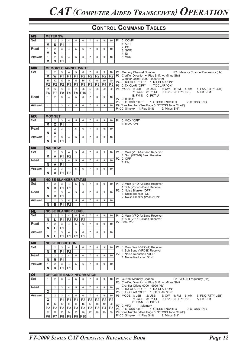| <b>MS</b>      |                   | <b>METER SW</b> |                      |                             |                |                 |                                  |                |                  |                |                |                                                                                                           |
|----------------|-------------------|-----------------|----------------------|-----------------------------|----------------|-----------------|----------------------------------|----------------|------------------|----------------|----------------|-----------------------------------------------------------------------------------------------------------|
|                |                   |                 |                      |                             |                |                 |                                  |                |                  |                |                |                                                                                                           |
| Set            | $\mathbf{1}$      | 2               | 3                    | 4                           | 5              | 6               | $\overline{7}$                   | 8              | 9                | 10             |                | P1 0: COMP<br>1:ALC                                                                                       |
|                | M                 | S               | P <sub>1</sub>       | $\cdot$                     |                |                 |                                  |                |                  |                |                | 2:PO                                                                                                      |
| Read           | $\mathbf{1}$      | 2               | 3                    | $\overline{4}$              | 5              | 6               | $\overline{7}$                   | 8              | 9                | 10             |                | 3: SWR                                                                                                    |
|                | M                 | S               | $\cdot$              |                             |                |                 |                                  |                |                  |                |                | 4:1D                                                                                                      |
| Answer         | $\mathbf{1}$      | 2               | $\mathfrak{S}$       | $\overline{4}$              | 5              | 6               | $\overline{7}$                   | 8              | 9                | 10             |                | 5: VDD                                                                                                    |
|                | M                 | S               | P <sub>1</sub>       | $\cdot$                     |                |                 |                                  |                |                  |                |                |                                                                                                           |
|                |                   |                 |                      |                             |                |                 |                                  |                |                  |                |                |                                                                                                           |
| <b>MW</b>      |                   |                 |                      | <b>MEMORY CHANNEL WRITE</b> |                |                 |                                  |                |                  |                |                |                                                                                                           |
| Set            | $\mathbf{1}$      | 2               | 3                    | $\overline{4}$              | 5              | 6               | $\overline{7}$                   | 8              | 9                | 10             | P <sub>1</sub> | Memory Channel Number<br>P2 Memory Channel Frequency (Hz)                                                 |
|                | M                 | W               | P <sub>1</sub>       | P <sub>1</sub>              | P <sub>1</sub> | P <sub>2</sub>  | P <sub>2</sub>                   | P <sub>2</sub> | P <sub>2</sub>   | P <sub>2</sub> |                | P3 Clarifier Direction +: Plus Shift, -: Minus Shift                                                      |
|                |                   |                 |                      |                             |                |                 |                                  |                |                  |                |                | Clarifier Offset: 0000 - 9999 (Hz)                                                                        |
|                | 11                | 12              | 13                   | 14                          | 15             | 16              | 17                               | 18             | 19               | 20             |                | P4 0: RX CLAR "OFF"<br>1: RX CLAR "ON"                                                                    |
|                | P <sub>2</sub>    | P <sub>2</sub>  | P <sub>2</sub>       | P3                          | P3             | P <sub>3</sub>  | P3                               | P <sub>3</sub> | P <sub>4</sub>   | P <sub>5</sub> |                | P5 0: TX CLAR "OFF"<br>1: TX CLAR "ON"                                                                    |
|                | 21                | 22              | 23                   | 24                          | 25             | 26              | 27                               | 28             | 29               | 30             |                | P6 MODE 1: LSB<br>2: <b>USE</b><br>3: CW 4: FM<br>5: AM<br>6: FSK (RTTY-LSB)                              |
|                | P6                | P7              | P <sub>8</sub>       | P <sub>9</sub>              | P <sub>9</sub> | P <sub>10</sub> | $\cdot$                          |                |                  |                |                | 7: CW-R 8: PKT-L<br>9: FSK-R (RTTY-USB)<br>A: PKT-FM                                                      |
| Read           | $\mathbf{1}$      | 2               | 3                    | $\overline{4}$              | 5              | 6               | $\overline{7}$                   | 8              | 9                | 10             |                | B: FM-N C: PKT-U                                                                                          |
|                |                   |                 |                      |                             |                |                 |                                  |                |                  |                |                | P7 0: (Fixed)                                                                                             |
| Answer         | $\mathbf{1}$      | 2               | 3                    | $\overline{4}$              | 5              | 6               | $\overline{7}$                   | 8              | 9                | 10             |                | P8 0: CTCSS "OFF"<br>1: CTCSS ENC/DEC<br>2: CTCSS ENC<br>P9: Tone Number (See Page 5: "CTCSS Tone Chart") |
|                |                   |                 |                      |                             |                |                 |                                  |                |                  |                |                | P10 0: Simplex 1: Plus Shift<br>2: Minus Shift                                                            |
|                |                   |                 |                      |                             |                |                 |                                  |                |                  |                |                |                                                                                                           |
| <b>MX</b>      |                   | <b>MOX SET</b>  |                      |                             |                |                 |                                  |                |                  |                |                |                                                                                                           |
| Set            | $\mathbf{1}$      | 2               | 3                    | 4                           | 5              | 6               | $\overline{7}$                   | 8              | 9                | 10             |                | P1 0: MOX "OFF"                                                                                           |
|                | M                 | X               | P <sub>1</sub>       | $\cdot$                     |                |                 |                                  |                |                  |                |                | 1: MOX "ON"                                                                                               |
| Read           |                   |                 |                      |                             |                |                 |                                  |                |                  |                |                |                                                                                                           |
|                | $\mathbf{1}$      | 2               | 3<br>$\cdot$         | $\overline{4}$              | 5              | 6               | $\overline{7}$                   | 8              | $\boldsymbol{9}$ | 10             |                |                                                                                                           |
|                | N                 | X               |                      |                             |                |                 |                                  |                |                  |                |                |                                                                                                           |
| Answer         | $\mathbf{1}$      | 2               | 3                    | $\overline{4}$              | 5              | 6               | $\overline{7}$                   | 8              | 9                | 10             |                |                                                                                                           |
|                | N                 | X               | P <sub>1</sub>       | $\cdot$                     |                |                 |                                  |                |                  |                |                |                                                                                                           |
|                |                   | <b>NARROW</b>   |                      |                             |                |                 |                                  |                |                  |                |                |                                                                                                           |
| <b>NA</b>      |                   |                 |                      |                             |                |                 |                                  |                |                  |                |                |                                                                                                           |
| Set            | $\mathbf{1}$      | 2               | 3                    | 4                           | 5              | 6               | $\overline{7}$                   | 8              | 9                | 10             | <b>P1</b>      | 0: Main (VFO-A) Band Receiver                                                                             |
|                | M                 | A               | P <sub>1</sub>       | P <sub>2</sub>              | $\cdot$        |                 |                                  |                |                  |                |                | 1: Sub (VFO-B) Band Receiver<br>P2 0: OFF                                                                 |
| Read           | $\mathbf{1}$      | 2               | 3                    | 4                           | 5              | 6               | $\overline{7}$                   | 8              | 9                | 10             |                | 1: ON                                                                                                     |
|                | N                 | A               | P <sub>1</sub>       | $\cdot$                     |                |                 |                                  |                |                  |                |                |                                                                                                           |
| Answer         | $\mathbf{1}$      | 2               | 3                    | $\overline{4}$              | 5              | 6               | $\overline{7}$                   | 8              | 9                | 10             |                |                                                                                                           |
|                | N                 | Α               | P <sub>1</sub>       | P <sub>2</sub>              | $\cdot$        |                 |                                  |                |                  |                |                |                                                                                                           |
|                |                   |                 |                      |                             |                |                 |                                  |                |                  |                |                |                                                                                                           |
| <b>NB</b>      |                   |                 |                      | <b>NOISE BLANKER STATUS</b> |                |                 |                                  |                |                  |                |                |                                                                                                           |
| Set            | $\mathbf{1}$      | $\overline{2}$  | $\mathsf 3$          | $\overline{4}$              | 5              | 6               | $\overline{7}$                   | 8              | 9                | 10             | <b>P1</b>      | 0: Main (VFO-A) Band Receiver                                                                             |
|                | N                 | в               | P <sub>1</sub>       | P <sub>2</sub>              | $\cdot$        |                 |                                  |                |                  |                |                | 1: Sub (VFO-B) Band Receiver                                                                              |
| Read           | $\mathbf{1}$      | 2               | 3                    | $\overline{4}$              | 5              | 6               | $\overline{7}$                   | 8              | 9                | 10             |                | P2 0: Noise Blanker "OFF"                                                                                 |
|                |                   | в               | P <sub>1</sub>       | $\cdot$                     |                |                 |                                  |                |                  |                |                | 1: Noise Blanker "ON"<br>2: Noise Blanker (Wide) "ON"                                                     |
|                |                   |                 |                      |                             |                |                 |                                  |                |                  |                |                |                                                                                                           |
|                | N<br>$\mathbf{1}$ |                 |                      | $\overline{4}$              |                | 6               | $\overline{7}$                   | 8              | 9                |                |                |                                                                                                           |
| Answer         |                   | 2               | 3                    |                             | 5<br>$\cdot$   |                 |                                  |                |                  | 10             |                |                                                                                                           |
|                | N                 | в               | P <sub>1</sub>       | P <sub>2</sub>              |                |                 |                                  |                |                  |                |                |                                                                                                           |
| <b>NL</b>      |                   |                 |                      | <b>NOISE BLANKER LEVEL</b>  |                |                 |                                  |                |                  |                |                |                                                                                                           |
| Set            | $\mathbf{1}$      | $\overline{2}$  | 3                    | $\overline{4}$              | 5              | 6               | $\overline{7}$                   | 8              | 9                | 10             |                |                                                                                                           |
|                |                   |                 |                      |                             |                |                 |                                  |                |                  |                |                | P1 0: Main (VFO-A) Band Receiver<br>1: Sub (VFO-B) Band Receiver                                          |
|                | N                 | L               | P1                   |                             | P2   P2        | P <sub>2</sub>  |                                  |                |                  |                |                | P2 000 - 255                                                                                              |
| Read           | $\mathbf{1}$      | 2               | 3                    | $\overline{4}$              | 5              | 6               | $\overline{7}$                   | 8              | 9                | 10             |                |                                                                                                           |
|                | N                 | L.              | P <sub>1</sub>       | ÷                           |                |                 |                                  |                |                  |                |                |                                                                                                           |
| Answer         | $\mathbf{1}$      | 2               | 3                    | $\overline{4}$              | 5              | 6               | $\overline{7}$                   | 8              | 9                | 10             |                |                                                                                                           |
|                | N                 | L               | P <sub>1</sub>       | P <sub>2</sub>              | P <sub>2</sub> | P <sub>2</sub>  | $\cdot$                          |                |                  |                |                |                                                                                                           |
|                |                   |                 |                      |                             |                |                 |                                  |                |                  |                |                |                                                                                                           |
| <b>NR</b>      |                   |                 |                      | <b>NOISE REDUCTION</b>      |                |                 |                                  |                |                  |                |                |                                                                                                           |
| Set            | $\mathbf{1}$      | 2               | 3                    | $\overline{4}$              | 5              | 6               | $\overline{7}$                   | 8              | 9                | 10             |                | P1 0: Main Band (VFO-A) Receiver                                                                          |
|                | N                 | $\mathsf{R}$    | P <sub>1</sub>       | P <sub>2</sub>              |                |                 |                                  |                |                  |                |                | 1: Sub Band (VFO-B) Receiver<br>P2 0: Noise Reduction "OFF"                                               |
| Read           | $\mathbf{1}$      | 2               | $\mathbf{3}$         | $\overline{4}$              | 5              | 6               | $\overline{7}$                   | 8              | 9                | 10             |                | 1: Noise Reduction "ON"                                                                                   |
|                | N                 | R               | P <sub>1</sub>       | $\cdot$                     |                |                 |                                  |                |                  |                |                |                                                                                                           |
| Answer         | $\mathbf{1}$      | $\overline{2}$  | 3                    | $\overline{4}$              | 5              | 6               | $\overline{7}$                   | 8              | 9                | 10             |                |                                                                                                           |
|                | N                 | $\mathsf{R}$    | P <sub>1</sub>       | P <sub>2</sub>              | $\cdot$        |                 |                                  |                |                  |                |                |                                                                                                           |
|                |                   |                 |                      |                             |                |                 |                                  |                |                  |                |                |                                                                                                           |
| O <sub>1</sub> |                   |                 |                      |                             |                |                 | <b>OPPOSITE BAND INFORMATION</b> |                |                  |                |                |                                                                                                           |
| Set            | $\mathbf{1}$      | 2               | 3                    | $\overline{4}$              | 5              | 6               | $\overline{7}$                   | 8              | 9                | 10             |                | P1 Current Memory Channel<br>P2 VFO-B Frequency (Hz)                                                      |
|                |                   |                 |                      |                             |                |                 |                                  |                |                  |                |                | P3 Clarifier Direction +: Plus Shift, -: Minus Shift                                                      |
| Read           | $\mathbf{1}$      | $\overline{2}$  | 3                    | $\overline{4}$              | 5              | 6               | $\overline{7}$                   | 8              | 9                | 10             |                | Crarifier Offset: 0000 - 9999 (Hz)                                                                        |
|                | O                 | L.              | $\cdot$              |                             |                |                 |                                  |                |                  |                |                | P4 0: RX CLAR "OFF" 1: RX CLAR "ON"<br>P5 0: TX CLAR "OFF"<br>1: TX CLAR "ON"                             |
| Answer         | $\mathbf{1}$      | 2               | 3                    | $\overline{4}$              | 5              | 6               | $\overline{7}$                   | 8              | 9                | 10             |                | P6 MODE 1: LSB<br>2: USB<br>3: CW 4: FM<br>5: AM<br>6: FSK (RTTY-LSB)                                     |
|                | O                 | J.              | P <sub>1</sub>       | P <sub>1</sub>              | P <sub>1</sub> | P <sub>2</sub>  | P <sub>2</sub>                   | P <sub>2</sub> | P <sub>2</sub>   | P <sub>2</sub> |                | 7: CW-R 8: PKT-L 9: FSK-R (RTTY-USB)<br>A: PKT-FM                                                         |
|                | 11                | 12              | 13                   | 14                          | 15             | 16              | 17                               | 18             | 19               |                |                | B: FM-N C: PKT-U                                                                                          |
|                |                   |                 |                      |                             |                |                 |                                  |                |                  | 20             |                | P7 0: VFO<br>1: Memory                                                                                    |
|                | P <sub>2</sub>    | P <sub>2</sub>  | P <sub>2</sub>       | P3                          | P3             | P <sub>3</sub>  | P3                               | P <sub>3</sub> | P <sub>4</sub>   | P5             |                | P8 0: CTCSS "OFF"<br>1: CTCSS ENC/DEC<br>2: CTCSS ENC                                                     |
|                | 21<br>P6          | 22<br>P7        | 23<br>P <sub>8</sub> | 24<br>P <sub>9</sub>        | 25             | 26<br>P9 P10    | 27<br>$\cdot$                    | 28             | 29               | 30             |                | P9: Tone Number (See Page 5: "CTCSS Tone Chart")<br>P10 0: Simplex 1: Plus Shift<br>2: Minus Shift        |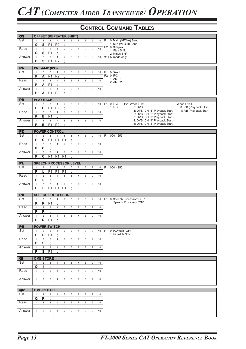| <b>OS</b> |                |                         |                               | <b>OFFSET (REPEATER SHIFT)</b>   |                |              |                  |   |             |    |                                                                                                             |
|-----------|----------------|-------------------------|-------------------------------|----------------------------------|----------------|--------------|------------------|---|-------------|----|-------------------------------------------------------------------------------------------------------------|
| Set       | $\mathbf{1}$   | $\sqrt{2}$              | 3                             | $\overline{4}$                   | 5              | 6            | $\overline{7}$   | 8 | 9           | 10 | P1 0: Main (VFO-A) Band                                                                                     |
|           | $\mathbf{o}$   | ${\sf s}$               | P <sub>1</sub>                | P <sub>2</sub>                   | $\cdot$        |              |                  |   |             |    | 1: Sub (VFO-B) Band<br>P2 0: Simplex                                                                        |
| Read      | $\mathbf{1}$   | $\overline{2}$          | 3                             | $\overline{4}$                   | 5              | 6            | $\overline{7}$   | 8 | 9           | 10 | 1: Plus Shift                                                                                               |
|           | O              | ${\sf s}$               | P <sub>1</sub>                | $\vdots$                         |                |              |                  |   |             |    | 2: Minus Shift                                                                                              |
| Answer    | $\mathbf{1}$   | $\overline{2}$          | 3                             | $\overline{4}$                   | 5              | 6            | $\overline{7}$   | 8 | 9           | 10 | <b>※</b> : FM mode only                                                                                     |
|           | O              | ${\bf s}$               | P <sub>1</sub>                | P <sub>2</sub>                   | $\cdot$        |              |                  |   |             |    |                                                                                                             |
|           |                |                         |                               |                                  |                |              |                  |   |             |    |                                                                                                             |
| <b>PA</b> |                |                         | <b>PRE-AMP (IPO)</b>          |                                  |                |              |                  |   |             |    |                                                                                                             |
| Set       | $\mathbf{1}$   | $\sqrt{2}$              | 3                             | $\overline{4}$                   | 5              | 6            | $\overline{7}$   | 8 | 9           | 10 | P1 0:Fixed                                                                                                  |
|           | P              | A                       | P <sub>1</sub>                | P <sub>2</sub>                   | $\cdot$        |              |                  |   |             |    | P2 0: IPO                                                                                                   |
|           |                |                         |                               |                                  |                |              |                  |   |             |    | 1: AMP 1                                                                                                    |
| Read      | $\mathbf{1}$   | $\overline{2}$          | 3                             | $\overline{4}$                   | 5              | 6            | $\overline{7}$   | 8 | 9           | 10 | 2: AMP 2                                                                                                    |
|           | P              | Α                       | P <sub>1</sub>                | $\cdot$                          |                |              |                  |   |             |    |                                                                                                             |
| Answer    | $\mathbf{1}$   | $\mathbf 2$             | $\mathbf{3}$                  | $\overline{4}$                   | 5              | 6            | $\overline{7}$   | 8 | 9           | 10 |                                                                                                             |
|           | P              | A                       | P <sub>1</sub>                | P <sub>2</sub>                   | $\cdot$        |              |                  |   |             |    |                                                                                                             |
|           |                |                         |                               |                                  |                |              |                  |   |             |    |                                                                                                             |
| PB        |                |                         | <b>PLAY BACK</b>              |                                  |                |              |                  |   |             |    |                                                                                                             |
| Set       | $\mathbf{1}$   | $\sqrt{2}$              | 3                             | $\overline{4}$                   | 5              | 6            | $\overline{7}$   | 8 | 9           | 10 | When P1=1<br>P <sub>1</sub><br>0: DVS<br>P2 When P1=0                                                       |
|           | P              | В                       | P <sub>1</sub>                | P <sub>2</sub>                   | $\epsilon$     |              |                  |   |             |    | $1:$ P.B<br>$0:$ DVS<br>0: P.B (Playback Stop)<br>1: P.B (Playback Start)<br>1: DVS (CH "1" Playback Start) |
| Read      | $\mathbf{1}$   | $\overline{2}$          | 3                             | $\overline{4}$                   | 5              | 6            | $\overline{7}$   | 8 | 9           | 10 | 2: DVS (CH "2" Playback Start)                                                                              |
|           | $\overline{P}$ | В                       | P <sub>1</sub>                | $\cdot$                          |                |              |                  |   |             |    | 3: DVS (CH "3" Playback Start)                                                                              |
| Answer    | $\mathbf{1}$   | $\overline{2}$          | 3                             | $\overline{4}$                   | 5              | 6            | $\overline{7}$   | 8 | 9           | 10 | 4: DVS (CH "4" Playback Start)                                                                              |
|           | P              | в                       | P <sub>1</sub>                | P <sub>2</sub>                   | $\cdot$        |              |                  |   |             |    | 5: DVS (CH "5" Playback Start)                                                                              |
|           |                |                         |                               |                                  |                |              |                  |   |             |    |                                                                                                             |
| PC        |                |                         |                               | <b>POWER CONTROL</b>             |                |              |                  |   |             |    |                                                                                                             |
| Set       | $\mathbf{1}$   | $\overline{2}$          | 3                             | $\overline{4}$                   | 5              | 6            | $\overline{7}$   | 8 | 9           | 10 | P1 000 - 255                                                                                                |
|           | P              | C                       | P <sub>1</sub>                | P <sub>1</sub>                   | P <sub>1</sub> | ÷            |                  |   |             |    |                                                                                                             |
| Read      | $\mathbf{1}$   | $\overline{2}$          | 3                             | $\overline{4}$                   | 5              | 6            | $\overline{7}$   | 8 | $\mathsf g$ | 10 |                                                                                                             |
|           | P              | $\mathbf{C}$            | $\cdot$                       |                                  |                |              |                  |   |             |    |                                                                                                             |
| Answer    | $\mathbf{1}$   | $\overline{2}$          | 3                             | $\overline{4}$                   | 5              | 6            | $\overline{7}$   | 8 | 9           | 10 |                                                                                                             |
|           | P              | $\overline{\mathbf{c}}$ | P <sub>1</sub>                | P <sub>1</sub>                   | P <sub>1</sub> | $\cdot$      |                  |   |             |    |                                                                                                             |
|           |                |                         |                               |                                  |                |              |                  |   |             |    |                                                                                                             |
| <b>PL</b> |                |                         |                               | <b>SPEECH PROCESSOR LEVEL</b>    |                |              |                  |   |             |    |                                                                                                             |
| Set       | $\mathbf{1}$   | $\overline{2}$          | 3                             | $\overline{4}$                   | 5              | 6            | $\overline{7}$   | 8 | 9           | 10 | P1 000 - 255                                                                                                |
|           | P              | L                       | P <sub>1</sub>                | P <sub>1</sub>                   | P <sub>1</sub> | $\cdot$      |                  |   |             |    |                                                                                                             |
| Read      | $\mathbf{1}$   | $\overline{2}$          | 3                             | $\overline{4}$                   | 5              | 6            | $\overline{7}$   | 8 | 9           | 10 |                                                                                                             |
|           | P              | г                       |                               |                                  |                |              |                  |   |             |    |                                                                                                             |
|           |                |                         | $\vdots$                      |                                  |                |              |                  |   |             |    |                                                                                                             |
| Answer    | $\mathbf{1}$   | $\overline{2}$          | $\mathsf 3$<br>P <sub>1</sub> | $\overline{4}$<br>P <sub>1</sub> | 5              | 6<br>$\cdot$ | $\overline{7}$   | 8 | $\mathsf g$ | 10 |                                                                                                             |
|           |                |                         |                               |                                  | P <sub>1</sub> |              |                  |   |             |    |                                                                                                             |
|           | P              | L                       |                               |                                  |                |              |                  |   |             |    |                                                                                                             |
|           |                |                         |                               |                                  |                |              |                  |   |             |    |                                                                                                             |
| <b>PR</b> |                |                         |                               | <b>SPEECH PROCESSOR</b>          |                |              |                  |   |             |    |                                                                                                             |
| Set       | $\mathbf{1}$   | $\overline{2}$          | 3                             | $\overline{4}$                   | 5              | 6            | $\overline{7}$   | 8 | 9           | 10 | P1 0: Speech Processor "OFF"                                                                                |
|           | P              | $\mathsf{R}$            | P <sub>1</sub>                | $\cdot$                          |                |              |                  |   |             |    | 1: Speech Processor "ON"                                                                                    |
| Read      | $\mathbf{1}$   | $\overline{2}$          | 3                             | $\overline{4}$                   | 5              | 6            | $\overline{7}$   | 8 | $\mathsf g$ | 10 |                                                                                                             |
|           | P              | R                       | $\vdots$                      |                                  |                |              |                  |   |             |    |                                                                                                             |
| Answer    | $\mathbf{1}$   | $\overline{2}$          | 3                             | $\overline{4}$                   | 5              | 6            | $\boldsymbol{7}$ | 8 | 9           | 10 |                                                                                                             |
|           | P              |                         | $R$   P1                      | 玉                                |                |              |                  |   |             |    |                                                                                                             |
|           |                |                         |                               |                                  |                |              |                  |   |             |    |                                                                                                             |
| <b>PS</b> |                |                         | <b>POWER SWITCH</b>           |                                  |                |              |                  |   |             |    |                                                                                                             |
| Set       | $\mathbf{1}$   | $\overline{2}$          | 3                             | $\overline{4}$                   | 5              | 6            | $\overline{7}$   | 8 | 9           | 10 | P1 0: POWER "OFF"                                                                                           |
|           | P              | S                       | P <sub>1</sub>                | $\cdot$                          |                |              |                  |   |             |    | 1: POWER "ON"                                                                                               |
| Read      | $\mathbf{1}$   | $\overline{2}$          | 3                             | $\overline{4}$                   | 5              | 6            | $\overline{7}$   | 8 | 9           | 10 |                                                                                                             |
|           | P              | S                       |                               |                                  |                |              |                  |   |             |    |                                                                                                             |
| Answer    | $\mathbf{1}$   | $\overline{2}$          | 3                             | 4                                | 5              | 6            | $\overline{7}$   | 8 | 9           | 10 |                                                                                                             |
|           | P              | S                       | P <sub>1</sub>                | $\cdot$                          |                |              |                  |   |             |    |                                                                                                             |
|           |                |                         |                               |                                  |                |              |                  |   |             |    |                                                                                                             |
| QI        |                |                         | <b>QMB STORE</b>              |                                  |                |              |                  |   |             |    |                                                                                                             |
| Set       | 1              | $\overline{2}$          | 3                             | 4                                | 5              | 6            | $\overline{7}$   | 8 | 9           | 10 |                                                                                                             |
|           | Q              | I.                      | $\cdot$                       |                                  |                |              |                  |   |             |    |                                                                                                             |
| Read      | $\mathbf{1}$   | $\overline{2}$          | 3                             | $\overline{4}$                   | 5              | 6            | $\overline{7}$   | 8 | 9           | 10 |                                                                                                             |
|           |                |                         |                               |                                  |                |              |                  |   |             |    |                                                                                                             |
| Answer    | $\mathbf{1}$   | $\overline{2}$          | 3                             | $\overline{4}$                   | 5              | 6            | $\overline{7}$   | 8 | 9           | 10 |                                                                                                             |
|           |                |                         |                               |                                  |                |              |                  |   |             |    |                                                                                                             |
|           |                |                         |                               |                                  |                |              |                  |   |             |    |                                                                                                             |
| QR        |                |                         | <b>QMB RECALL</b>             |                                  |                |              |                  |   |             |    |                                                                                                             |
| Set       | $\mathbf{1}$   | $\overline{2}$          | 3                             | 4                                | 5              | 6            | $\overline{7}$   | 8 | 9           | 10 |                                                                                                             |
|           | Q              | R                       | $\cdot$                       |                                  |                |              |                  |   |             |    |                                                                                                             |
| Read      | $\mathbf{1}$   | 2                       | 3                             | $\overline{4}$                   | 5              | 6            | $\overline{7}$   | 8 | 9           | 10 |                                                                                                             |
|           |                |                         |                               |                                  |                |              |                  |   |             |    |                                                                                                             |
| Answer    | $\mathbf{1}$   | $\overline{2}$          | 3                             | 4                                | 5              | 6            | $\overline{7}$   | 8 | 9           | 10 |                                                                                                             |
|           |                |                         |                               |                                  |                |              |                  |   |             |    |                                                                                                             |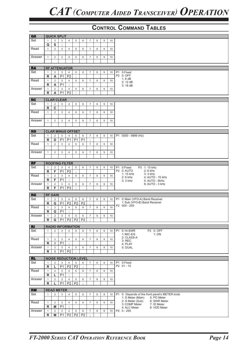| QS             |                    |                     | <b>QUICK SPLIT</b>  |                                  |                     |                |                  |   |   |    |                |                                                                      |
|----------------|--------------------|---------------------|---------------------|----------------------------------|---------------------|----------------|------------------|---|---|----|----------------|----------------------------------------------------------------------|
| Set            | $\mathbf{1}$       | 2                   | 3                   | 4                                | 5                   | 6              | $\overline{7}$   | 8 | 9 | 10 |                |                                                                      |
|                | Q                  | S                   | $\cdot$             |                                  |                     |                |                  |   |   |    |                |                                                                      |
| Read           | $\mathbf{1}$       | $\overline{2}$      | 3                   | $\overline{4}$                   | 5                   | 6              | $\overline{7}$   | 8 | 9 | 10 |                |                                                                      |
| Answer         | $\mathbf{1}$       | $\overline{2}$      | 3                   | $\overline{4}$                   | 5                   | 6              | $\overline{7}$   | 8 | 9 | 10 |                |                                                                      |
|                |                    |                     |                     |                                  |                     |                |                  |   |   |    |                |                                                                      |
|                |                    |                     |                     |                                  |                     |                |                  |   |   |    |                |                                                                      |
| <b>RA</b>      |                    |                     |                     | <b>RF ATTENUATOR</b>             |                     |                |                  |   |   |    |                |                                                                      |
| Set            | $\mathbf{1}$       | 2                   | 3                   | $\overline{4}$                   | 5<br>$\cdot$        | 6              | $\overline{7}$   | 8 | 9 | 10 |                | P1 0:Fixed<br>P2 0: OFF                                              |
|                | R                  | Α                   | P1                  | P <sub>2</sub>                   |                     |                |                  |   |   |    |                | 1:6dB                                                                |
| Read           | $\mathbf{1}$       | $\overline{2}$      | 3                   | $\overline{4}$                   | 5                   | 6              | $\overline{7}$   | 8 | 9 | 10 |                | 2: 12 dB                                                             |
|                | R                  | Α                   | P <sub>1</sub>      | $\bullet$                        |                     |                |                  |   |   |    |                | 3:18dB                                                               |
| Answer         | $\mathbf{1}$<br>R. | 2<br>Α              | 3<br>P <sub>1</sub> | $\overline{4}$<br>P <sub>2</sub> | 5<br>÷              | 6              | $\overline{7}$   | 8 | 9 | 10 |                |                                                                      |
|                |                    |                     |                     |                                  |                     |                |                  |   |   |    |                |                                                                      |
| <b>RC</b>      |                    |                     | <b>CLAR CLEAR</b>   |                                  |                     |                |                  |   |   |    |                |                                                                      |
| Set            | $\mathbf{1}$       | $\overline{2}$      | 3                   | $\overline{4}$                   | 5                   | 6              | $\boldsymbol{7}$ | 8 | 9 | 10 |                |                                                                      |
|                | R.                 | $\mathbf c$         | $\cdot$             |                                  |                     |                |                  |   |   |    |                |                                                                      |
| Read           | $\mathbf{1}$       | $\overline{2}$      | 3                   | $\overline{4}$                   | 5                   | 6              | $\overline{7}$   | 8 | 9 | 10 |                |                                                                      |
|                |                    |                     |                     |                                  |                     |                |                  |   |   |    |                |                                                                      |
| Answer         | $\mathbf{1}$       | $\overline{2}$      | 3                   | $\overline{4}$                   | 5                   | 6              | $\overline{7}$   | 8 | 9 | 10 |                |                                                                      |
| <b>RD</b>      |                    |                     |                     | <b>CLAR MINUS OFFSET</b>         |                     |                |                  |   |   |    |                |                                                                      |
| Set            | $\mathbf{1}$       | 2                   | 3                   | 4                                | 5                   | 6              | $\overline{7}$   | 8 | 9 | 10 |                | P1 0000 - 9999 (Hz)                                                  |
|                | R.                 | D                   | <b>P1</b>           | <b>P1</b>                        | <b>P1</b>           | P <sub>1</sub> | $\cdot$          |   |   |    |                |                                                                      |
| Read           | $\mathbf{1}$       | $\overline{2}$      | 3                   | $\overline{4}$                   | 5                   | 6              | $\overline{7}$   | 8 | 9 | 10 |                |                                                                      |
|                |                    |                     |                     |                                  |                     |                |                  |   |   |    |                |                                                                      |
| Answer         | $\mathbf{1}$       | $\overline{2}$      | 3                   | $\overline{4}$                   | 5                   | 6              | $\overline{7}$   | 8 | 9 | 10 |                |                                                                      |
|                |                    |                     |                     |                                  |                     |                |                  |   |   |    |                |                                                                      |
| RF             |                    |                     |                     | <b>ROOFING FILTER</b>            |                     |                |                  |   |   |    |                |                                                                      |
| Set            | $\mathbf{1}$       | 2                   | 3                   | $\overline{4}$                   | 5                   | 6              | $\boldsymbol{7}$ | 8 | 9 | 10 |                | P1 0:Fixed<br>P3 1: 15 kHz                                           |
|                | R                  | F.                  | P <sub>1</sub>      | P <sub>2</sub>                   | $\cdot$             |                |                  |   |   |    |                | P2 0: AUTO<br>2: 6 kHz                                               |
| Read           | $\mathbf{1}$       | 2                   | 3                   | $\overline{4}$                   | 5                   | 6              | $\overline{7}$   | 8 | 9 | 10 |                | 3: 3 kHz<br>1: 15 kHz<br>$2:6$ kHz<br>4: AUTO - 15 kHz               |
|                | R.                 | F                   | P <sub>1</sub>      | ÷                                |                     |                |                  |   |   |    |                | 3: 3 kHz<br>5: AUTO - 6kHz                                           |
| Answer         | $\mathbf{1}$       | $\overline{2}$      | 3                   | $\overline{4}$                   | 5                   | 6              | $\overline{7}$   | 8 | 9 | 10 |                | 6: AUTO - 3 kHz                                                      |
|                | R                  | F.                  | <b>P1</b>           | P <sub>3</sub>                   | $\cdot$             |                |                  |   |   |    |                |                                                                      |
| <b>RG</b>      |                    | <b>RF GAIN</b>      |                     |                                  |                     |                |                  |   |   |    |                |                                                                      |
| Set            | $\mathbf{1}$       | $\overline{2}$      | 3                   | $\overline{4}$                   | 5                   | 6              | $\overline{7}$   | 8 | 9 | 10 |                | P1 0: Main (VFO-A) Band Receiver                                     |
|                | R                  | G                   | P1                  | P <sub>2</sub>                   | P <sub>2</sub>      | P <sub>2</sub> | $\cdot$          |   |   |    |                | 1: Sub (VFO-B) Band Receiver                                         |
| Read           | $\mathbf{1}$       | $\overline{2}$      | 3                   | $\overline{4}$                   | 5                   | 6              | $\overline{7}$   | 8 | 9 | 10 |                | P2 000 - 255                                                         |
|                | R                  | G                   | P <sub>1</sub>      | $\cdot$                          |                     |                |                  |   |   |    |                |                                                                      |
| Answer         | $\mathbf{1}$       | $\overline{2}$      | $\mathsf 3$         | $\overline{4}$                   | 5                   | 6              | $\overline{7}$   | 8 | 9 | 10 |                |                                                                      |
|                | R                  |                     |                     | <b>G</b> $ P1 P2 P2 P2$          |                     |                | $\ddot{.}$       |   |   |    |                |                                                                      |
|                |                    |                     |                     |                                  |                     |                |                  |   |   |    |                |                                                                      |
| R <sub>l</sub> |                    |                     |                     | <b>RADIO INFORMATION</b>         |                     |                |                  |   |   |    |                |                                                                      |
| Set            | $\mathbf{1}$       | $\overline{2}$      | 3                   | $\overline{4}$                   | 5                   | 6              | $\boldsymbol{7}$ | 8 | 9 | 10 | P <sub>1</sub> | 0: Hi-SWR<br>P2 0: OFF                                               |
|                |                    |                     |                     |                                  |                     |                |                  |   |   |    |                | 1: MIC-EQ<br>1: ON<br>2: CLASS-A                                     |
| Read           | $\mathbf{1}$<br>R. | $\overline{2}$<br>L | 3<br>P <sub>1</sub> | 4<br>$\cdot$                     | 5                   | 6              | $\overline{7}$   | 8 | 9 | 10 |                | $3:$ REC                                                             |
| Answer         | $\mathbf{1}$       | $\overline{2}$      | 3                   | $\overline{4}$                   | 5                   | 6              | $\overline{7}$   | 8 | 9 | 10 |                | 4: PLAY<br>5: DUAL                                                   |
|                | R                  | I.                  | P <sub>1</sub>      | P <sub>2</sub>                   | $\cdot$             |                |                  |   |   |    |                |                                                                      |
|                |                    |                     |                     |                                  |                     |                |                  |   |   |    |                |                                                                      |
| <b>RL</b>      |                    |                     |                     | <b>NOISE REDUCTION LEVEL</b>     |                     |                |                  |   |   |    |                |                                                                      |
| Set            | $\mathbf{1}$       | $\overline{2}$      | 3                   | $\overline{4}$                   | 5                   | 6              | $\overline{7}$   | 8 | 9 | 10 |                | P1 0:Fixed<br>P2 01 - 15                                             |
| Read           | R<br>$\mathbf{1}$  | L<br>2              | P <sub>1</sub><br>3 | P <sub>2</sub><br>$\overline{4}$ | P <sub>2</sub><br>5 | ÷<br>6         | $\overline{7}$   | 8 | 9 | 10 |                |                                                                      |
|                |                    |                     |                     | $\epsilon$                       |                     |                |                  |   |   |    |                |                                                                      |
| Answer         | R.<br>$\mathbf{1}$ | L                   | P <sub>1</sub>      |                                  |                     |                | $\overline{7}$   | 8 | 9 |    |                |                                                                      |
|                | R                  | $\overline{2}$<br>L | 3<br>P <sub>1</sub> | $\overline{4}$<br>P <sub>2</sub> | 5<br>P <sub>2</sub> | 6<br>$\cdot$   |                  |   |   | 10 |                |                                                                      |
|                |                    |                     |                     |                                  |                     |                |                  |   |   |    |                |                                                                      |
| <b>RM</b>      |                    |                     | <b>READ METER</b>   |                                  |                     |                |                  |   |   |    |                |                                                                      |
| Set            | $\mathbf{1}$       | $\overline{2}$      | 3                   | $\overline{4}$                   | 5                   | 6              | $\overline{7}$   | 8 | 9 | 10 | <b>P1</b>      | 0: Depends of the front panel's METER knob                           |
|                |                    |                     |                     |                                  |                     |                |                  |   |   |    |                | 1: S Meter (Main)<br>5: PO Meter<br>2: S Meter (Sub)<br>6: SWR Meter |
| Read           | $\mathbf{1}$       | $\overline{2}$      | 3                   | $\overline{4}$                   | 5                   | 6              | $\overline{7}$   | 8 | 9 | 10 |                | 3: COMP Meter<br>7: ID Meter                                         |
|                | $\mathsf{R}$       | M                   | P <sub>1</sub>      | $\ddot{\phantom{a}}$             |                     |                |                  |   |   |    |                | 4: ALC Meter<br>8: VDD Meter                                         |
| Answer         | $\mathbf{1}$       | $\overline{2}$      | 3                   | $\overline{4}$                   | 5                   | 6              | $\overline{7}$   | 8 | 9 | 10 |                | P2 0 - 255                                                           |
|                | R                  | М                   | P <sub>1</sub>      | P <sub>2</sub>                   | P <sub>2</sub>      | P <sub>2</sub> | $\bullet$        |   |   |    |                |                                                                      |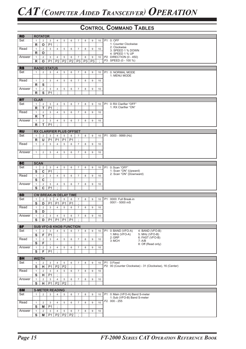| <b>RO</b> |              | <b>ROTATOR</b> |                             |                |                |                                |                  |                |                |         |           |                                                         |
|-----------|--------------|----------------|-----------------------------|----------------|----------------|--------------------------------|------------------|----------------|----------------|---------|-----------|---------------------------------------------------------|
| Set       | $\mathbf{1}$ | $\overline{2}$ | 3                           | $\overline{4}$ | 5              | 6                              | $\overline{7}$   | 8              | 9              | 10      |           | P1 0: OFF                                               |
|           | R            | $\mathbf{o}$   | P <sub>1</sub>              | $\cdot$        |                |                                |                  |                |                |         |           | 1: Counter Clockwise                                    |
| Read      | $\mathbf{1}$ | $\overline{2}$ | 3                           | $\overline{4}$ | 5              | 6                              | $\overline{7}$   | 8              | 9              | 10      |           | 2: Clockwise                                            |
|           | R            | $\mathbf O$    | $\bullet$                   |                |                |                                |                  |                |                |         |           | 3: SPEED 1 % DOWN                                       |
|           |              |                |                             |                |                |                                |                  |                |                |         |           | 4: SPEED 1 % UP<br>P2 DIRECTION (0 - 450)               |
| Answer    | $\mathbf{1}$ | $\overline{2}$ | 3                           | $\overline{4}$ | 5              | 6                              | $\overline{7}$   | 8              | 9              | 10      |           | P3 SPEED (0 - 100 %)                                    |
|           | R            | O              | P <sub>1</sub>              | P <sub>2</sub> | <b>P2</b>      | P <sub>2</sub>                 | P <sub>3</sub>   | P <sub>3</sub> | P <sub>3</sub> | $\cdot$ |           |                                                         |
|           |              |                |                             |                |                |                                |                  |                |                |         |           |                                                         |
| <b>RS</b> |              |                | <b>RADIO STATUS</b>         |                |                |                                |                  |                |                |         |           |                                                         |
| Set       | $\mathbf{1}$ | $\overline{2}$ | 3                           | 4              | 5              | 6                              | $\overline{7}$   | 8              | 9              | 10      |           | P1 0: NORMAL MODE<br>1: MENU MODE                       |
|           |              |                |                             |                |                |                                |                  |                |                |         |           |                                                         |
| Read      | $\mathbf{1}$ | $\overline{2}$ | $\mathsf 3$                 | $\overline{4}$ | 5              | 6                              | $\overline{7}$   | 8              | 9              | 10      |           |                                                         |
|           | R            | S              | $\cdot$                     |                |                |                                |                  |                |                |         |           |                                                         |
| Answer    | $\mathbf{1}$ | $\overline{2}$ | 3                           | 4              | 5              | 6                              | $\overline{7}$   | 8              | 9              | 10      |           |                                                         |
|           | R            | ${\sf s}$      | P <sub>1</sub>              | $\cdot$        |                |                                |                  |                |                |         |           |                                                         |
|           |              |                |                             |                |                |                                |                  |                |                |         |           |                                                         |
| <b>RT</b> | <b>CLAR</b>  |                |                             |                |                |                                |                  |                |                |         |           |                                                         |
| Set       | $\mathbf{1}$ | $\overline{2}$ | 3                           | 4              | 5              | 6                              | $\overline{7}$   | 8              | 9              | 10      |           | P1 0: RX Clarifier "OFF"                                |
|           | R            | $\mathsf{T}$   | P <sub>1</sub>              | $\cdot$        |                |                                |                  |                |                |         |           | 1: RX Clarifier "ON"                                    |
| Read      | $\mathbf{1}$ | $\overline{2}$ | 3                           | $\overline{4}$ | 5              | 6                              | $\overline{7}$   | 8              | 9              | 10      |           |                                                         |
|           | R            | т              | $\cdot$                     |                |                |                                |                  |                |                |         |           |                                                         |
| Answer    | $\mathbf{1}$ | $\overline{2}$ | 3                           | $\overline{4}$ | 5              | 6                              | $\boldsymbol{7}$ | 8              | 9              | 10      |           |                                                         |
|           | R            | T              | P <sub>1</sub>              | ÷              |                |                                |                  |                |                |         |           |                                                         |
|           |              |                |                             |                |                |                                |                  |                |                |         |           |                                                         |
| <b>RU</b> |              |                |                             |                |                | RX CLARIFIER PLUS OFFSET       |                  |                |                |         |           |                                                         |
| Set       | $\mathbf{1}$ | $\overline{2}$ | 3                           | $\overline{4}$ | 5              | 6                              | $\overline{7}$   | 8              | 9              | 10      |           | P1 0000 - 9999 (Hz)                                     |
|           | $\mathsf R$  | U              | P <sub>1</sub>              | P <sub>1</sub> | P <sub>1</sub> | P <sub>1</sub>                 | $\cdot$          |                |                |         |           |                                                         |
| Read      | $\mathbf{1}$ | $\overline{2}$ | 3                           | $\overline{4}$ | 5              | 6                              | $\overline{7}$   | 8              | 9              | 10      |           |                                                         |
|           |              |                |                             |                |                |                                |                  |                |                |         |           |                                                         |
|           |              |                |                             |                |                |                                |                  |                |                |         |           |                                                         |
| Answer    | $\mathbf{1}$ | $\overline{2}$ | 3                           | $\overline{4}$ | 5              | 6                              | $\overline{7}$   | 8              | 9              | 10      |           |                                                         |
|           |              |                |                             |                |                |                                |                  |                |                |         |           |                                                         |
|           |              |                |                             |                |                |                                |                  |                |                |         |           |                                                         |
| <b>SC</b> | <b>SCAN</b>  |                |                             |                |                |                                |                  |                |                |         |           |                                                         |
| Set       | $\mathbf{1}$ | $\overline{2}$ | 3                           | 4              | 5              | 6                              | $\overline{7}$   | 8              | 9              | 10      |           | P1 0: Scan "OFF"                                        |
|           | ${\sf s}$    | $\mathbf c$    | P <sub>1</sub>              | $\vdots$       |                |                                |                  |                |                |         |           | 1: Scan "ON" (Upward)<br>2: Scan "ON" (Downward)        |
| Read      | $\mathbf{1}$ | $\overline{2}$ | 3                           | $\overline{4}$ | 5              | 6                              | $\overline{7}$   | 8              | $9\,$          | 10      |           |                                                         |
|           | S            | $\mathbf c$    | $\cdot$                     |                |                |                                |                  |                |                |         |           |                                                         |
| Answer    | $\mathbf{1}$ | $\overline{2}$ | 3                           | $\overline{4}$ | 5              | 6                              | $\overline{7}$   | 8              | 9              | 10      |           |                                                         |
|           | S            | C              | P <sub>1</sub>              | $\cdot$        |                |                                |                  |                |                |         |           |                                                         |
|           |              |                |                             |                |                |                                |                  |                |                |         |           |                                                         |
| <b>SD</b> |              |                |                             |                |                | <b>CW BREAK-IN DELAY TIME</b>  |                  |                |                |         |           |                                                         |
| Set       | $\mathbf{1}$ | $\overline{2}$ | 3                           | $\overline{4}$ | 5              | 6                              | $\overline{7}$   | 8              | 9              | 10      | <b>P1</b> | 0000: Full Break-in                                     |
|           | S            | D              | P <sub>1</sub>              | P <sub>1</sub> | P <sub>1</sub> | P <sub>1</sub>                 | $\cdot$          |                |                |         |           | 0001 - 5000 mS                                          |
| Read      | $\mathbf{1}$ | $\overline{2}$ | 3                           | $\overline{4}$ | 5              | 6                              | $\overline{7}$   | 8              | 9              | 10      |           |                                                         |
|           | S            | D              | ÷                           |                |                |                                |                  |                |                |         |           |                                                         |
| Answer    | $\mathbf{1}$ | $\overline{2}$ | 3                           | $\overline{4}$ | 5              | 6                              | $\overline{7}$   | 8              | 9              | 10      |           |                                                         |
|           |              |                | $S$ $D$ $PI$ $PI$ $PI$ $PI$ |                |                |                                |                  |                |                |         |           |                                                         |
|           |              |                |                             |                |                |                                |                  |                |                |         |           |                                                         |
| SF        |              |                |                             |                |                | <b>SUB VFO-B KNOB FUNCTION</b> |                  |                |                |         |           |                                                         |
| Set       | $\mathbf{1}$ | $\sqrt{2}$     | $\mathsf 3$                 | 4              | 5              | 6                              | $\overline{7}$   | 8              | 9              | 10      | <b>P1</b> | 0: BAND (VFO-A)<br>4: BAND (VFO-B)                      |
|           | S            | F              | P <sub>1</sub>              |                |                |                                |                  |                |                |         |           | 1: MHz (VFO-A)<br>5: MHz (VFO-B)                        |
| Read      | $\mathbf{1}$ | $\overline{2}$ | 3                           | $\overline{4}$ | 5              | 6                              | $\overline{7}$   | 8              | 9              | 10      |           | 2:GRP<br>6: FAST (VFO-B)                                |
|           | S            | F              | $\cdot$                     |                |                |                                |                  |                |                |         |           | 3: MCH<br>7: A/B                                        |
| Answer    | $\mathbf{1}$ | $\overline{2}$ | 3                           | $\overline{4}$ | 5              | 6                              | $\overline{7}$   | 8              | 9              | 10      |           | 8: Off (Read only)                                      |
|           | ${\bf S}$    | F              | P <sub>1</sub>              | $\epsilon$     |                |                                |                  |                |                |         |           |                                                         |
|           |              |                |                             |                |                |                                |                  |                |                |         |           |                                                         |
| <b>SH</b> | <b>WIDTH</b> |                |                             |                |                |                                |                  |                |                |         |           |                                                         |
| Set       | $\mathbf{1}$ | $\overline{2}$ | 3                           | $\overline{4}$ | 5              | 6                              | $\overline{7}$   | 8              | 9              | 10      |           | P1 0:Fixed                                              |
|           | ${\sf s}$    | н              | P <sub>1</sub>              | P <sub>2</sub> | P <sub>2</sub> | $\cdot$                        |                  |                |                |         |           | P2 00 (Counter Clockwise) - 31 (Clockwise), 16 (Center) |
| Read      | $\mathbf{1}$ | $\overline{2}$ | 3                           | $\overline{4}$ | 5              | 6                              | $\overline{7}$   | 8              | 9              | 10      |           |                                                         |
|           | s            | н              | P <sub>1</sub>              | $\epsilon$     |                |                                |                  |                |                |         |           |                                                         |
|           |              |                |                             |                |                |                                |                  |                |                |         |           |                                                         |
| Answer    | $\mathbf{1}$ | $\overline{2}$ | 3                           | $\overline{4}$ | 5              | 6                              | $\overline{7}$   | 8              | 9              | 10      |           |                                                         |
|           | S            | н              | P <sub>1</sub>              | P <sub>2</sub> | P <sub>2</sub> | ÷                              |                  |                |                |         |           |                                                         |
| <b>SM</b> |              |                | <b>S-METER READING</b>      |                |                |                                |                  |                |                |         |           |                                                         |
| Set       |              | $\overline{2}$ | $\mathbf{3}$                |                |                | 6                              | $\overline{7}$   | 8              | 9              | 10      | <b>P1</b> | 0: Main (VFO-A) Band S-meter                            |
|           | $\mathbf{1}$ |                |                             | 4              | 5              |                                |                  |                |                |         |           | 1: Sub (VFO-B) Band S-meter                             |
|           |              |                |                             |                |                |                                |                  |                |                |         |           | P2 000 - 255                                            |
| Read      | $\mathbf{1}$ | $\overline{2}$ | 3                           | $\overline{4}$ | 5              | 6                              | $\overline{7}$   | 8              | 9              | 10      |           |                                                         |
|           | S            | M              | P <sub>1</sub>              | $\cdot$        |                |                                |                  |                |                |         |           |                                                         |
| Answer    | $\mathbf{1}$ | $\overline{2}$ | 3                           | $\overline{4}$ | 5              | 6                              | $\overline{7}$   | 8              | 9              | 10      |           |                                                         |
|           | S            | M              | P <sub>1</sub>              | P2             | P2             | P <sub>2</sub>                 | $\cdot$          |                |                |         |           |                                                         |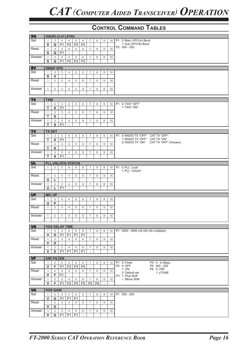| <b>SQ</b> |               |                         |                           | <b>SQUELCLH LEVEL</b>    |                |                      |                |                |                |    |                                                |
|-----------|---------------|-------------------------|---------------------------|--------------------------|----------------|----------------------|----------------|----------------|----------------|----|------------------------------------------------|
| Set       |               |                         |                           |                          |                |                      |                |                |                |    |                                                |
|           | $\mathbf{1}$  | 2                       | 3                         | $\overline{4}$           | $\sqrt{5}$     | 6                    | $\overline{7}$ | 8              | 9              | 10 | P1 0: Main (VFO-A) Band<br>1: Sub (VFO-B) Band |
|           | ${\sf s}$     | Q                       | P <sub>1</sub>            | P <sub>2</sub>           | P <sub>2</sub> | P <sub>2</sub>       | $\cdot$        |                |                |    | P2 000 - 255                                   |
| Read      | $\mathbf{1}$  | $\overline{2}$          | 3                         | $\overline{4}$           | 5              | 6                    | $\overline{7}$ | 8              | 9              | 10 |                                                |
|           | ${\bf S}$     | Q                       | P <sub>1</sub>            | $\bullet$                |                |                      |                |                |                |    |                                                |
| Answer    | $\mathbf{1}$  | 2                       | 3                         | $\overline{4}$           | 5              | 6                    | $\overline{7}$ | 8              | 9              | 10 |                                                |
|           | S             | Q                       | P <sub>1</sub>            | P <sub>2</sub>           | P <sub>2</sub> | P <sub>2</sub>       | $\cdot$        |                |                |    |                                                |
|           |               |                         |                           |                          |                |                      |                |                |                |    |                                                |
| <b>SV</b> |               | <b>SWAP VFO</b>         |                           |                          |                |                      |                |                |                |    |                                                |
| Set       | $\mathbf{1}$  | $\overline{2}$          | 3                         | $\overline{4}$           | 5              | 6                    | $\overline{7}$ | 8              | 9              | 10 |                                                |
|           | ${\bf S}$     | $\mathsf{V}$            | $\epsilon$                |                          |                |                      |                |                |                |    |                                                |
| Read      | $\mathbf{1}$  | $\overline{2}$          | 3                         | $\overline{4}$           | 5              | 6                    | $\overline{7}$ | 8              | 9              | 10 |                                                |
|           |               |                         |                           |                          |                |                      |                |                |                |    |                                                |
|           |               |                         |                           |                          |                |                      |                |                |                |    |                                                |
| Answer    | $\mathbf{1}$  | 2                       | 3                         | $\overline{4}$           | 5              | 6                    | $\overline{7}$ | 8              | 9              | 10 |                                                |
|           |               |                         |                           |                          |                |                      |                |                |                |    |                                                |
|           | <b>TXW</b>    |                         |                           |                          |                |                      |                |                |                |    |                                                |
| <b>TS</b> |               |                         |                           |                          |                |                      |                |                |                |    |                                                |
| Set       | $\mathbf{1}$  | $\overline{2}$          | 3                         | $\overline{4}$           | $\,$ 5 $\,$    | 6                    | $\overline{7}$ | 8              | 9              | 10 | P1 0: TXW "OFF"                                |
|           | T             | S                       | P <sub>1</sub>            | ÷                        |                |                      |                |                |                |    | 1: TXW "ON"                                    |
| Read      | $\mathbf{1}$  | $\overline{2}$          | 3                         | $\overline{4}$           | 5              | 6                    | $\overline{7}$ | 8              | 9              | 10 |                                                |
|           | T             | ${\sf s}$               | $\cdot$                   |                          |                |                      |                |                |                |    |                                                |
| Answer    | $\mathbf{1}$  | $\overline{2}$          | $\ensuremath{\mathsf{3}}$ | 4                        | 5              | 6                    | $\overline{7}$ | 8              | 9              | 10 |                                                |
|           | т             | S                       | P <sub>1</sub>            | $\cdot$                  |                |                      |                |                |                |    |                                                |
|           |               |                         |                           |                          |                |                      |                |                |                |    |                                                |
| <b>TX</b> | <b>TX SET</b> |                         |                           |                          |                |                      |                |                |                |    |                                                |
| Set       | $\mathbf{1}$  | $\overline{2}$          | 3                         | 4                        | 5              | 6                    | $\overline{7}$ | 8              | 9              | 10 | P1 0: RADIO TX "OFF"<br>CAT TX "OFF"           |
|           | T             | $\pmb{\mathsf{X}}$      | P <sub>1</sub>            | $\cdot$                  |                |                      |                |                |                |    | 1: RADIO TX "OFF" CAT TX "ON"                  |
| Read      | $\mathbf{1}$  | $\overline{2}$          | 3                         | $\overline{4}$           | 5              | 6                    | $\overline{7}$ | 8              | 9              | 10 | CAT TX "OFF" (Answer)<br>2: RADIO TX "ON"      |
|           | T             | X                       | $\vdots$                  |                          |                |                      |                |                |                |    |                                                |
|           |               |                         |                           |                          |                |                      |                |                |                |    |                                                |
| Answer    | $\mathbf{1}$  | $\overline{2}$          | 3                         | 4                        | 5              | 6                    | $\overline{7}$ | 8              | 9              | 10 |                                                |
|           | T.            | $\overline{\mathbf{x}}$ | P <sub>1</sub>            | $\cdot$                  |                |                      |                |                |                |    |                                                |
|           |               |                         |                           | <b>PLL UNLOCK STATUS</b> |                |                      |                |                |                |    |                                                |
| <b>UL</b> |               |                         |                           |                          |                |                      |                |                |                |    |                                                |
| Set       | $\mathbf{1}$  | $\overline{2}$          | 3                         | $\overline{4}$           | 5              | 6                    | $\overline{7}$ | 8              | 9              | 10 | P1 0: PLL "Lock"<br>1: PLL "Unlock"            |
|           |               |                         |                           |                          |                |                      |                |                |                |    |                                                |
| Read      | $\mathbf{1}$  | $\overline{2}$          | 3                         | $\overline{4}$           | 5              | 6                    | $\overline{7}$ | 8              | 9              | 10 |                                                |
|           | U             | L                       | $\cdot$                   |                          |                |                      |                |                |                |    |                                                |
| Answer    | $\mathbf{1}$  | $\overline{2}$          | 3                         | $\overline{4}$           | 5              | 6                    | $\overline{7}$ | 8              | 9              | 10 |                                                |
|           | U             | L                       | P <sub>1</sub>            | $\bullet$                |                |                      |                |                |                |    |                                                |
|           |               |                         |                           |                          |                |                      |                |                |                |    |                                                |
| <b>UP</b> | <b>MIC UP</b> |                         |                           |                          |                |                      |                |                |                |    |                                                |
| Set       | $\mathbf{1}$  | $\overline{2}$          | 3                         | $\overline{4}$           | 5              | 6                    | $\overline{7}$ | 8              | 9              | 10 |                                                |
|           | U             | P                       | $\cdot$                   |                          |                |                      |                |                |                |    |                                                |
| Read      | $\mathbf{1}$  | 2                       | 3                         | $\overline{4}$           | 5              | 6                    | $\overline{7}$ | 8              | 9              | 10 |                                                |
|           |               |                         |                           |                          |                |                      |                |                |                |    |                                                |
| Answer    | $\mathbf{1}$  | 2                       | 3                         | $\overline{4}$           | 5              | 6                    | $\overline{7}$ | 8              | 9              | 10 |                                                |
|           |               |                         |                           |                          |                |                      |                |                |                |    |                                                |
|           |               |                         |                           |                          |                |                      |                |                |                |    |                                                |
| <b>VD</b> |               |                         |                           | <b>VOX DELAY TIME</b>    |                |                      |                |                |                |    |                                                |
| Set       | $\mathbf{1}$  | $\overline{2}$          | 3                         | 4                        | 5              | 6                    | $\overline{7}$ | 8              | 9              | 10 | P1 0000 - 5000 mS (20 mS multiples)            |
|           | $\mathsf{v}$  | D                       | P <sub>1</sub>            | P <sub>1</sub>           | P <sub>1</sub> | P <sub>1</sub>       | ÷              |                |                |    |                                                |
| Read      |               |                         |                           |                          |                |                      |                |                |                |    |                                                |
|           | $\mathbf{1}$  | $\overline{2}$          | 3                         | $\overline{4}$           | 5              | 6                    | $\overline{7}$ | 8              | $\overline{9}$ | 10 |                                                |
|           | V             | D                       | $\cdot$                   |                          |                |                      |                |                |                |    |                                                |
| Answer    | $\mathbf{1}$  | $\overline{2}$          | 3                         | $\overline{4}$           | 5              | 6                    | $\overline{7}$ | 8              | 9              | 10 |                                                |
|           | V             | D                       | P <sub>1</sub>            | P1                       | P1             | P <sub>1</sub>       | $\bullet$      |                |                |    |                                                |
|           |               |                         |                           |                          |                |                      |                |                |                |    |                                                |
| <b>VF</b> |               | <b>VRF FILTER</b>       |                           |                          |                |                      |                |                |                |    |                                                |
| Set       | $\mathbf{1}$  | 2                       | 3                         | $\overline{4}$           | 5              | 6                    | $\overline{7}$ | 8              | 9              | 10 | P1 0: Fixed<br>P4 0 - 9 (Step)                 |
|           | $\mathsf{v}$  | F                       | P <sub>1</sub>            | P <sub>2</sub>           | P3             | P <sub>4</sub>       | $\bullet$      |                |                |    | P5 000 - 255<br>P2 0: OFF<br>P6 0: VRF         |
| Read      | $\mathbf{1}$  | $\overline{2}$          | 3                         | $\overline{4}$           | 5              | 6                    | $\overline{7}$ | 8              | 9              | 10 | 1: ON<br>2: Default set<br>1: µTUNE            |
|           | $\mathsf{v}$  | F                       | P1:                       |                          |                |                      |                |                |                |    | P3 +: Plus Shift                               |
| Answer    | $\mathbf{1}$  | $\overline{2}$          | 3                         | $\overline{4}$           | $\,$ 5 $\,$    | 6                    | $\overline{7}$ | 8              | 9              | 10 | -: Minus Shift                                 |
|           | V             | F                       | P <sub>1</sub>            | P2                       | P <sub>5</sub> | P <sub>5</sub>       | <b>P5</b>      | P <sub>6</sub> | $\epsilon$     |    |                                                |
|           |               |                         |                           |                          |                |                      |                |                |                |    |                                                |
| <b>VG</b> |               | <b>VOX GAIN</b>         |                           |                          |                |                      |                |                |                |    |                                                |
| Set       | $\mathbf{1}$  | 2                       | 3                         | $\overline{4}$           | 5              | 6                    | $\overline{7}$ | 8              | 9              | 10 | P1 000 - 255                                   |
|           | $\mathsf{v}$  | G                       | P <sub>1</sub>            | P <sub>1</sub>           | P <sub>1</sub> | $\cdot$              |                |                |                |    |                                                |
| Read      | $\mathbf{1}$  | $\overline{2}$          | 3                         | $\overline{4}$           | 5              | 6                    | $\overline{7}$ | 8              | 9              | 10 |                                                |
|           | V             | G                       | $\cdot$                   |                          |                |                      |                |                |                |    |                                                |
|           |               |                         |                           |                          |                |                      |                |                |                |    |                                                |
| Answer    | $\mathbf{1}$  | $\overline{2}$          | $\mathbf{3}$              | $\overline{4}$           | 5              | 6                    | $\overline{7}$ | 8              | 9              | 10 |                                                |
|           | V             | G                       | P1                        | P1                       | <b>P1</b>      | $\ddot{\mathcal{L}}$ |                |                |                |    |                                                |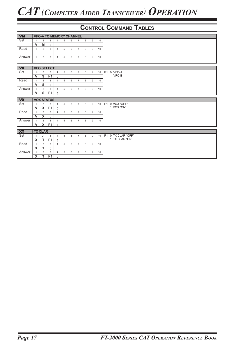| <b>VM</b> |              |                           |                   |                |   |   | <b>VFO-A TO MEMORY CHANNEL</b> |   |   |                 |                           |
|-----------|--------------|---------------------------|-------------------|----------------|---|---|--------------------------------|---|---|-----------------|---------------------------|
| Set       | $\mathbf{1}$ | $\overline{2}$            | 3                 | $\overline{4}$ | 5 | 6 | $\overline{7}$                 | 8 | 9 | 10              |                           |
|           | $\mathsf{V}$ | M                         | $\sim$            |                |   |   |                                |   |   |                 |                           |
| Read      | $\mathbf{1}$ | $\overline{2}$            | 3                 | $\overline{4}$ | 5 | 6 | $\overline{7}$                 | 8 | 9 | 10              |                           |
|           |              |                           |                   |                |   |   |                                |   |   |                 |                           |
| Answer    | $\mathbf{1}$ | $\overline{2}$            | 3                 | $\overline{4}$ | 5 | 6 | $\overline{7}$                 | 8 | 9 | 10              |                           |
|           |              |                           |                   |                |   |   |                                |   |   |                 |                           |
|           |              |                           |                   |                |   |   |                                |   |   |                 |                           |
| <b>VS</b> |              |                           | <b>VFO SELECT</b> |                |   |   |                                |   |   |                 |                           |
| Set       | $\mathbf{1}$ | $\overline{2}$            | 3                 | $\overline{4}$ | 5 | 6 | $\overline{7}$                 | 8 | 9 | 10              | P1 0: VFO-A<br>1: VFO-B   |
|           | $\mathsf{V}$ | S                         | P <sub>1</sub>    | $\cdot$        |   |   |                                |   |   |                 |                           |
| Read      | $\mathbf{1}$ | $\overline{2}$            | 3                 | $\overline{4}$ | 5 | 6 | $\overline{7}$                 | 8 | 9 | 10              |                           |
|           | $\mathsf{V}$ | S                         | $\cdot$           |                |   |   |                                |   |   |                 |                           |
| Answer    | $\mathbf{1}$ | $\overline{2}$            | 3                 | $\overline{4}$ | 5 | 6 | $\overline{7}$                 | 8 | 9 | 10              |                           |
|           | $\mathbf{v}$ | S                         | P <sub>1</sub>    | $\cdot$        |   |   |                                |   |   |                 |                           |
| <b>VX</b> |              |                           | <b>VOX STATUS</b> |                |   |   |                                |   |   |                 |                           |
| Set       | $\mathbf{1}$ | 2                         | 3                 | $\overline{4}$ | 5 | 6 | $\overline{7}$                 | 8 | 9 | 10              | <b>P1</b><br>0: VOX "OFF" |
|           | $\mathsf{V}$ | $\boldsymbol{\mathsf{X}}$ | P <sub>1</sub>    | $\cdot$        |   |   |                                |   |   |                 | 1: VOX "ON"               |
| Read      | $\mathbf{1}$ | $\overline{2}$            | 3                 | $\overline{4}$ | 5 | 6 | $\overline{7}$                 | 8 | 9 | 10              |                           |
|           | $\mathsf{V}$ | $\boldsymbol{\mathsf{x}}$ | $\cdot$           |                |   |   |                                |   |   |                 |                           |
| Answer    | $\mathbf{1}$ | $\overline{2}$            | 3                 | $\overline{4}$ | 5 | 6 | $\overline{7}$                 | 8 | 9 | 10              |                           |
|           | $\mathsf{v}$ | $\boldsymbol{\mathsf{X}}$ | P <sub>1</sub>    | $\cdot$        |   |   |                                |   |   |                 |                           |
|           |              |                           |                   |                |   |   |                                |   |   |                 |                           |
| <b>XT</b> |              | <b>TX CLAR</b>            |                   |                |   |   |                                |   |   |                 |                           |
| Set       | $\mathbf{1}$ | 21                        | 3                 | $\overline{4}$ | 5 | 6 | $\overline{7}$                 | 8 | 9 | 10 <sup>1</sup> | P1 0: TX CLAR "OFF"       |
|           | X            | $\mathsf{T}$              | P <sub>1</sub>    | $\cdot$        |   |   |                                |   |   |                 | 1: TX CLAR "ON"           |
| Read      | $\mathbf{1}$ | $\overline{2}$            | 3                 | $\overline{4}$ | 5 | 6 | $\overline{7}$                 | 8 | 9 | 10              |                           |
|           | X            | T                         | $\cdot$           |                |   |   |                                |   |   |                 |                           |
| Answer    | 1            | $\overline{2}$            | 3                 | $\overline{4}$ | 5 | 6 | $\overline{7}$                 | 8 | 9 | 10              |                           |
|           | $\mathsf{x}$ | $\mathsf{T}$              | P <sub>1</sub>    | $\cdot$        |   |   |                                |   |   |                 |                           |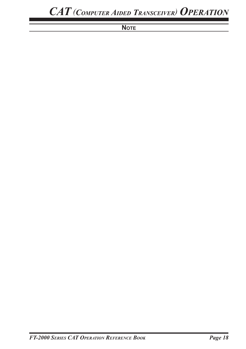## **NOTE**